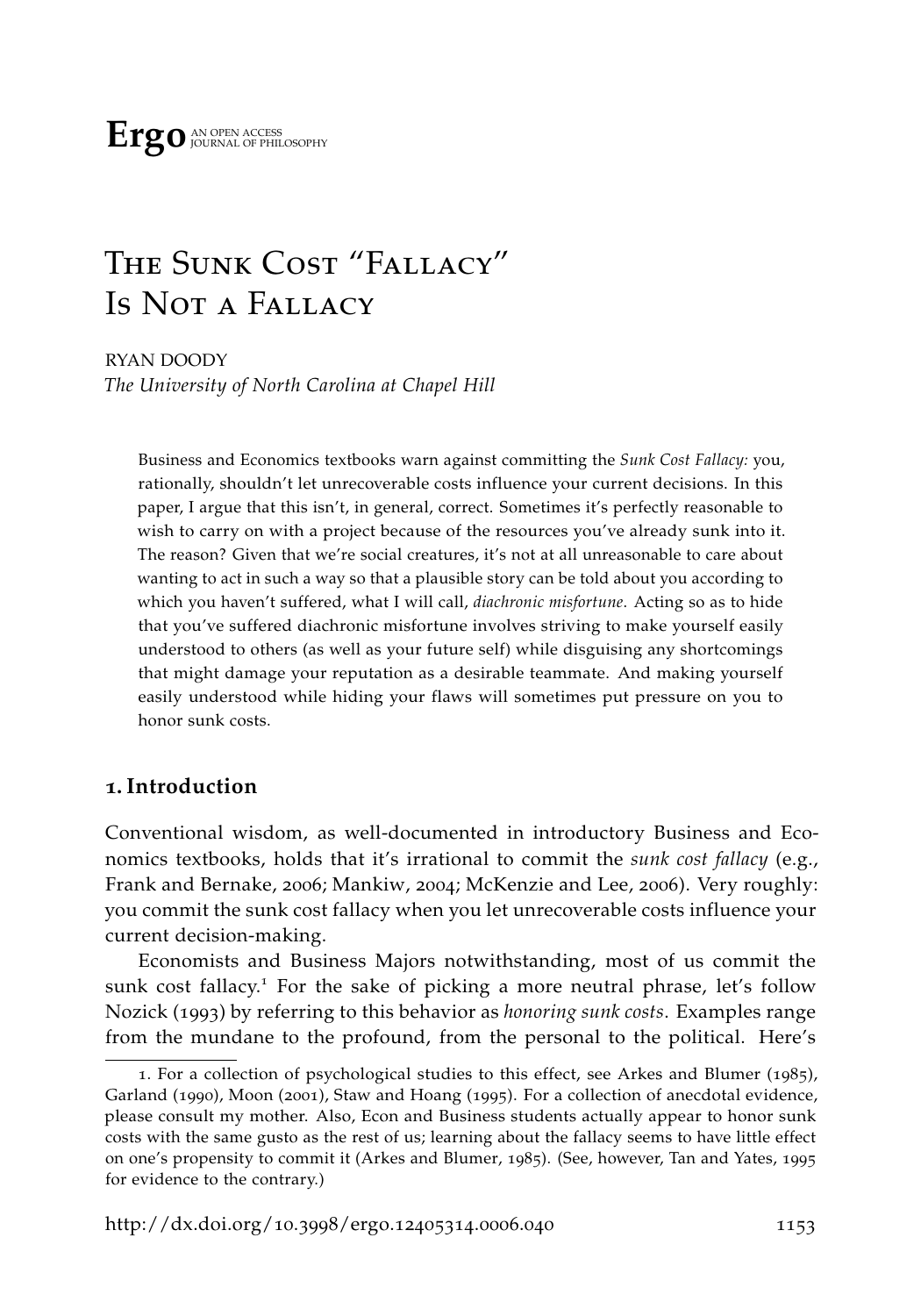# The Sunk Cost "Fallacy" Is Not a Fallacy

RYAN DOODY *The University of North Carolina at Chapel Hill*

Business and Economics textbooks warn against committing the *Sunk Cost Fallacy:* you, rationally, shouldn't let unrecoverable costs influence your current decisions. In this paper, I argue that this isn't, in general, correct. Sometimes it's perfectly reasonable to wish to carry on with a project because of the resources you've already sunk into it. The reason? Given that we're social creatures, it's not at all unreasonable to care about wanting to act in such a way so that a plausible story can be told about you according to which you haven't suffered, what I will call, *diachronic misfortune*. Acting so as to hide that you've suffered diachronic misfortune involves striving to make yourself easily understood to others (as well as your future self) while disguising any shortcomings that might damage your reputation as a desirable teammate. And making yourself easily understood while hiding your flaws will sometimes put pressure on you to honor sunk costs.

## **1. Introduction**

Conventional wisdom, as well-documented in introductory Business and Economics textbooks, holds that it's irrational to commit the *sunk cost fallacy* (e.g., [Frank and Bernake,](#page-34-0) [2006](#page-34-0); [Mankiw,](#page-35-0) [2004](#page-35-0); [McKenzie and Lee,](#page-36-0) [2006](#page-36-0)). Very roughly: you commit the sunk cost fallacy when you let unrecoverable costs influence your current decision-making.

Economists and Business Majors notwithstanding, most of us commit the sunk cost fallacy.<sup>1</sup> For the sake of picking a more neutral phrase, let's follow [Nozick](#page-36-1) ([1993](#page-36-1)) by referring to this behavior as *honoring sunk costs*. Examples range from the mundane to the profound, from the personal to the political. Here's

<sup>1</sup>. For a collection of psychological studies to this effect, see [Arkes and Blumer](#page-33-0) ([1985](#page-33-0)), [Garland](#page-34-1) ([1990](#page-34-1)), [Moon](#page-36-2) ([2001](#page-36-2)), [Staw and Hoang](#page-37-0) ([1995](#page-37-0)). For a collection of anecdotal evidence, please consult my mother. Also, Econ and Business students actually appear to honor sunk costs with the same gusto as the rest of us; learning about the fallacy seems to have little effect on one's propensity to commit it [\(Arkes and Blumer,](#page-33-0) [1985](#page-33-0)). (See, however, [Tan and Yates,](#page-37-1) [1995](#page-37-1) for evidence to the contrary.)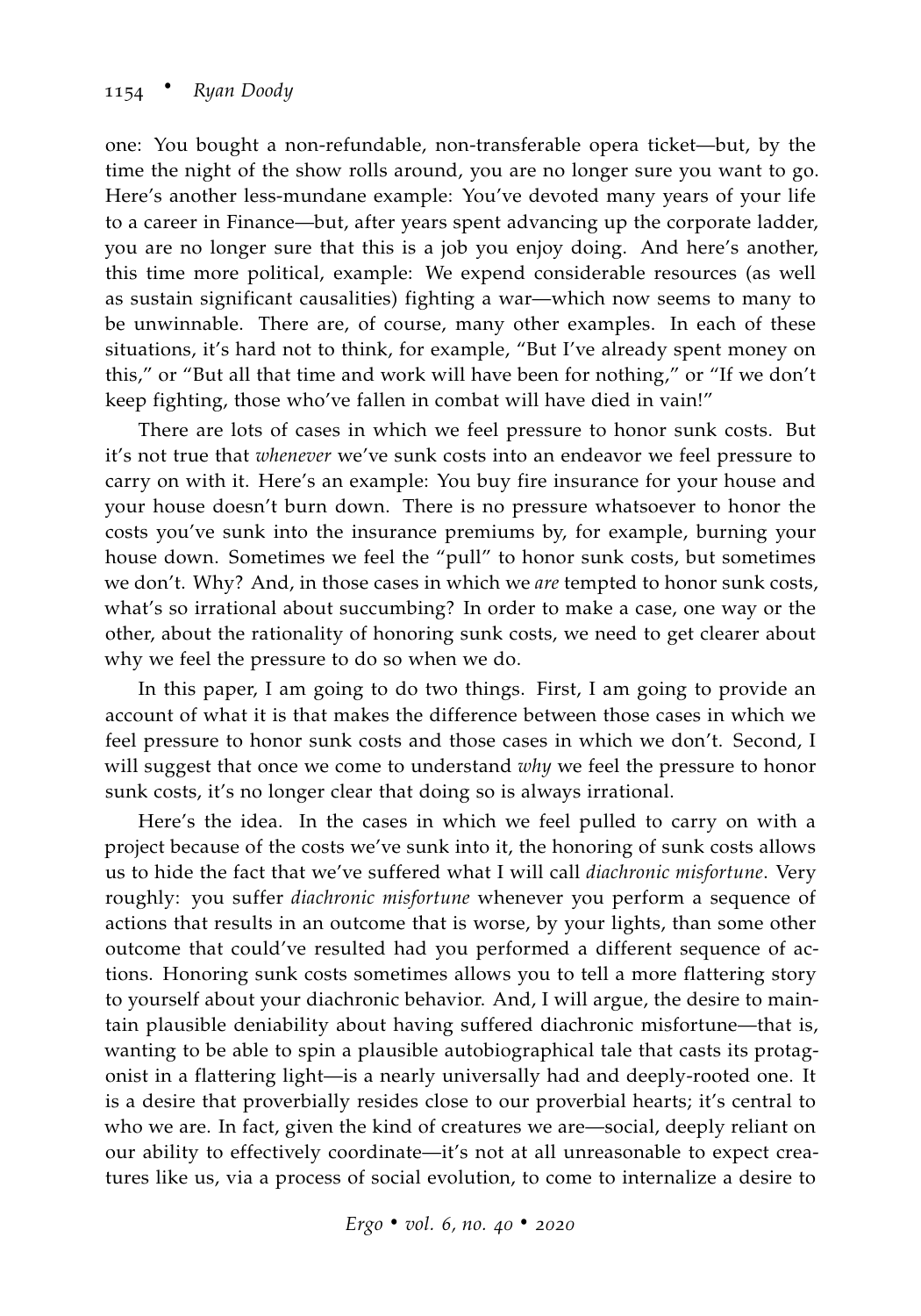one: You bought a non-refundable, non-transferable opera ticket—but, by the time the night of the show rolls around, you are no longer sure you want to go. Here's another less-mundane example: You've devoted many years of your life to a career in Finance—but, after years spent advancing up the corporate ladder, you are no longer sure that this is a job you enjoy doing. And here's another, this time more political, example: We expend considerable resources (as well as sustain significant causalities) fighting a war—which now seems to many to be unwinnable. There are, of course, many other examples. In each of these situations, it's hard not to think, for example, "But I've already spent money on this," or "But all that time and work will have been for nothing," or "If we don't keep fighting, those who've fallen in combat will have died in vain!"

There are lots of cases in which we feel pressure to honor sunk costs. But it's not true that *whenever* we've sunk costs into an endeavor we feel pressure to carry on with it. Here's an example: You buy fire insurance for your house and your house doesn't burn down. There is no pressure whatsoever to honor the costs you've sunk into the insurance premiums by, for example, burning your house down. Sometimes we feel the "pull" to honor sunk costs, but sometimes we don't. Why? And, in those cases in which we *are* tempted to honor sunk costs, what's so irrational about succumbing? In order to make a case, one way or the other, about the rationality of honoring sunk costs, we need to get clearer about why we feel the pressure to do so when we do.

In this paper, I am going to do two things. First, I am going to provide an account of what it is that makes the difference between those cases in which we feel pressure to honor sunk costs and those cases in which we don't. Second, I will suggest that once we come to understand *why* we feel the pressure to honor sunk costs, it's no longer clear that doing so is always irrational.

Here's the idea. In the cases in which we feel pulled to carry on with a project because of the costs we've sunk into it, the honoring of sunk costs allows us to hide the fact that we've suffered what I will call *diachronic misfortune*. Very roughly: you suffer *diachronic misfortune* whenever you perform a sequence of actions that results in an outcome that is worse, by your lights, than some other outcome that could've resulted had you performed a different sequence of actions. Honoring sunk costs sometimes allows you to tell a more flattering story to yourself about your diachronic behavior. And, I will argue, the desire to maintain plausible deniability about having suffered diachronic misfortune—that is, wanting to be able to spin a plausible autobiographical tale that casts its protagonist in a flattering light—is a nearly universally had and deeply-rooted one. It is a desire that proverbially resides close to our proverbial hearts; it's central to who we are. In fact, given the kind of creatures we are—social, deeply reliant on our ability to effectively coordinate—it's not at all unreasonable to expect creatures like us, via a process of social evolution, to come to internalize a desire to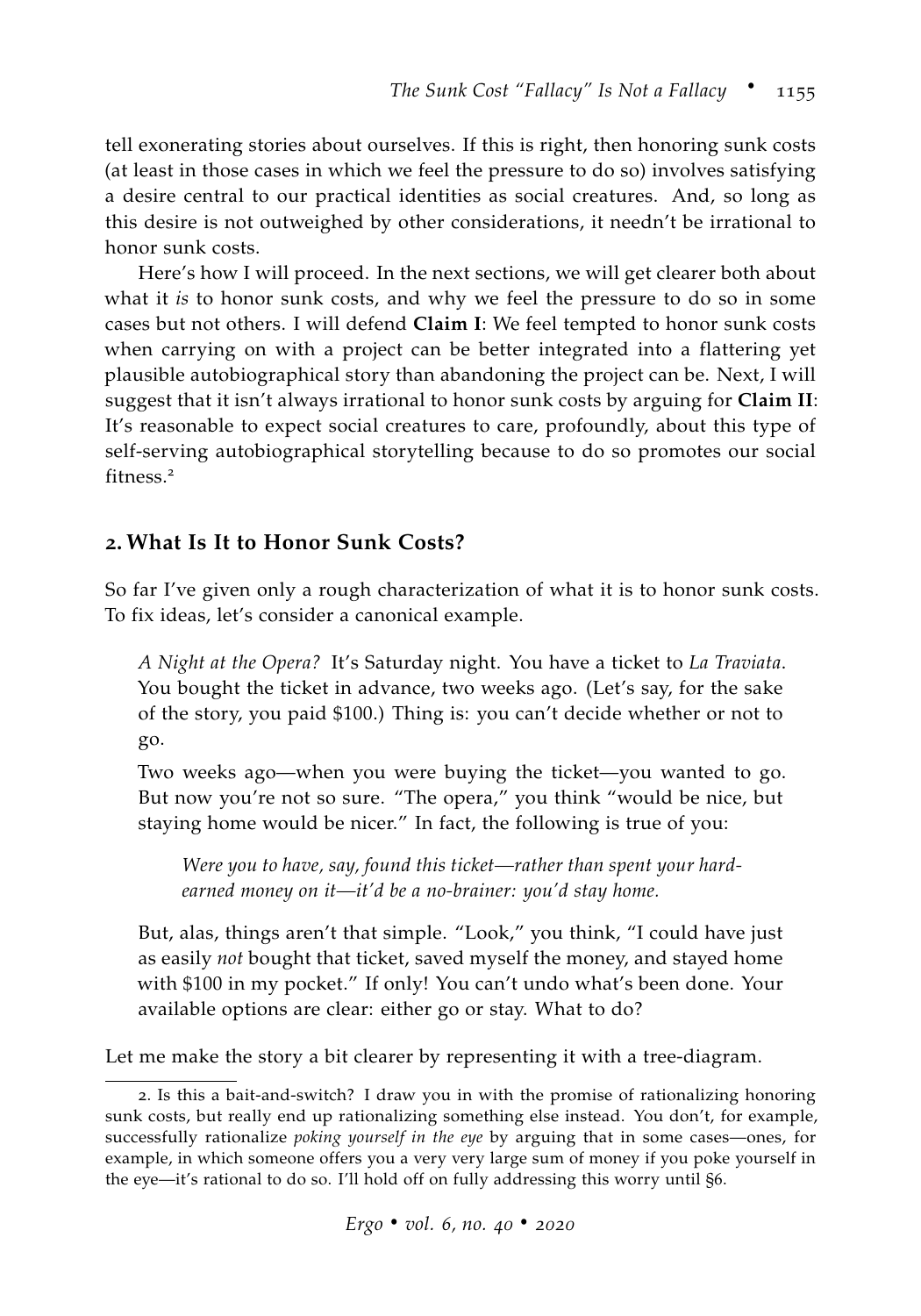tell exonerating stories about ourselves. If this is right, then honoring sunk costs (at least in those cases in which we feel the pressure to do so) involves satisfying a desire central to our practical identities as social creatures. And, so long as this desire is not outweighed by other considerations, it needn't be irrational to honor sunk costs.

Here's how I will proceed. In the next sections, we will get clearer both about what it *is* to honor sunk costs, and why we feel the pressure to do so in some cases but not others. I will defend **Claim I**: We feel tempted to honor sunk costs when carrying on with a project can be better integrated into a flattering yet plausible autobiographical story than abandoning the project can be. Next, I will suggest that it isn't always irrational to honor sunk costs by arguing for **Claim II**: It's reasonable to expect social creatures to care, profoundly, about this type of self-serving autobiographical storytelling because to do so promotes our social fitness.<sup>2</sup>

## **2. What Is It to Honor Sunk Costs?**

So far I've given only a rough characterization of what it is to honor sunk costs. To fix ideas, let's consider a canonical example.

*A Night at the Opera?* It's Saturday night. You have a ticket to *La Traviata*. You bought the ticket in advance, two weeks ago. (Let's say, for the sake of the story, you paid \$100.) Thing is: you can't decide whether or not to go.

Two weeks ago—when you were buying the ticket—you wanted to go. But now you're not so sure. "The opera," you think "would be nice, but staying home would be nicer." In fact, the following is true of you:

*Were you to have, say, found this ticket—rather than spent your hardearned money on it—it'd be a no-brainer: you'd stay home.*

But, alas, things aren't that simple. "Look," you think, "I could have just as easily *not* bought that ticket, saved myself the money, and stayed home with \$100 in my pocket." If only! You can't undo what's been done. Your available options are clear: either go or stay. What to do?

Let me make the story a bit clearer by representing it with a tree-diagram.

<sup>2</sup>. Is this a bait-and-switch? I draw you in with the promise of rationalizing honoring sunk costs, but really end up rationalizing something else instead. You don't, for example, successfully rationalize *poking yourself in the eye* by arguing that in some cases—ones, for example, in which someone offers you a very very large sum of money if you poke yourself in the eye—it's rational to do so. I'll hold off on fully addressing this worry until [§6.](#page-30-0)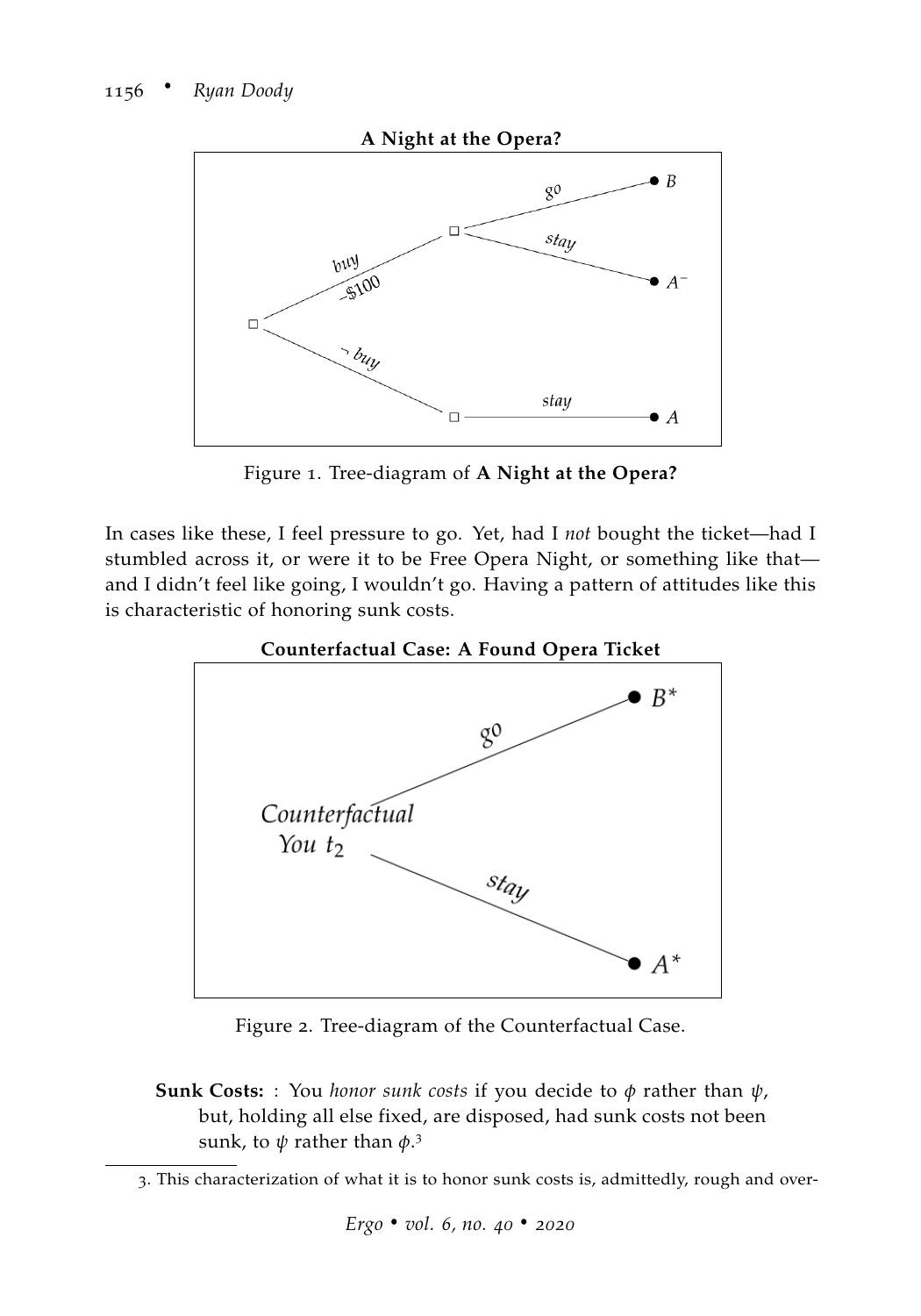

<span id="page-3-0"></span>Figure 1. Tree-diagram of **A Night at the Opera?**

In cases like these, I feel pressure to go. Yet, had I *not* bought the ticket—had I stumbled across it, or were it to be Free Opera Night, or something like that and I didn't feel like going, I wouldn't go. Having a pattern of attitudes like this is characteristic of honoring sunk costs.





Figure 2. Tree-diagram of the Counterfactual Case.

**Sunk Costs:** : You *honor sunk costs* if you decide to *φ* rather than *ψ*, but, holding all else fixed, are disposed, had sunk costs not been sunk, to *ψ* rather than *φ*. 3

<sup>3</sup>. This characterization of what it is to honor sunk costs is, admittedly, rough and over-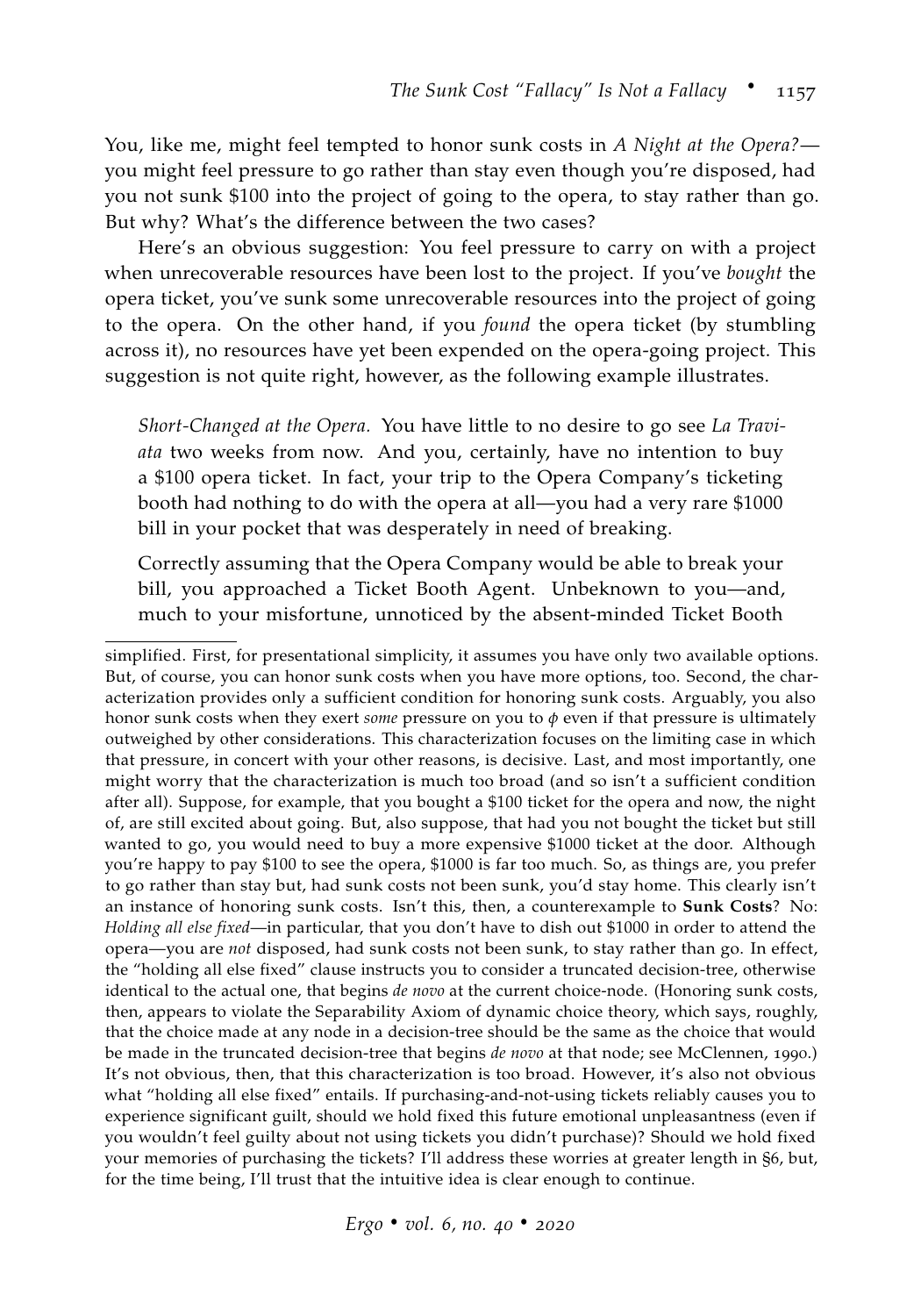You, like me, might feel tempted to honor sunk costs in *A Night at the Opera?* you might feel pressure to go rather than stay even though you're disposed, had you not sunk \$100 into the project of going to the opera, to stay rather than go. But why? What's the difference between the two cases?

Here's an obvious suggestion: You feel pressure to carry on with a project when unrecoverable resources have been lost to the project. If you've *bought* the opera ticket, you've sunk some unrecoverable resources into the project of going to the opera. On the other hand, if you *found* the opera ticket (by stumbling across it), no resources have yet been expended on the opera-going project. This suggestion is not quite right, however, as the following example illustrates.

*Short-Changed at the Opera.* You have little to no desire to go see *La Traviata* two weeks from now. And you, certainly, have no intention to buy a \$100 opera ticket. In fact, your trip to the Opera Company's ticketing booth had nothing to do with the opera at all—you had a very rare \$1000 bill in your pocket that was desperately in need of breaking.

Correctly assuming that the Opera Company would be able to break your bill, you approached a Ticket Booth Agent. Unbeknown to you—and, much to your misfortune, unnoticed by the absent-minded Ticket Booth

simplified. First, for presentational simplicity, it assumes you have only two available options. But, of course, you can honor sunk costs when you have more options, too. Second, the characterization provides only a sufficient condition for honoring sunk costs. Arguably, you also honor sunk costs when they exert *some* pressure on you to *φ* even if that pressure is ultimately outweighed by other considerations. This characterization focuses on the limiting case in which that pressure, in concert with your other reasons, is decisive. Last, and most importantly, one might worry that the characterization is much too broad (and so isn't a sufficient condition after all). Suppose, for example, that you bought a \$100 ticket for the opera and now, the night of, are still excited about going. But, also suppose, that had you not bought the ticket but still wanted to go, you would need to buy a more expensive \$1000 ticket at the door. Although you're happy to pay \$100 to see the opera, \$1000 is far too much. So, as things are, you prefer to go rather than stay but, had sunk costs not been sunk, you'd stay home. This clearly isn't an instance of honoring sunk costs. Isn't this, then, a counterexample to **Sunk Costs**? No: *Holding all else fixed*—in particular, that you don't have to dish out \$1000 in order to attend the opera—you are *not* disposed, had sunk costs not been sunk, to stay rather than go. In effect, the "holding all else fixed" clause instructs you to consider a truncated decision-tree, otherwise identical to the actual one, that begins *de novo* at the current choice-node. (Honoring sunk costs, then, appears to violate the Separability Axiom of dynamic choice theory, which says, roughly, that the choice made at any node in a decision-tree should be the same as the choice that would be made in the truncated decision-tree that begins *de novo* at that node; see [McClennen,](#page-36-3) [1990](#page-36-3).) It's not obvious, then, that this characterization is too broad. However, it's also not obvious what "holding all else fixed" entails. If purchasing-and-not-using tickets reliably causes you to experience significant guilt, should we hold fixed this future emotional unpleasantness (even if you wouldn't feel guilty about not using tickets you didn't purchase)? Should we hold fixed your memories of purchasing the tickets? I'll address these worries at greater length in §6, but, for the time being, I'll trust that the intuitive idea is clear enough to continue.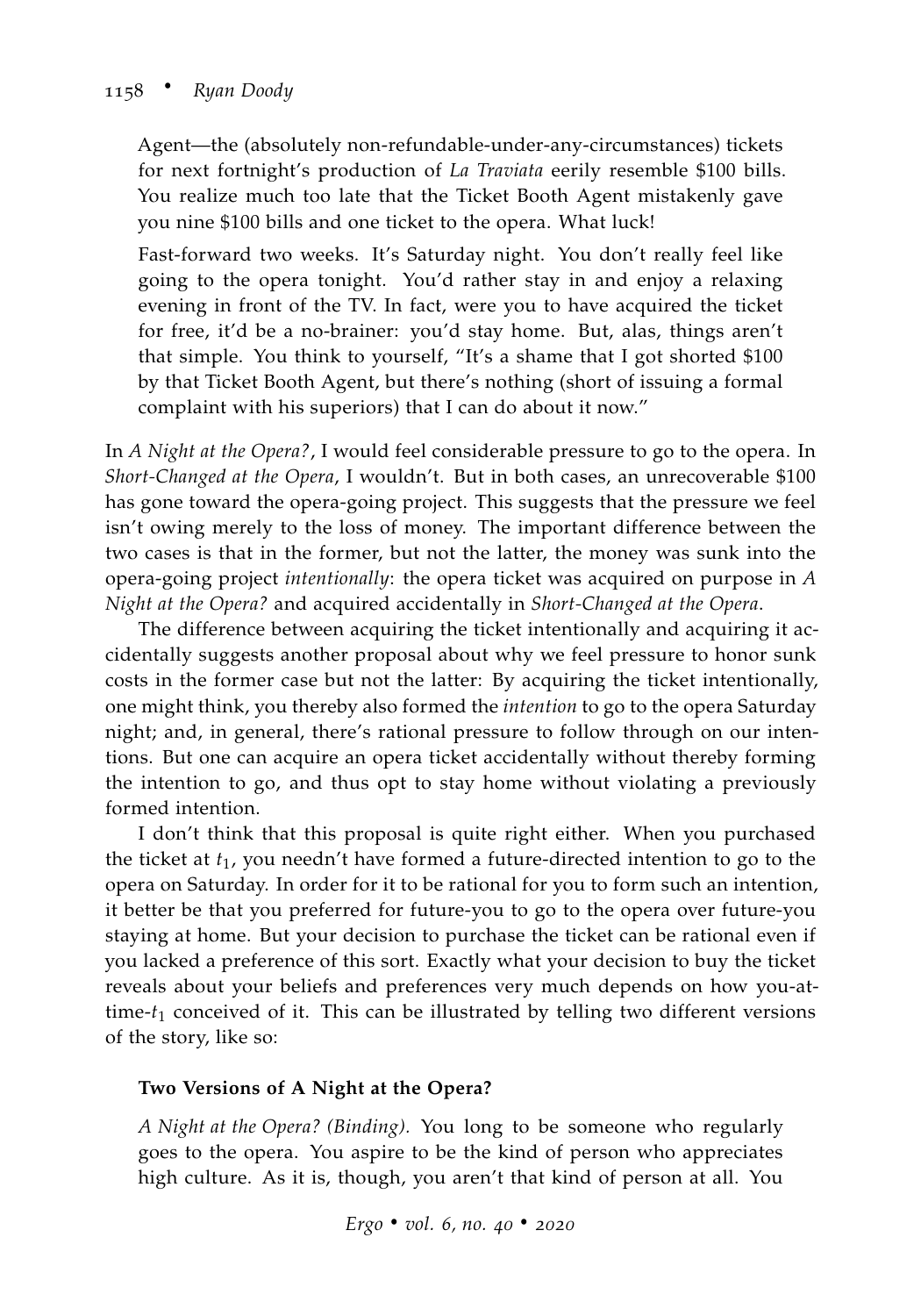Agent—the (absolutely non-refundable-under-any-circumstances) tickets for next fortnight's production of *La Traviata* eerily resemble \$100 bills. You realize much too late that the Ticket Booth Agent mistakenly gave you nine \$100 bills and one ticket to the opera. What luck!

Fast-forward two weeks. It's Saturday night. You don't really feel like going to the opera tonight. You'd rather stay in and enjoy a relaxing evening in front of the TV. In fact, were you to have acquired the ticket for free, it'd be a no-brainer: you'd stay home. But, alas, things aren't that simple. You think to yourself, "It's a shame that I got shorted \$100 by that Ticket Booth Agent, but there's nothing (short of issuing a formal complaint with his superiors) that I can do about it now."

In *A Night at the Opera?*, I would feel considerable pressure to go to the opera. In *Short-Changed at the Opera*, I wouldn't. But in both cases, an unrecoverable \$100 has gone toward the opera-going project. This suggests that the pressure we feel isn't owing merely to the loss of money. The important difference between the two cases is that in the former, but not the latter, the money was sunk into the opera-going project *intentionally*: the opera ticket was acquired on purpose in *A Night at the Opera?* and acquired accidentally in *Short-Changed at the Opera*.

The difference between acquiring the ticket intentionally and acquiring it accidentally suggests another proposal about why we feel pressure to honor sunk costs in the former case but not the latter: By acquiring the ticket intentionally, one might think, you thereby also formed the *intention* to go to the opera Saturday night; and, in general, there's rational pressure to follow through on our intentions. But one can acquire an opera ticket accidentally without thereby forming the intention to go, and thus opt to stay home without violating a previously formed intention.

I don't think that this proposal is quite right either. When you purchased the ticket at *t*1, you needn't have formed a future-directed intention to go to the opera on Saturday. In order for it to be rational for you to form such an intention, it better be that you preferred for future-you to go to the opera over future-you staying at home. But your decision to purchase the ticket can be rational even if you lacked a preference of this sort. Exactly what your decision to buy the ticket reveals about your beliefs and preferences very much depends on how you-attime-*t*<sup>1</sup> conceived of it. This can be illustrated by telling two different versions of the story, like so:

### **Two Versions of A Night at the Opera?**

*A Night at the Opera? (Binding).* You long to be someone who regularly goes to the opera. You aspire to be the kind of person who appreciates high culture. As it is, though, you aren't that kind of person at all. You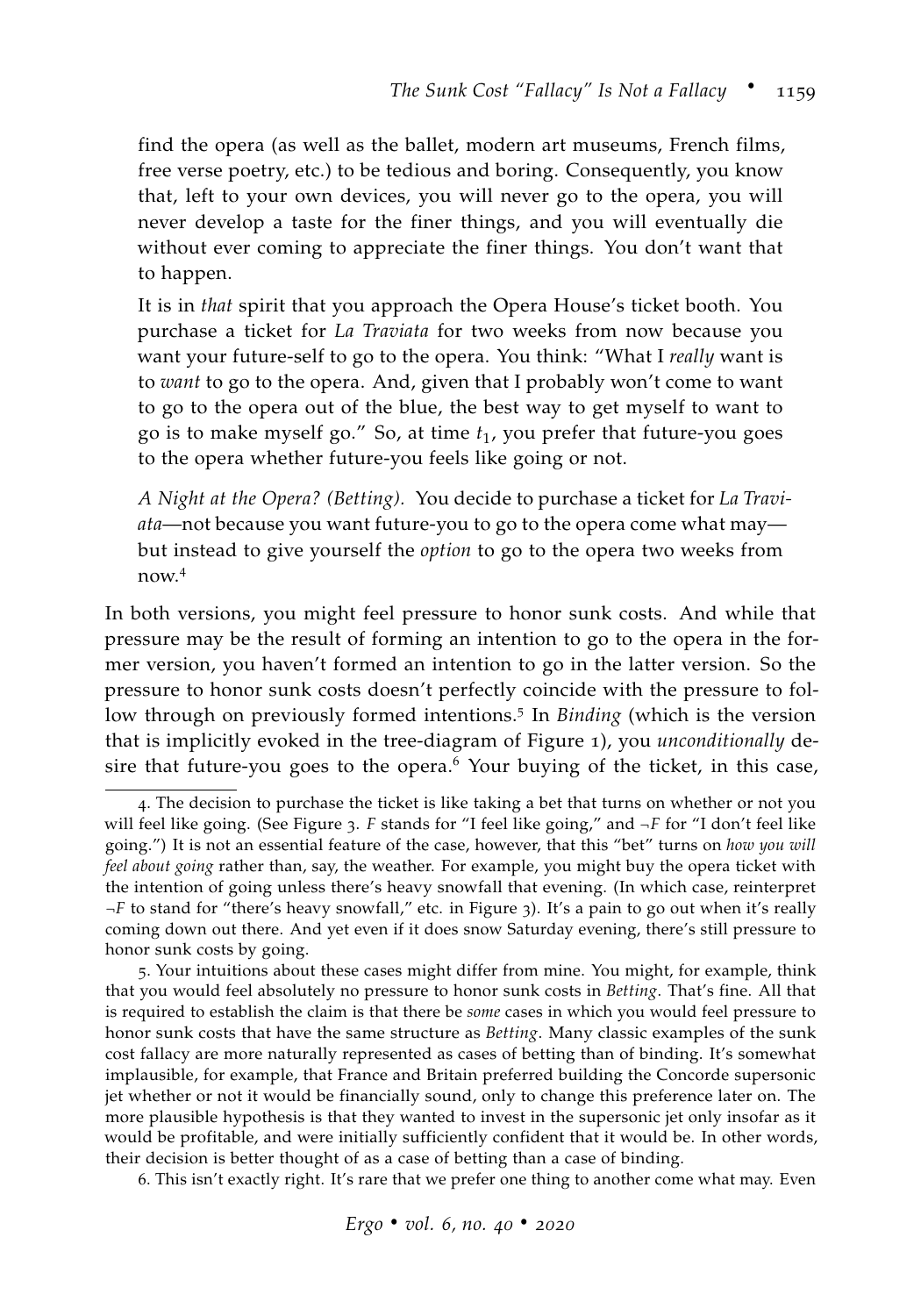find the opera (as well as the ballet, modern art museums, French films, free verse poetry, etc.) to be tedious and boring. Consequently, you know that, left to your own devices, you will never go to the opera, you will never develop a taste for the finer things, and you will eventually die without ever coming to appreciate the finer things. You don't want that to happen.

It is in *that* spirit that you approach the Opera House's ticket booth. You purchase a ticket for *La Traviata* for two weeks from now because you want your future-self to go to the opera. You think: "What I *really* want is to *want* to go to the opera. And, given that I probably won't come to want to go to the opera out of the blue, the best way to get myself to want to go is to make myself go." So, at time *t*1, you prefer that future-you goes to the opera whether future-you feels like going or not.

*A Night at the Opera? (Betting).* You decide to purchase a ticket for *La Traviata*—not because you want future-you to go to the opera come what may but instead to give yourself the *option* to go to the opera two weeks from now.<sup>4</sup>

In both versions, you might feel pressure to honor sunk costs. And while that pressure may be the result of forming an intention to go to the opera in the former version, you haven't formed an intention to go in the latter version. So the pressure to honor sunk costs doesn't perfectly coincide with the pressure to follow through on previously formed intentions.<sup>5</sup> In *Binding* (which is the version that is implicitly evoked in the tree-diagram of Figure [1](#page-3-0)), you *unconditionally* desire that future-you goes to the opera.<sup>6</sup> Your buying of the ticket, in this case,

6. This isn't exactly right. It's rare that we prefer one thing to another come what may. Even

<sup>4</sup>. The decision to purchase the ticket is like taking a bet that turns on whether or not you will feel like going. (See Figure [3](#page-7-0). *F* stands for "I feel like going," and ¬*F* for "I don't feel like going.") It is not an essential feature of the case, however, that this "bet" turns on *how you will feel about going* rather than, say, the weather. For example, you might buy the opera ticket with the intention of going unless there's heavy snowfall that evening. (In which case, reinterpret ¬*F* to stand for "there's heavy snowfall," etc. in Figure [3](#page-7-0)). It's a pain to go out when it's really coming down out there. And yet even if it does snow Saturday evening, there's still pressure to honor sunk costs by going.

<sup>5</sup>. Your intuitions about these cases might differ from mine. You might, for example, think that you would feel absolutely no pressure to honor sunk costs in *Betting*. That's fine. All that is required to establish the claim is that there be *some* cases in which you would feel pressure to honor sunk costs that have the same structure as *Betting*. Many classic examples of the sunk cost fallacy are more naturally represented as cases of betting than of binding. It's somewhat implausible, for example, that France and Britain preferred building the Concorde supersonic jet whether or not it would be financially sound, only to change this preference later on. The more plausible hypothesis is that they wanted to invest in the supersonic jet only insofar as it would be profitable, and were initially sufficiently confident that it would be. In other words, their decision is better thought of as a case of betting than a case of binding.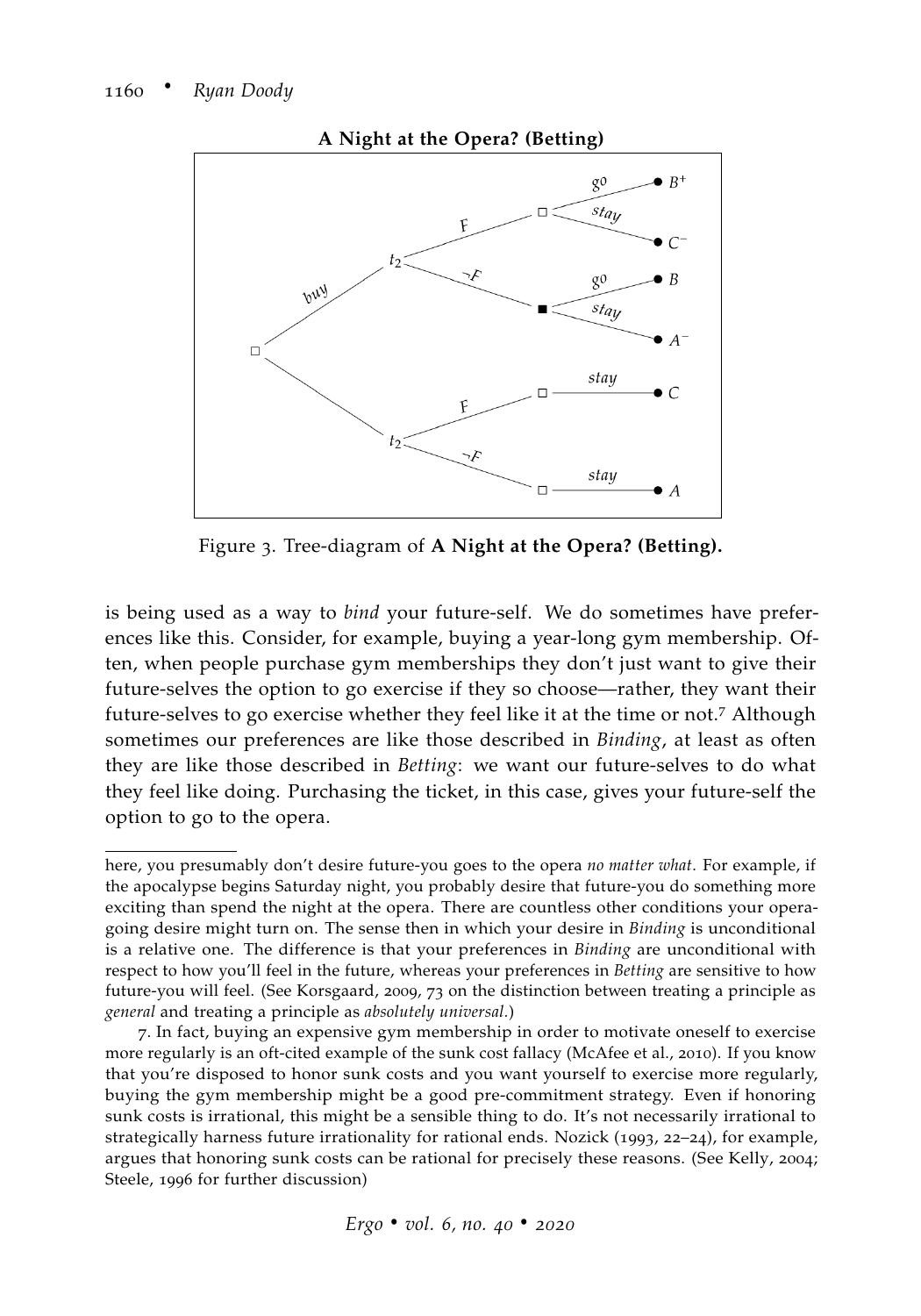

**A Night at the Opera? (Betting)**

<span id="page-7-0"></span>Figure 3. Tree-diagram of **A Night at the Opera? (Betting).**

is being used as a way to *bind* your future-self. We do sometimes have preferences like this. Consider, for example, buying a year-long gym membership. Often, when people purchase gym memberships they don't just want to give their future-selves the option to go exercise if they so choose—rather, they want their future-selves to go exercise whether they feel like it at the time or not.<sup>7</sup> Although sometimes our preferences are like those described in *Binding*, at least as often they are like those described in *Betting*: we want our future-selves to do what they feel like doing. Purchasing the ticket, in this case, gives your future-self the option to go to the opera.

here, you presumably don't desire future-you goes to the opera *no matter what*. For example, if the apocalypse begins Saturday night, you probably desire that future-you do something more exciting than spend the night at the opera. There are countless other conditions your operagoing desire might turn on. The sense then in which your desire in *Binding* is unconditional is a relative one. The difference is that your preferences in *Binding* are unconditional with respect to how you'll feel in the future, whereas your preferences in *Betting* are sensitive to how future-you will feel. (See [Korsgaard,](#page-35-1) [2009](#page-35-1), 73 on the distinction between treating a principle as *general* and treating a principle as *absolutely universal.*)

<sup>7</sup>. In fact, buying an expensive gym membership in order to motivate oneself to exercise more regularly is an oft-cited example of the sunk cost fallacy [\(McAfee et al.,](#page-35-2) [2010](#page-35-2)). If you know that you're disposed to honor sunk costs and you want yourself to exercise more regularly, buying the gym membership might be a good pre-commitment strategy. Even if honoring sunk costs is irrational, this might be a sensible thing to do. It's not necessarily irrational to strategically harness future irrationality for rational ends. [Nozick](#page-36-1) ([1993](#page-36-1), 22–24), for example, argues that honoring sunk costs can be rational for precisely these reasons. (See [Kelly,](#page-35-3) [2004](#page-35-3); [Steele,](#page-37-2) [1996](#page-37-2) for further discussion)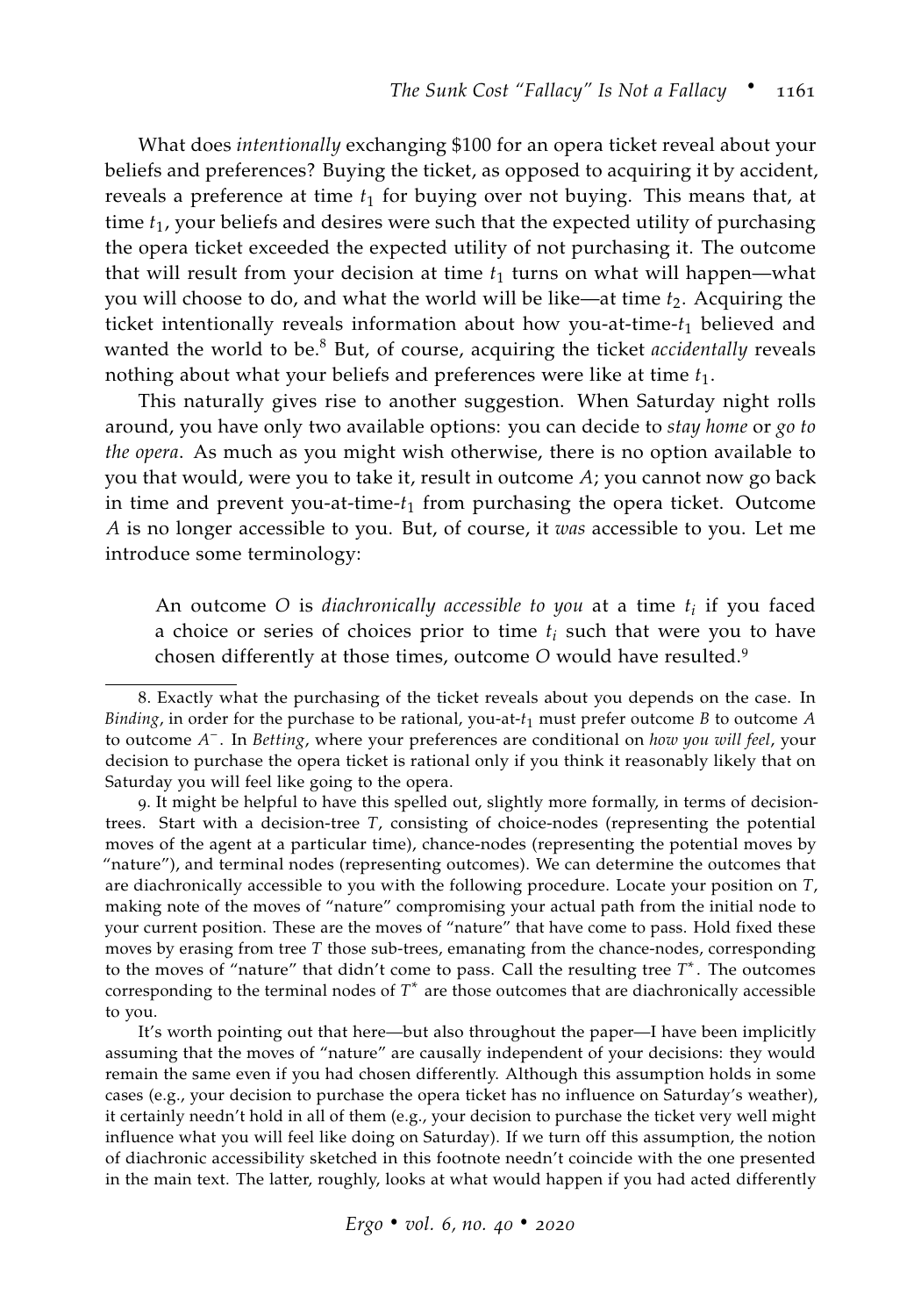What does *intentionally* exchanging \$100 for an opera ticket reveal about your beliefs and preferences? Buying the ticket, as opposed to acquiring it by accident, reveals a preference at time  $t_1$  for buying over not buying. This means that, at time *t*1, your beliefs and desires were such that the expected utility of purchasing the opera ticket exceeded the expected utility of not purchasing it. The outcome that will result from your decision at time  $t_1$  turns on what will happen—what you will choose to do, and what the world will be like—at time *t*2. Acquiring the ticket intentionally reveals information about how you-at-time- $t_1$  believed and wanted the world to be.<sup>8</sup> But, of course, acquiring the ticket *accidentally* reveals nothing about what your beliefs and preferences were like at time *t*1.

This naturally gives rise to another suggestion. When Saturday night rolls around, you have only two available options: you can decide to *stay home* or *go to the opera*. As much as you might wish otherwise, there is no option available to you that would, were you to take it, result in outcome *A*; you cannot now go back in time and prevent you-at-time-*t*<sup>1</sup> from purchasing the opera ticket. Outcome *A* is no longer accessible to you. But, of course, it *was* accessible to you. Let me introduce some terminology:

An outcome *O* is *diachronically accessible to you* at a time *t<sup>i</sup>* if you faced a choice or series of choices prior to time *t<sup>i</sup>* such that were you to have chosen differently at those times, outcome *O* would have resulted.<sup>9</sup>

9. It might be helpful to have this spelled out, slightly more formally, in terms of decisiontrees. Start with a decision-tree *T*, consisting of choice-nodes (representing the potential moves of the agent at a particular time), chance-nodes (representing the potential moves by "nature"), and terminal nodes (representing outcomes). We can determine the outcomes that are diachronically accessible to you with the following procedure. Locate your position on *T*, making note of the moves of "nature" compromising your actual path from the initial node to your current position. These are the moves of "nature" that have come to pass. Hold fixed these moves by erasing from tree *T* those sub-trees, emanating from the chance-nodes, corresponding to the moves of "nature" that didn't come to pass. Call the resulting tree *T* ∗ . The outcomes corresponding to the terminal nodes of *T* ∗ are those outcomes that are diachronically accessible to you.

It's worth pointing out that here—but also throughout the paper—I have been implicitly assuming that the moves of "nature" are causally independent of your decisions: they would remain the same even if you had chosen differently. Although this assumption holds in some cases (e.g., your decision to purchase the opera ticket has no influence on Saturday's weather), it certainly needn't hold in all of them (e.g., your decision to purchase the ticket very well might influence what you will feel like doing on Saturday). If we turn off this assumption, the notion of diachronic accessibility sketched in this footnote needn't coincide with the one presented in the main text. The latter, roughly, looks at what would happen if you had acted differently

<sup>8</sup>. Exactly what the purchasing of the ticket reveals about you depends on the case. In *Binding*, in order for the purchase to be rational, you-at-*t*<sup>1</sup> must prefer outcome *B* to outcome *A* to outcome *A* − . In *Betting*, where your preferences are conditional on *how you will feel*, your decision to purchase the opera ticket is rational only if you think it reasonably likely that on Saturday you will feel like going to the opera.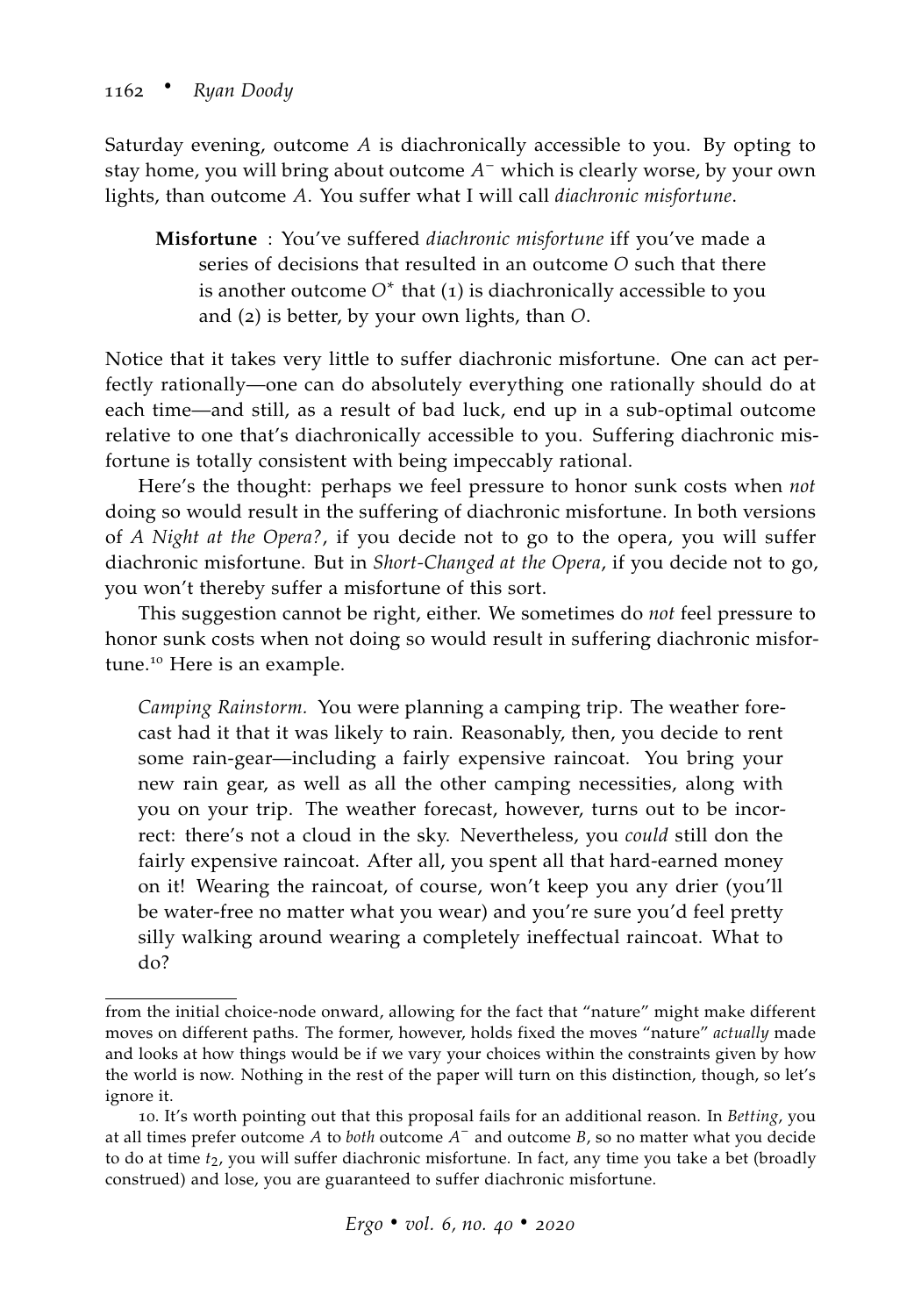Saturday evening, outcome *A* is diachronically accessible to you. By opting to stay home, you will bring about outcome *A* <sup>−</sup> which is clearly worse, by your own lights, than outcome *A*. You suffer what I will call *diachronic misfortune*.

**Misfortune** : You've suffered *diachronic misfortune* iff you've made a series of decisions that resulted in an outcome *O* such that there is another outcome  $O^*$  that  $(1)$  is diachronically accessible to you and (2) is better, by your own lights, than *O*.

Notice that it takes very little to suffer diachronic misfortune. One can act perfectly rationally—one can do absolutely everything one rationally should do at each time—and still, as a result of bad luck, end up in a sub-optimal outcome relative to one that's diachronically accessible to you. Suffering diachronic misfortune is totally consistent with being impeccably rational.

Here's the thought: perhaps we feel pressure to honor sunk costs when *not* doing so would result in the suffering of diachronic misfortune. In both versions of *A Night at the Opera?*, if you decide not to go to the opera, you will suffer diachronic misfortune. But in *Short-Changed at the Opera*, if you decide not to go, you won't thereby suffer a misfortune of this sort.

This suggestion cannot be right, either. We sometimes do *not* feel pressure to honor sunk costs when not doing so would result in suffering diachronic misfortune.<sup>10</sup> Here is an example.

*Camping Rainstorm.* You were planning a camping trip. The weather forecast had it that it was likely to rain. Reasonably, then, you decide to rent some rain-gear—including a fairly expensive raincoat. You bring your new rain gear, as well as all the other camping necessities, along with you on your trip. The weather forecast, however, turns out to be incorrect: there's not a cloud in the sky. Nevertheless, you *could* still don the fairly expensive raincoat. After all, you spent all that hard-earned money on it! Wearing the raincoat, of course, won't keep you any drier (you'll be water-free no matter what you wear) and you're sure you'd feel pretty silly walking around wearing a completely ineffectual raincoat. What to do?

from the initial choice-node onward, allowing for the fact that "nature" might make different moves on different paths. The former, however, holds fixed the moves "nature" *actually* made and looks at how things would be if we vary your choices within the constraints given by how the world is now. Nothing in the rest of the paper will turn on this distinction, though, so let's ignore it.

<sup>10</sup>. It's worth pointing out that this proposal fails for an additional reason. In *Betting*, you at all times prefer outcome *A* to *both* outcome *A* − and outcome *B*, so no matter what you decide to do at time  $t_2$ , you will suffer diachronic misfortune. In fact, any time you take a bet (broadly construed) and lose, you are guaranteed to suffer diachronic misfortune.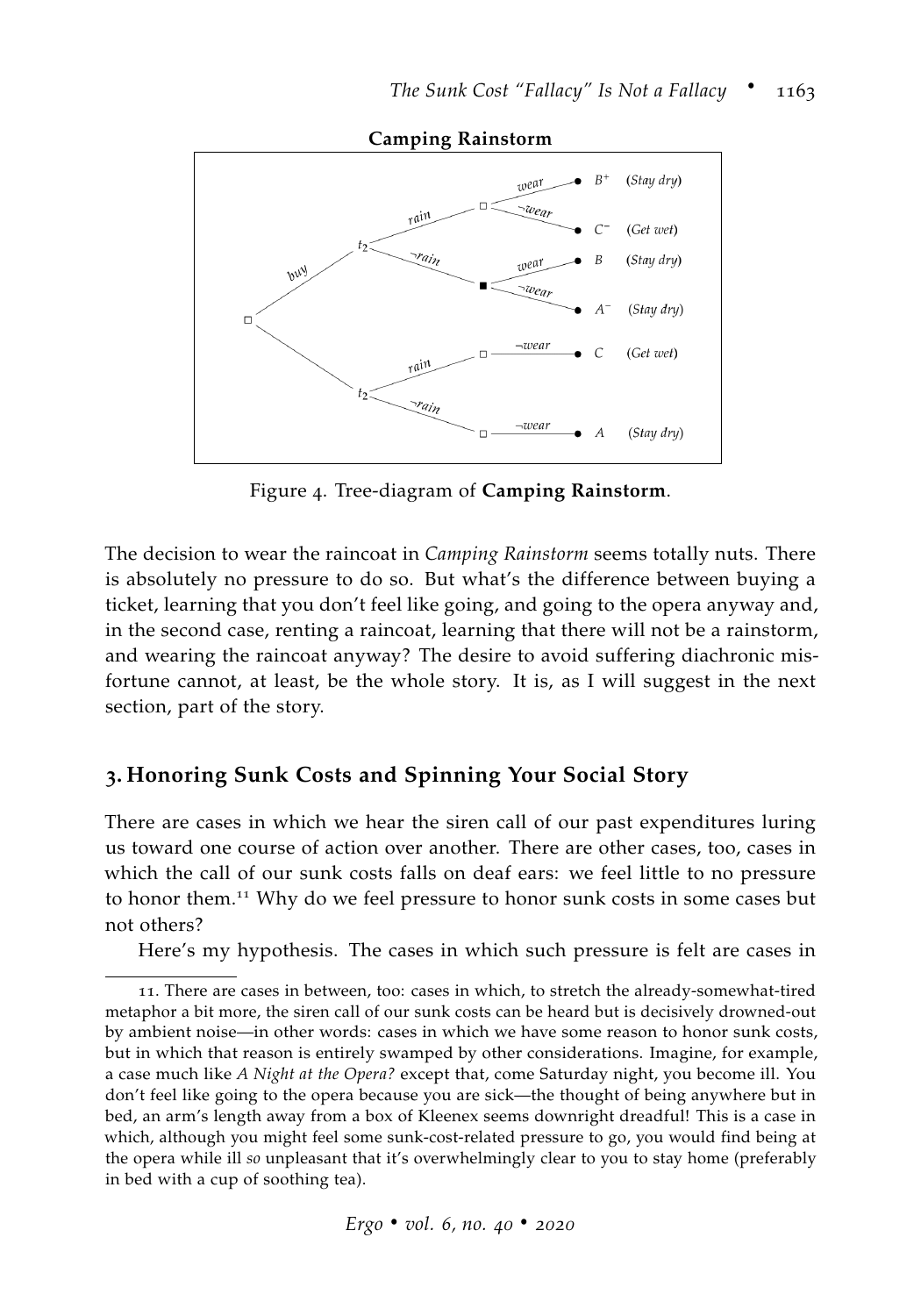

**Camping Rainstorm**

Figure 4. Tree-diagram of **Camping Rainstorm**.

The decision to wear the raincoat in *Camping Rainstorm* seems totally nuts. There is absolutely no pressure to do so. But what's the difference between buying a ticket, learning that you don't feel like going, and going to the opera anyway and, in the second case, renting a raincoat, learning that there will not be a rainstorm, and wearing the raincoat anyway? The desire to avoid suffering diachronic misfortune cannot, at least, be the whole story. It is, as I will suggest in the next section, part of the story.

## **3. Honoring Sunk Costs and Spinning Your Social Story**

There are cases in which we hear the siren call of our past expenditures luring us toward one course of action over another. There are other cases, too, cases in which the call of our sunk costs falls on deaf ears: we feel little to no pressure to honor them.<sup>11</sup> Why do we feel pressure to honor sunk costs in some cases but not others?

Here's my hypothesis. The cases in which such pressure is felt are cases in

<sup>11</sup>. There are cases in between, too: cases in which, to stretch the already-somewhat-tired metaphor a bit more, the siren call of our sunk costs can be heard but is decisively drowned-out by ambient noise—in other words: cases in which we have some reason to honor sunk costs, but in which that reason is entirely swamped by other considerations. Imagine, for example, a case much like *A Night at the Opera?* except that, come Saturday night, you become ill. You don't feel like going to the opera because you are sick—the thought of being anywhere but in bed, an arm's length away from a box of Kleenex seems downright dreadful! This is a case in which, although you might feel some sunk-cost-related pressure to go, you would find being at the opera while ill *so* unpleasant that it's overwhelmingly clear to you to stay home (preferably in bed with a cup of soothing tea).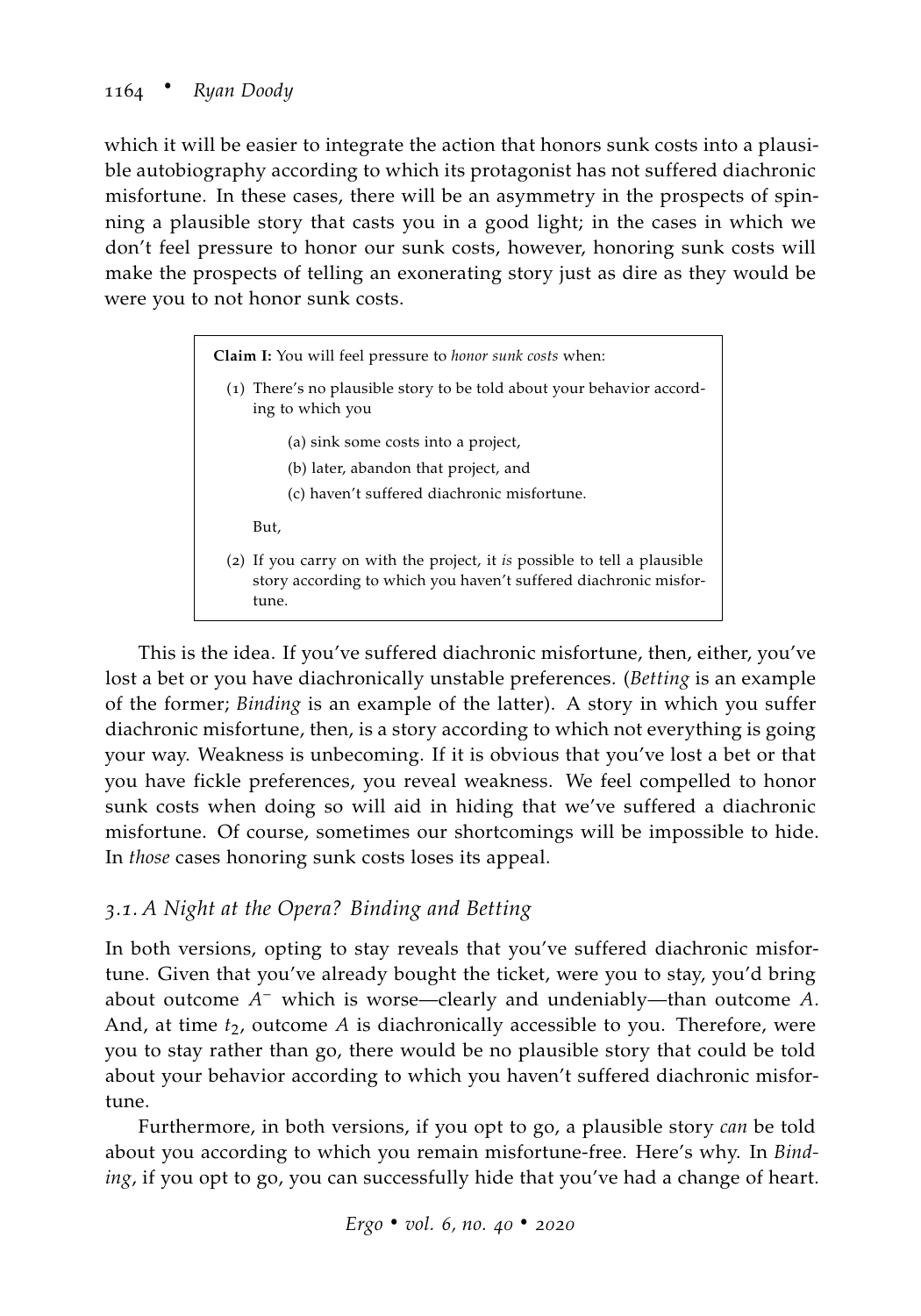which it will be easier to integrate the action that honors sunk costs into a plausible autobiography according to which its protagonist has not suffered diachronic misfortune. In these cases, there will be an asymmetry in the prospects of spinning a plausible story that casts you in a good light; in the cases in which we don't feel pressure to honor our sunk costs, however, honoring sunk costs will make the prospects of telling an exonerating story just as dire as they would be were you to not honor sunk costs.

> **Claim I:** You will feel pressure to *honor sunk costs* when: (1) There's no plausible story to be told about your behavior according to which you (a) sink some costs into a project, (b) later, abandon that project, and (c) haven't suffered diachronic misfortune. But, (2) If you carry on with the project, it *is* possible to tell a plausible story according to which you haven't suffered diachronic misfortune.

This is the idea. If you've suffered diachronic misfortune, then, either, you've lost a bet or you have diachronically unstable preferences. (*Betting* is an example of the former; *Binding* is an example of the latter). A story in which you suffer diachronic misfortune, then, is a story according to which not everything is going your way. Weakness is unbecoming. If it is obvious that you've lost a bet or that you have fickle preferences, you reveal weakness. We feel compelled to honor sunk costs when doing so will aid in hiding that we've suffered a diachronic misfortune. Of course, sometimes our shortcomings will be impossible to hide. In *those* cases honoring sunk costs loses its appeal.

## *3.1. A Night at the Opera? Binding and Betting*

In both versions, opting to stay reveals that you've suffered diachronic misfortune. Given that you've already bought the ticket, were you to stay, you'd bring about outcome *A* <sup>−</sup> which is worse—clearly and undeniably—than outcome *A*. And, at time  $t_2$ , outcome *A* is diachronically accessible to you. Therefore, were you to stay rather than go, there would be no plausible story that could be told about your behavior according to which you haven't suffered diachronic misfortune.

Furthermore, in both versions, if you opt to go, a plausible story *can* be told about you according to which you remain misfortune-free. Here's why. In *Binding*, if you opt to go, you can successfully hide that you've had a change of heart.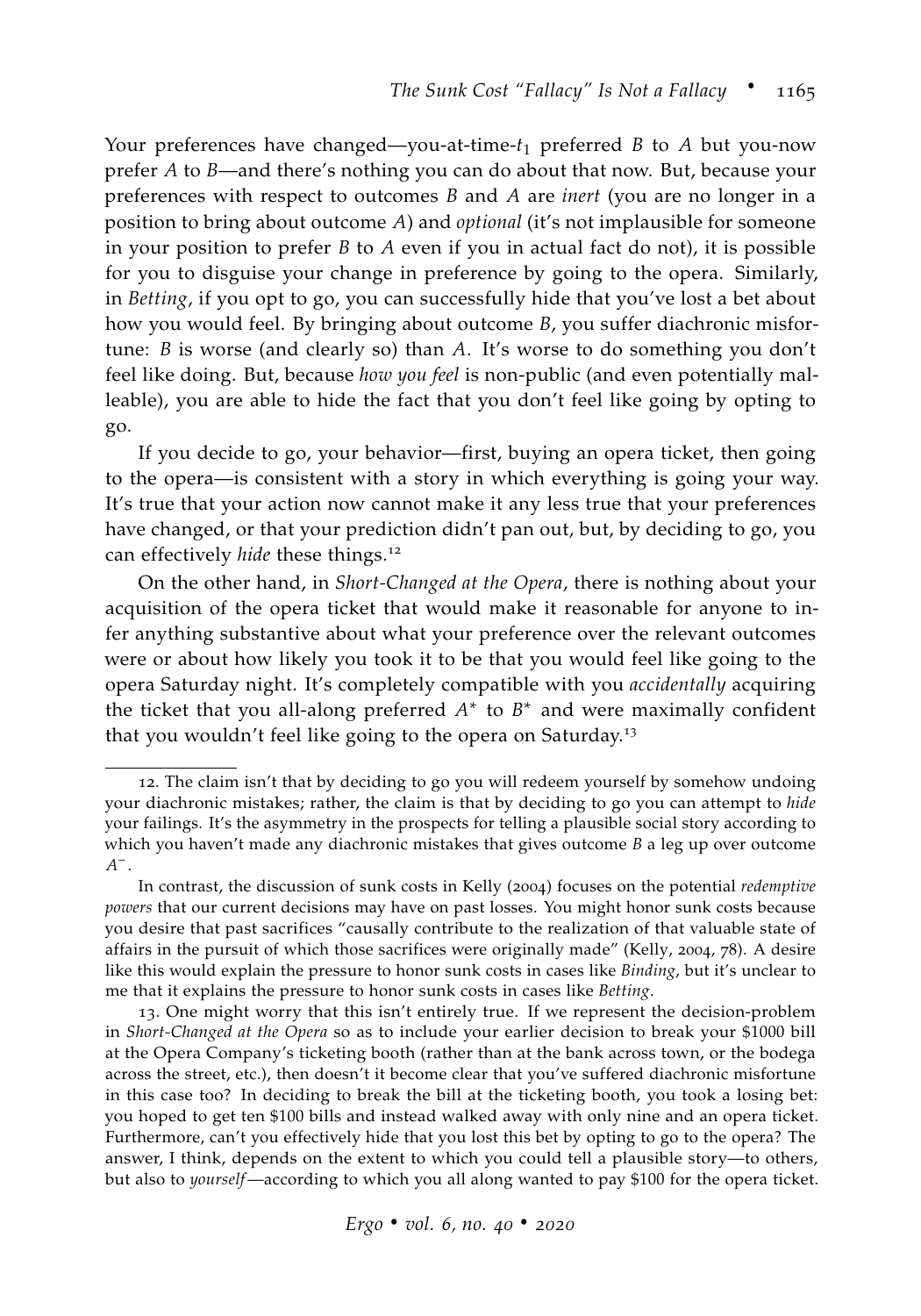Your preferences have changed—you-at-time-*t*<sup>1</sup> preferred *B* to *A* but you-now prefer *A* to *B*—and there's nothing you can do about that now. But, because your preferences with respect to outcomes *B* and *A* are *inert* (you are no longer in a position to bring about outcome *A*) and *optional* (it's not implausible for someone in your position to prefer *B* to *A* even if you in actual fact do not), it is possible for you to disguise your change in preference by going to the opera. Similarly, in *Betting*, if you opt to go, you can successfully hide that you've lost a bet about how you would feel. By bringing about outcome *B*, you suffer diachronic misfortune: *B* is worse (and clearly so) than *A*. It's worse to do something you don't feel like doing. But, because *how you feel* is non-public (and even potentially malleable), you are able to hide the fact that you don't feel like going by opting to go.

If you decide to go, your behavior—first, buying an opera ticket, then going to the opera—is consistent with a story in which everything is going your way. It's true that your action now cannot make it any less true that your preferences have changed, or that your prediction didn't pan out, but, by deciding to go, you can effectively *hide* these things.<sup>12</sup>

On the other hand, in *Short-Changed at the Opera*, there is nothing about your acquisition of the opera ticket that would make it reasonable for anyone to infer anything substantive about what your preference over the relevant outcomes were or about how likely you took it to be that you would feel like going to the opera Saturday night. It's completely compatible with you *accidentally* acquiring the ticket that you all-along preferred  $A^*$  to  $B^*$  and were maximally confident that you wouldn't feel like going to the opera on Saturday.<sup>13</sup>

<sup>12</sup>. The claim isn't that by deciding to go you will redeem yourself by somehow undoing your diachronic mistakes; rather, the claim is that by deciding to go you can attempt to *hide* your failings. It's the asymmetry in the prospects for telling a plausible social story according to which you haven't made any diachronic mistakes that gives outcome *B* a leg up over outcome *A* − .

In contrast, the discussion of sunk costs in [Kelly](#page-35-3) ([2004](#page-35-3)) focuses on the potential *redemptive powers* that our current decisions may have on past losses. You might honor sunk costs because you desire that past sacrifices "causally contribute to the realization of that valuable state of affairs in the pursuit of which those sacrifices were originally made" [\(Kelly,](#page-35-3) [2004](#page-35-3), 78). A desire like this would explain the pressure to honor sunk costs in cases like *Binding*, but it's unclear to me that it explains the pressure to honor sunk costs in cases like *Betting*.

<sup>13</sup>. One might worry that this isn't entirely true. If we represent the decision-problem in *Short-Changed at the Opera* so as to include your earlier decision to break your \$1000 bill at the Opera Company's ticketing booth (rather than at the bank across town, or the bodega across the street, etc.), then doesn't it become clear that you've suffered diachronic misfortune in this case too? In deciding to break the bill at the ticketing booth, you took a losing bet: you hoped to get ten \$100 bills and instead walked away with only nine and an opera ticket. Furthermore, can't you effectively hide that you lost this bet by opting to go to the opera? The answer, I think, depends on the extent to which you could tell a plausible story—to others, but also to *yourself*—according to which you all along wanted to pay \$100 for the opera ticket.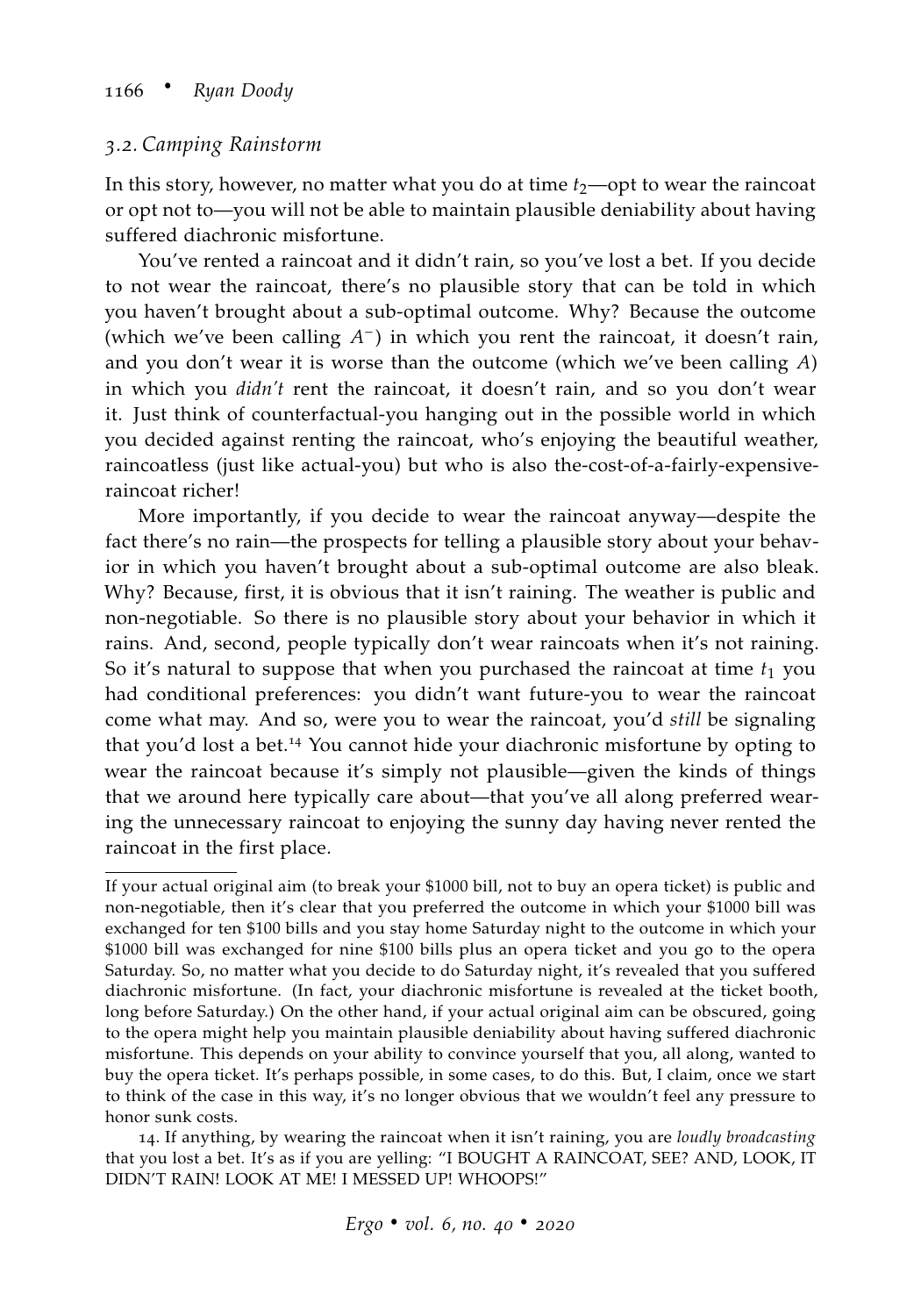#### *3.2. Camping Rainstorm*

In this story, however, no matter what you do at time  $t_2$ —opt to wear the raincoat or opt not to—you will not be able to maintain plausible deniability about having suffered diachronic misfortune.

You've rented a raincoat and it didn't rain, so you've lost a bet. If you decide to not wear the raincoat, there's no plausible story that can be told in which you haven't brought about a sub-optimal outcome. Why? Because the outcome (which we've been calling  $A^-$ ) in which you rent the raincoat, it doesn't rain, and you don't wear it is worse than the outcome (which we've been calling *A*) in which you *didn't* rent the raincoat, it doesn't rain, and so you don't wear it. Just think of counterfactual-you hanging out in the possible world in which you decided against renting the raincoat, who's enjoying the beautiful weather, raincoatless (just like actual-you) but who is also the-cost-of-a-fairly-expensiveraincoat richer!

More importantly, if you decide to wear the raincoat anyway—despite the fact there's no rain—the prospects for telling a plausible story about your behavior in which you haven't brought about a sub-optimal outcome are also bleak. Why? Because, first, it is obvious that it isn't raining. The weather is public and non-negotiable. So there is no plausible story about your behavior in which it rains. And, second, people typically don't wear raincoats when it's not raining. So it's natural to suppose that when you purchased the raincoat at time  $t_1$  you had conditional preferences: you didn't want future-you to wear the raincoat come what may. And so, were you to wear the raincoat, you'd *still* be signaling that you'd lost a bet.<sup>14</sup> You cannot hide your diachronic misfortune by opting to wear the raincoat because it's simply not plausible—given the kinds of things that we around here typically care about—that you've all along preferred wearing the unnecessary raincoat to enjoying the sunny day having never rented the raincoat in the first place.

If your actual original aim (to break your \$1000 bill, not to buy an opera ticket) is public and non-negotiable, then it's clear that you preferred the outcome in which your \$1000 bill was exchanged for ten \$100 bills and you stay home Saturday night to the outcome in which your \$1000 bill was exchanged for nine \$100 bills plus an opera ticket and you go to the opera Saturday. So, no matter what you decide to do Saturday night, it's revealed that you suffered diachronic misfortune. (In fact, your diachronic misfortune is revealed at the ticket booth, long before Saturday.) On the other hand, if your actual original aim can be obscured, going to the opera might help you maintain plausible deniability about having suffered diachronic misfortune. This depends on your ability to convince yourself that you, all along, wanted to buy the opera ticket. It's perhaps possible, in some cases, to do this. But, I claim, once we start to think of the case in this way, it's no longer obvious that we wouldn't feel any pressure to honor sunk costs.

<sup>14</sup>. If anything, by wearing the raincoat when it isn't raining, you are *loudly broadcasting* that you lost a bet. It's as if you are yelling: "I BOUGHT A RAINCOAT, SEE? AND, LOOK, IT DIDN'T RAIN! LOOK AT ME! I MESSED UP! WHOOPS!"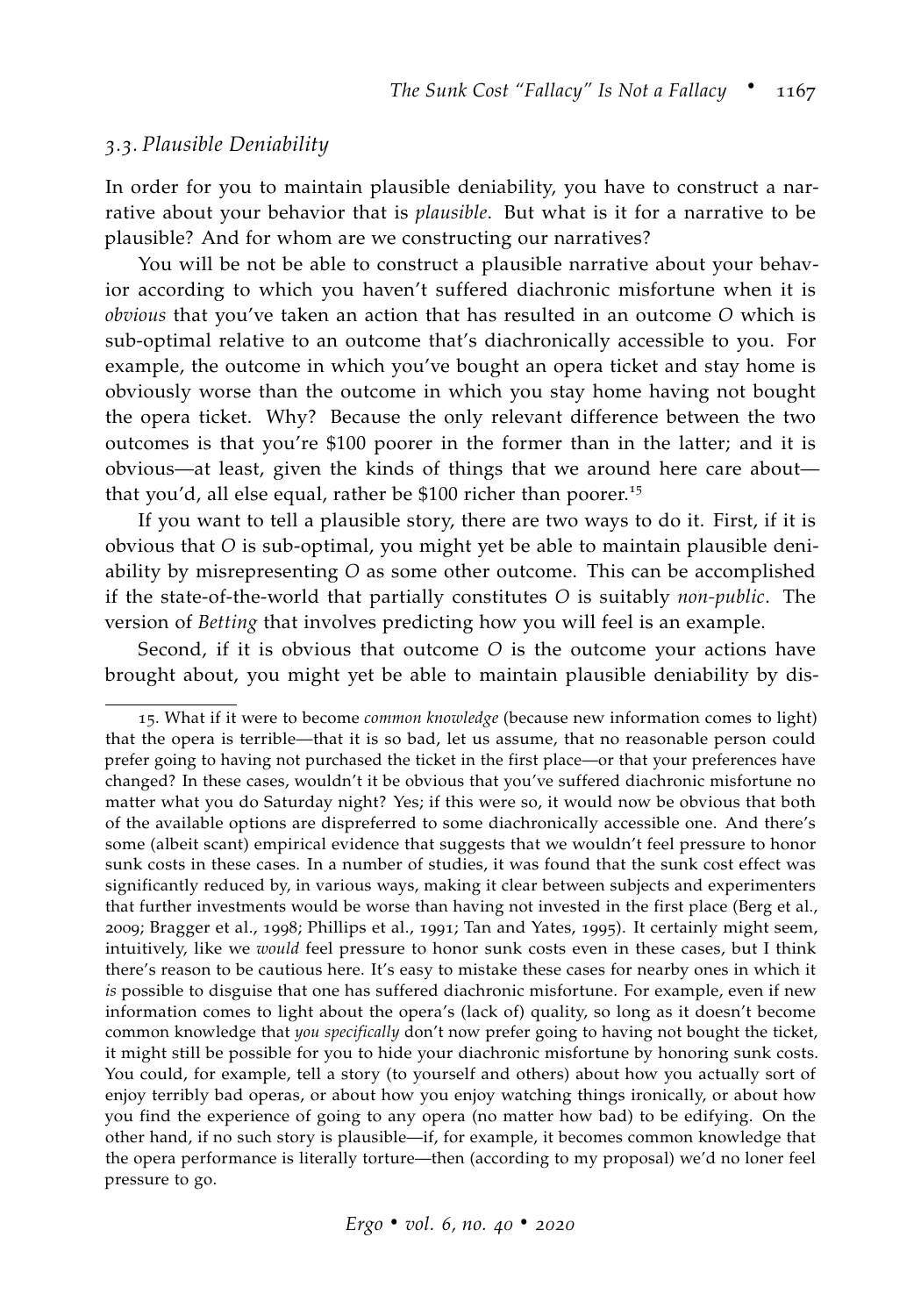#### *3.3. Plausible Deniability*

In order for you to maintain plausible deniability, you have to construct a narrative about your behavior that is *plausible*. But what is it for a narrative to be plausible? And for whom are we constructing our narratives?

You will be not be able to construct a plausible narrative about your behavior according to which you haven't suffered diachronic misfortune when it is *obvious* that you've taken an action that has resulted in an outcome *O* which is sub-optimal relative to an outcome that's diachronically accessible to you. For example, the outcome in which you've bought an opera ticket and stay home is obviously worse than the outcome in which you stay home having not bought the opera ticket. Why? Because the only relevant difference between the two outcomes is that you're \$100 poorer in the former than in the latter; and it is obvious—at least, given the kinds of things that we around here care about that you'd, all else equal, rather be  $$100$  richer than poorer.<sup>15</sup>

If you want to tell a plausible story, there are two ways to do it. First, if it is obvious that *O* is sub-optimal, you might yet be able to maintain plausible deniability by misrepresenting *O* as some other outcome. This can be accomplished if the state-of-the-world that partially constitutes *O* is suitably *non-public*. The version of *Betting* that involves predicting how you will feel is an example.

Second, if it is obvious that outcome *O* is the outcome your actions have brought about, you might yet be able to maintain plausible deniability by dis-

<sup>15</sup>. What if it were to become *common knowledge* (because new information comes to light) that the opera is terrible—that it is so bad, let us assume, that no reasonable person could prefer going to having not purchased the ticket in the first place—or that your preferences have changed? In these cases, wouldn't it be obvious that you've suffered diachronic misfortune no matter what you do Saturday night? Yes; if this were so, it would now be obvious that both of the available options are dispreferred to some diachronically accessible one. And there's some (albeit scant) empirical evidence that suggests that we wouldn't feel pressure to honor sunk costs in these cases. In a number of studies, it was found that the sunk cost effect was significantly reduced by, in various ways, making it clear between subjects and experimenters that further investments would be worse than having not invested in the first place [\(Berg et al.,](#page-33-1) [2009](#page-33-1); [Bragger et al.,](#page-33-2) [1998](#page-33-2); [Phillips et al.,](#page-36-4) [1991](#page-36-4); [Tan and Yates,](#page-37-1) [1995](#page-37-1)). It certainly might seem, intuitively, like we *would* feel pressure to honor sunk costs even in these cases, but I think there's reason to be cautious here. It's easy to mistake these cases for nearby ones in which it *is* possible to disguise that one has suffered diachronic misfortune. For example, even if new information comes to light about the opera's (lack of) quality, so long as it doesn't become common knowledge that *you specifically* don't now prefer going to having not bought the ticket, it might still be possible for you to hide your diachronic misfortune by honoring sunk costs. You could, for example, tell a story (to yourself and others) about how you actually sort of enjoy terribly bad operas, or about how you enjoy watching things ironically, or about how you find the experience of going to any opera (no matter how bad) to be edifying. On the other hand, if no such story is plausible—if, for example, it becomes common knowledge that the opera performance is literally torture—then (according to my proposal) we'd no loner feel pressure to go.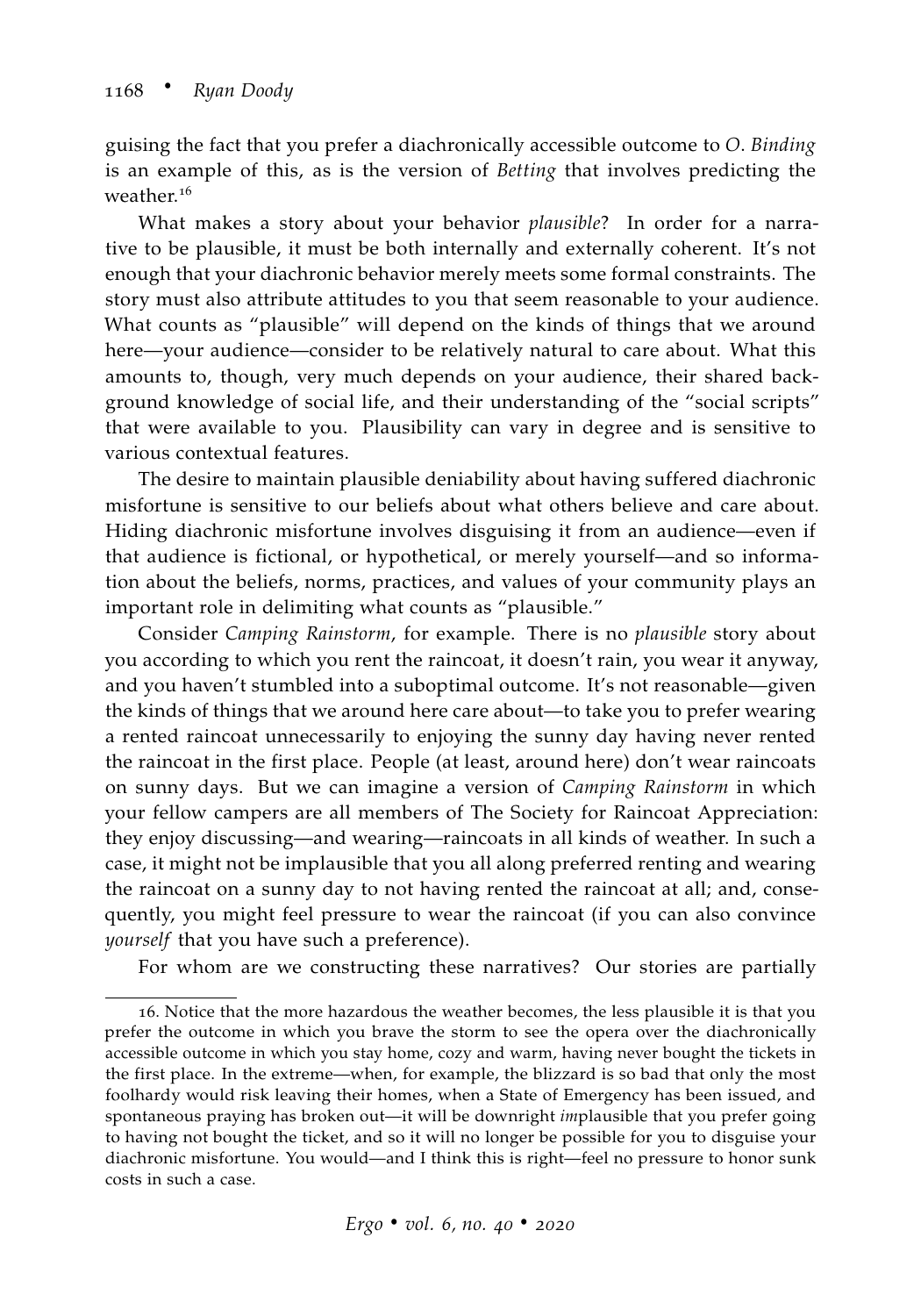guising the fact that you prefer a diachronically accessible outcome to *O*. *Binding* is an example of this, as is the version of *Betting* that involves predicting the weather.<sup>16</sup>

What makes a story about your behavior *plausible*? In order for a narrative to be plausible, it must be both internally and externally coherent. It's not enough that your diachronic behavior merely meets some formal constraints. The story must also attribute attitudes to you that seem reasonable to your audience. What counts as "plausible" will depend on the kinds of things that we around here—your audience—consider to be relatively natural to care about. What this amounts to, though, very much depends on your audience, their shared background knowledge of social life, and their understanding of the "social scripts" that were available to you. Plausibility can vary in degree and is sensitive to various contextual features.

The desire to maintain plausible deniability about having suffered diachronic misfortune is sensitive to our beliefs about what others believe and care about. Hiding diachronic misfortune involves disguising it from an audience—even if that audience is fictional, or hypothetical, or merely yourself—and so information about the beliefs, norms, practices, and values of your community plays an important role in delimiting what counts as "plausible."

Consider *Camping Rainstorm*, for example. There is no *plausible* story about you according to which you rent the raincoat, it doesn't rain, you wear it anyway, and you haven't stumbled into a suboptimal outcome. It's not reasonable—given the kinds of things that we around here care about—to take you to prefer wearing a rented raincoat unnecessarily to enjoying the sunny day having never rented the raincoat in the first place. People (at least, around here) don't wear raincoats on sunny days. But we can imagine a version of *Camping Rainstorm* in which your fellow campers are all members of The Society for Raincoat Appreciation: they enjoy discussing—and wearing—raincoats in all kinds of weather. In such a case, it might not be implausible that you all along preferred renting and wearing the raincoat on a sunny day to not having rented the raincoat at all; and, consequently, you might feel pressure to wear the raincoat (if you can also convince *yourself* that you have such a preference).

For whom are we constructing these narratives? Our stories are partially

<sup>16</sup>. Notice that the more hazardous the weather becomes, the less plausible it is that you prefer the outcome in which you brave the storm to see the opera over the diachronically accessible outcome in which you stay home, cozy and warm, having never bought the tickets in the first place. In the extreme—when, for example, the blizzard is so bad that only the most foolhardy would risk leaving their homes, when a State of Emergency has been issued, and spontaneous praying has broken out—it will be downright *im*plausible that you prefer going to having not bought the ticket, and so it will no longer be possible for you to disguise your diachronic misfortune. You would—and I think this is right—feel no pressure to honor sunk costs in such a case.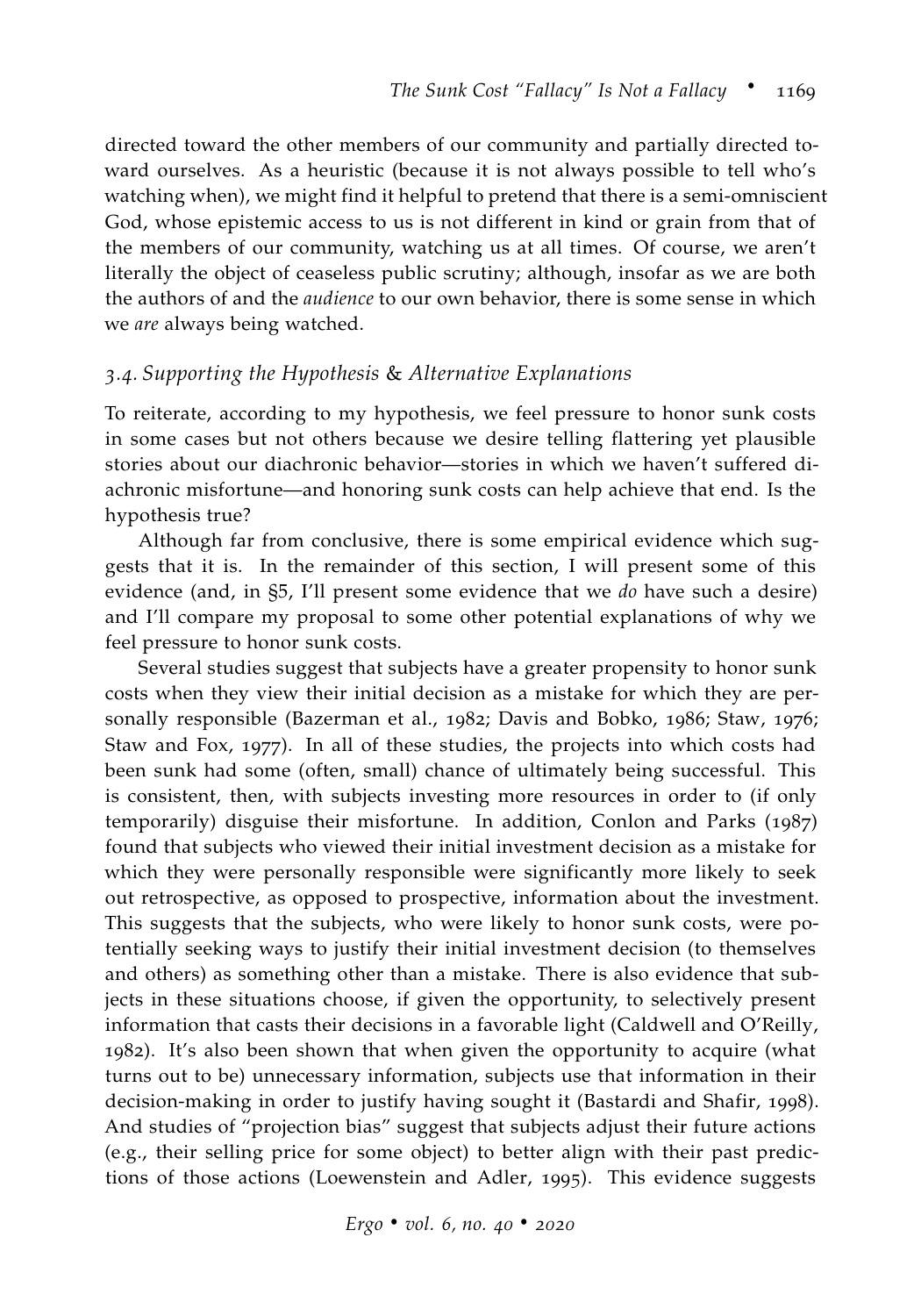directed toward the other members of our community and partially directed toward ourselves. As a heuristic (because it is not always possible to tell who's watching when), we might find it helpful to pretend that there is a semi-omniscient God, whose epistemic access to us is not different in kind or grain from that of the members of our community, watching us at all times. Of course, we aren't literally the object of ceaseless public scrutiny; although, insofar as we are both the authors of and the *audience* to our own behavior, there is some sense in which we *are* always being watched.

#### *3.4. Supporting the Hypothesis* & *Alternative Explanations*

To reiterate, according to my hypothesis, we feel pressure to honor sunk costs in some cases but not others because we desire telling flattering yet plausible stories about our diachronic behavior—stories in which we haven't suffered diachronic misfortune—and honoring sunk costs can help achieve that end. Is the hypothesis true?

Although far from conclusive, there is some empirical evidence which suggests that it is. In the remainder of this section, I will present some of this evidence (and, in [§5,](#page-22-0) I'll present some evidence that we *do* have such a desire) and I'll compare my proposal to some other potential explanations of why we feel pressure to honor sunk costs.

Several studies suggest that subjects have a greater propensity to honor sunk costs when they view their initial decision as a mistake for which they are personally responsible [\(Bazerman et al.,](#page-33-3) [1982](#page-33-3); [Davis and Bobko,](#page-34-2) [1986](#page-34-2); [Staw,](#page-36-5) [1976](#page-36-5); [Staw and Fox,](#page-36-6) [1977](#page-36-6)). In all of these studies, the projects into which costs had been sunk had some (often, small) chance of ultimately being successful. This is consistent, then, with subjects investing more resources in order to (if only temporarily) disguise their misfortune. In addition, [Conlon and Parks](#page-34-3) ([1987](#page-34-3)) found that subjects who viewed their initial investment decision as a mistake for which they were personally responsible were significantly more likely to seek out retrospective, as opposed to prospective, information about the investment. This suggests that the subjects, who were likely to honor sunk costs, were potentially seeking ways to justify their initial investment decision (to themselves and others) as something other than a mistake. There is also evidence that subjects in these situations choose, if given the opportunity, to selectively present information that casts their decisions in a favorable light [\(Caldwell and O'Reilly,](#page-33-4) [1982](#page-33-4)). It's also been shown that when given the opportunity to acquire (what turns out to be) unnecessary information, subjects use that information in their decision-making in order to justify having sought it [\(Bastardi and Shafir,](#page-33-5) [1998](#page-33-5)). And studies of "projection bias" suggest that subjects adjust their future actions (e.g., their selling price for some object) to better align with their past predictions of those actions [\(Loewenstein and Adler,](#page-35-4) [1995](#page-35-4)). This evidence suggests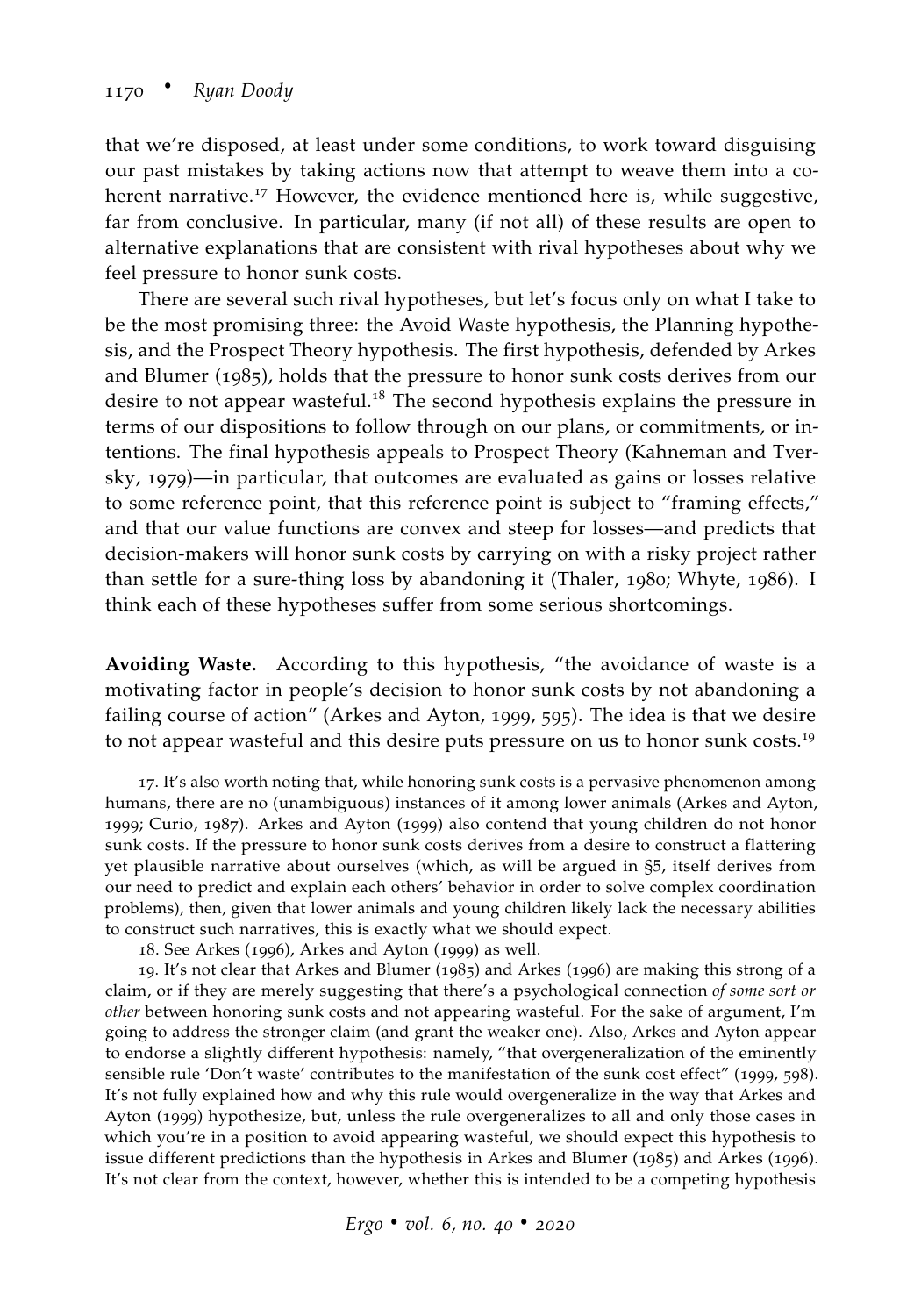that we're disposed, at least under some conditions, to work toward disguising our past mistakes by taking actions now that attempt to weave them into a coherent narrative.<sup>17</sup> However, the evidence mentioned here is, while suggestive, far from conclusive. In particular, many (if not all) of these results are open to alternative explanations that are consistent with rival hypotheses about why we feel pressure to honor sunk costs.

There are several such rival hypotheses, but let's focus only on what I take to be the most promising three: the Avoid Waste hypothesis, the Planning hypothesis, and the Prospect Theory hypothesis. The first hypothesis, defended by [Arkes](#page-33-0) [and Blumer](#page-33-0) ([1985](#page-33-0)), holds that the pressure to honor sunk costs derives from our desire to not appear wasteful.<sup>18</sup> The second hypothesis explains the pressure in terms of our dispositions to follow through on our plans, or commitments, or intentions. The final hypothesis appeals to Prospect Theory [\(Kahneman and Tver](#page-35-5)[sky,](#page-35-5) [1979](#page-35-5))—in particular, that outcomes are evaluated as gains or losses relative to some reference point, that this reference point is subject to "framing effects," and that our value functions are convex and steep for losses—and predicts that decision-makers will honor sunk costs by carrying on with a risky project rather than settle for a sure-thing loss by abandoning it [\(Thaler,](#page-37-3) [1980](#page-37-3); [Whyte,](#page-37-4) [1986](#page-37-4)). I think each of these hypotheses suffer from some serious shortcomings.

**Avoiding Waste.** According to this hypothesis, "the avoidance of waste is a motivating factor in people's decision to honor sunk costs by not abandoning a failing course of action" [\(Arkes and Ayton,](#page-32-0) [1999](#page-32-0), 595). The idea is that we desire to not appear wasteful and this desire puts pressure on us to honor sunk costs.<sup>19</sup>

<sup>17</sup>. It's also worth noting that, while honoring sunk costs is a pervasive phenomenon among humans, there are no (unambiguous) instances of it among lower animals [\(Arkes and Ayton,](#page-32-0) [1999](#page-32-0); [Curio,](#page-34-4) [1987](#page-34-4)). [Arkes and Ayton](#page-32-0) ([1999](#page-32-0)) also contend that young children do not honor sunk costs. If the pressure to honor sunk costs derives from a desire to construct a flattering yet plausible narrative about ourselves (which, as will be argued in §5, itself derives from our need to predict and explain each others' behavior in order to solve complex coordination problems), then, given that lower animals and young children likely lack the necessary abilities to construct such narratives, this is exactly what we should expect.

<sup>18</sup>. See [Arkes](#page-32-1) ([1996](#page-32-1)), [Arkes and Ayton](#page-32-0) ([1999](#page-32-0)) as well.

<sup>19</sup>. It's not clear that [Arkes and Blumer](#page-33-0) ([1985](#page-33-0)) and [Arkes](#page-32-1) ([1996](#page-32-1)) are making this strong of a claim, or if they are merely suggesting that there's a psychological connection *of some sort or other* between honoring sunk costs and not appearing wasteful. For the sake of argument, I'm going to address the stronger claim (and grant the weaker one). Also, [Arkes and Ayton](#page-32-0) appear to endorse a slightly different hypothesis: namely, "that overgeneralization of the eminently sensible rule 'Don't waste' contributes to the manifestation of the sunk cost effect" ([1999](#page-32-0), 598). It's not fully explained how and why this rule would overgeneralize in the way that [Arkes and](#page-32-0) [Ayton](#page-32-0) ([1999](#page-32-0)) hypothesize, but, unless the rule overgeneralizes to all and only those cases in which you're in a position to avoid appearing wasteful, we should expect this hypothesis to issue different predictions than the hypothesis in [Arkes and Blumer](#page-33-0) ([1985](#page-33-0)) and [Arkes](#page-32-1) ([1996](#page-32-1)). It's not clear from the context, however, whether this is intended to be a competing hypothesis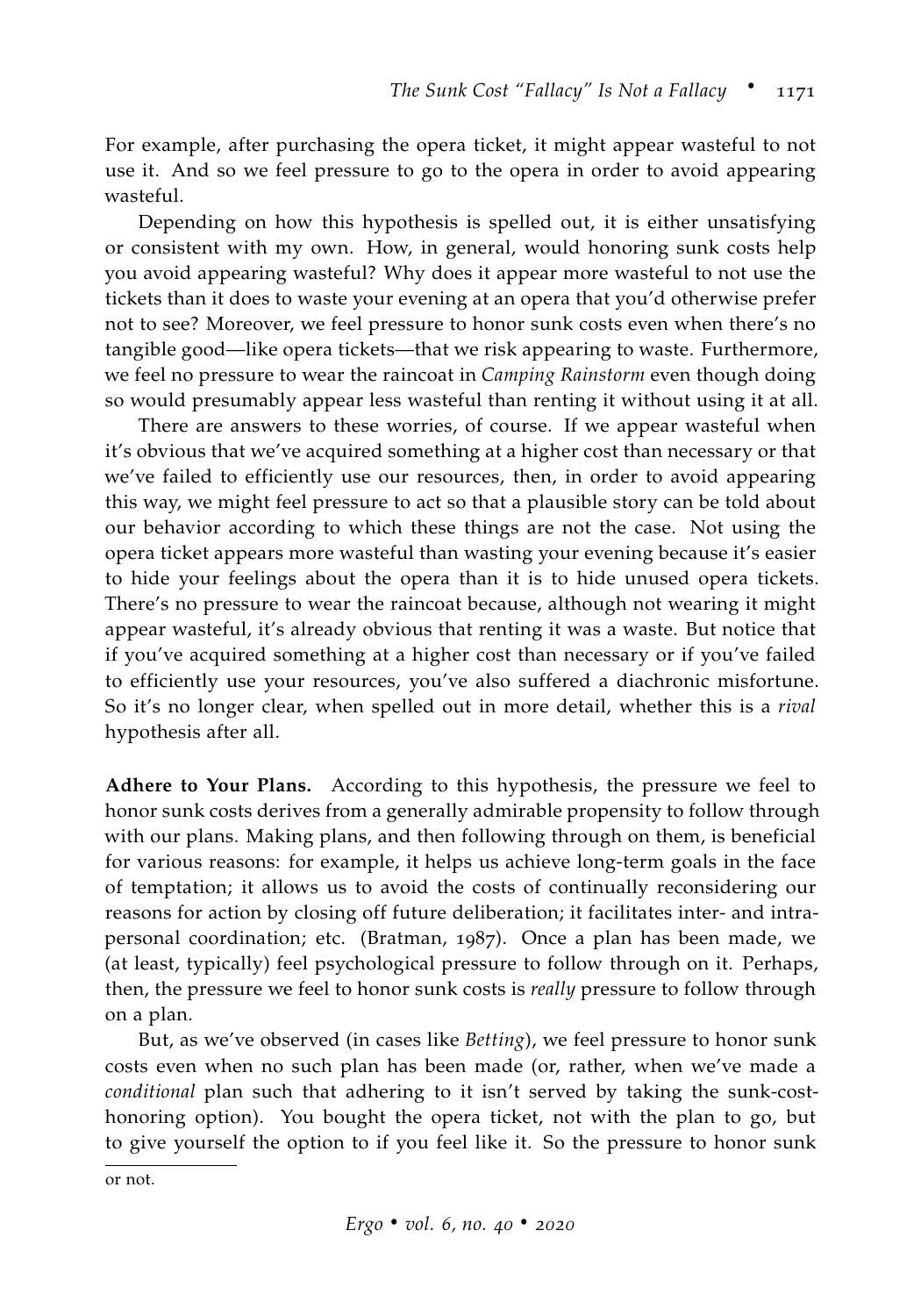For example, after purchasing the opera ticket, it might appear wasteful to not use it. And so we feel pressure to go to the opera in order to avoid appearing wasteful.

Depending on how this hypothesis is spelled out, it is either unsatisfying or consistent with my own. How, in general, would honoring sunk costs help you avoid appearing wasteful? Why does it appear more wasteful to not use the tickets than it does to waste your evening at an opera that you'd otherwise prefer not to see? Moreover, we feel pressure to honor sunk costs even when there's no tangible good—like opera tickets—that we risk appearing to waste. Furthermore, we feel no pressure to wear the raincoat in *Camping Rainstorm* even though doing so would presumably appear less wasteful than renting it without using it at all.

There are answers to these worries, of course. If we appear wasteful when it's obvious that we've acquired something at a higher cost than necessary or that we've failed to efficiently use our resources, then, in order to avoid appearing this way, we might feel pressure to act so that a plausible story can be told about our behavior according to which these things are not the case. Not using the opera ticket appears more wasteful than wasting your evening because it's easier to hide your feelings about the opera than it is to hide unused opera tickets. There's no pressure to wear the raincoat because, although not wearing it might appear wasteful, it's already obvious that renting it was a waste. But notice that if you've acquired something at a higher cost than necessary or if you've failed to efficiently use your resources, you've also suffered a diachronic misfortune. So it's no longer clear, when spelled out in more detail, whether this is a *rival* hypothesis after all.

**Adhere to Your Plans.** According to this hypothesis, the pressure we feel to honor sunk costs derives from a generally admirable propensity to follow through with our plans. Making plans, and then following through on them, is beneficial for various reasons: for example, it helps us achieve long-term goals in the face of temptation; it allows us to avoid the costs of continually reconsidering our reasons for action by closing off future deliberation; it facilitates inter- and intrapersonal coordination; etc. [\(Bratman,](#page-33-6) [1987](#page-33-6)). Once a plan has been made, we (at least, typically) feel psychological pressure to follow through on it. Perhaps, then, the pressure we feel to honor sunk costs is *really* pressure to follow through on a plan.

But, as we've observed (in cases like *Betting*), we feel pressure to honor sunk costs even when no such plan has been made (or, rather, when we've made a *conditional* plan such that adhering to it isn't served by taking the sunk-costhonoring option). You bought the opera ticket, not with the plan to go, but to give yourself the option to if you feel like it. So the pressure to honor sunk

or not.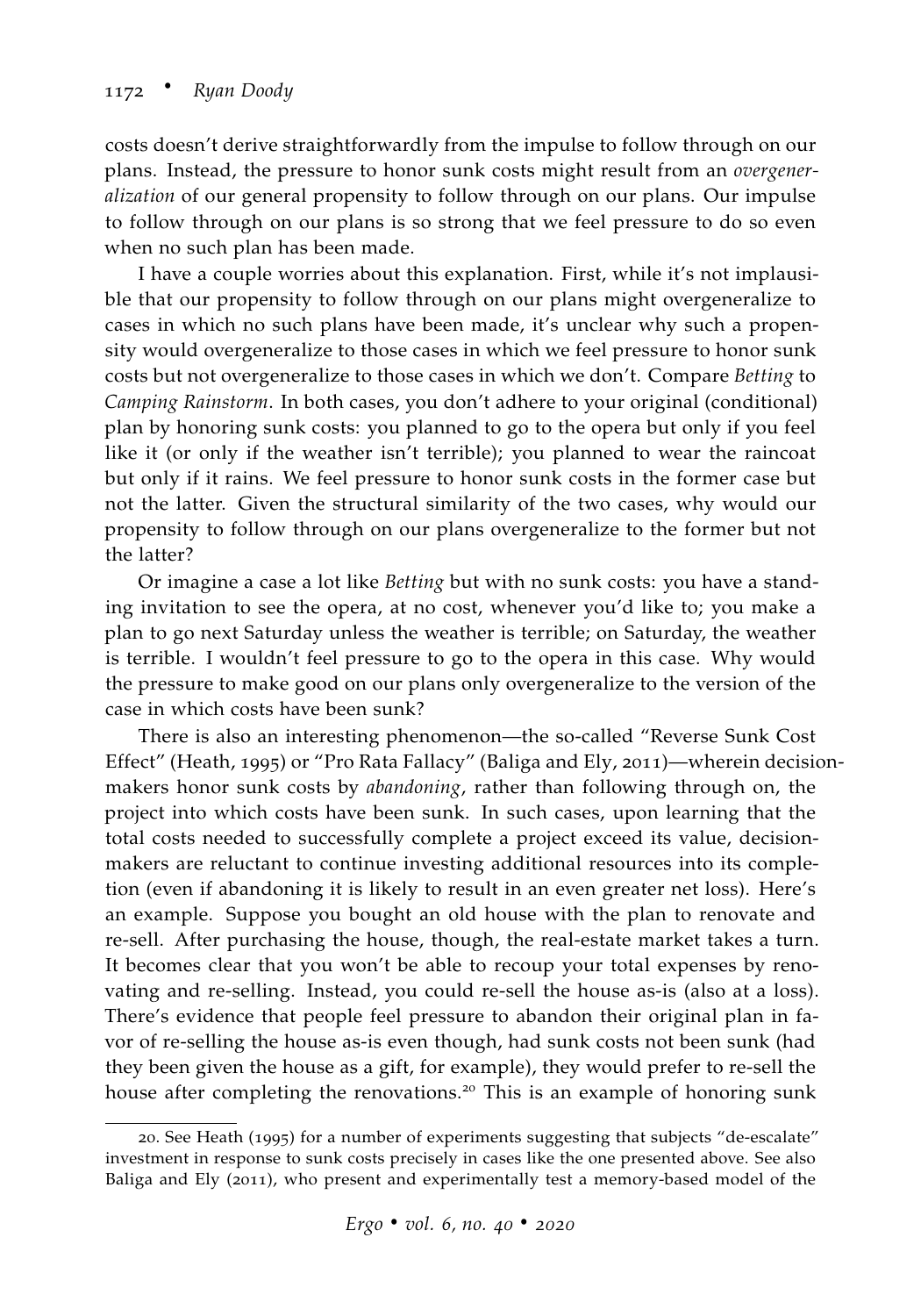costs doesn't derive straightforwardly from the impulse to follow through on our plans. Instead, the pressure to honor sunk costs might result from an *overgeneralization* of our general propensity to follow through on our plans. Our impulse to follow through on our plans is so strong that we feel pressure to do so even when no such plan has been made.

I have a couple worries about this explanation. First, while it's not implausible that our propensity to follow through on our plans might overgeneralize to cases in which no such plans have been made, it's unclear why such a propensity would overgeneralize to those cases in which we feel pressure to honor sunk costs but not overgeneralize to those cases in which we don't. Compare *Betting* to *Camping Rainstorm*. In both cases, you don't adhere to your original (conditional) plan by honoring sunk costs: you planned to go to the opera but only if you feel like it (or only if the weather isn't terrible); you planned to wear the raincoat but only if it rains. We feel pressure to honor sunk costs in the former case but not the latter. Given the structural similarity of the two cases, why would our propensity to follow through on our plans overgeneralize to the former but not the latter?

Or imagine a case a lot like *Betting* but with no sunk costs: you have a standing invitation to see the opera, at no cost, whenever you'd like to; you make a plan to go next Saturday unless the weather is terrible; on Saturday, the weather is terrible. I wouldn't feel pressure to go to the opera in this case. Why would the pressure to make good on our plans only overgeneralize to the version of the case in which costs have been sunk?

There is also an interesting phenomenon—the so-called "Reverse Sunk Cost Effect" [\(Heath,](#page-34-5) [1995](#page-34-5)) or "Pro Rata Fallacy" [\(Baliga and Ely,](#page-33-7) [2011](#page-33-7))—wherein decisionmakers honor sunk costs by *abandoning*, rather than following through on, the project into which costs have been sunk. In such cases, upon learning that the total costs needed to successfully complete a project exceed its value, decisionmakers are reluctant to continue investing additional resources into its completion (even if abandoning it is likely to result in an even greater net loss). Here's an example. Suppose you bought an old house with the plan to renovate and re-sell. After purchasing the house, though, the real-estate market takes a turn. It becomes clear that you won't be able to recoup your total expenses by renovating and re-selling. Instead, you could re-sell the house as-is (also at a loss). There's evidence that people feel pressure to abandon their original plan in favor of re-selling the house as-is even though, had sunk costs not been sunk (had they been given the house as a gift, for example), they would prefer to re-sell the house after completing the renovations.<sup>20</sup> This is an example of honoring sunk

<sup>20</sup>. See [Heath](#page-34-5) ([1995](#page-34-5)) for a number of experiments suggesting that subjects "de-escalate" investment in response to sunk costs precisely in cases like the one presented above. See also [Baliga and Ely](#page-33-7) ([2011](#page-33-7)), who present and experimentally test a memory-based model of the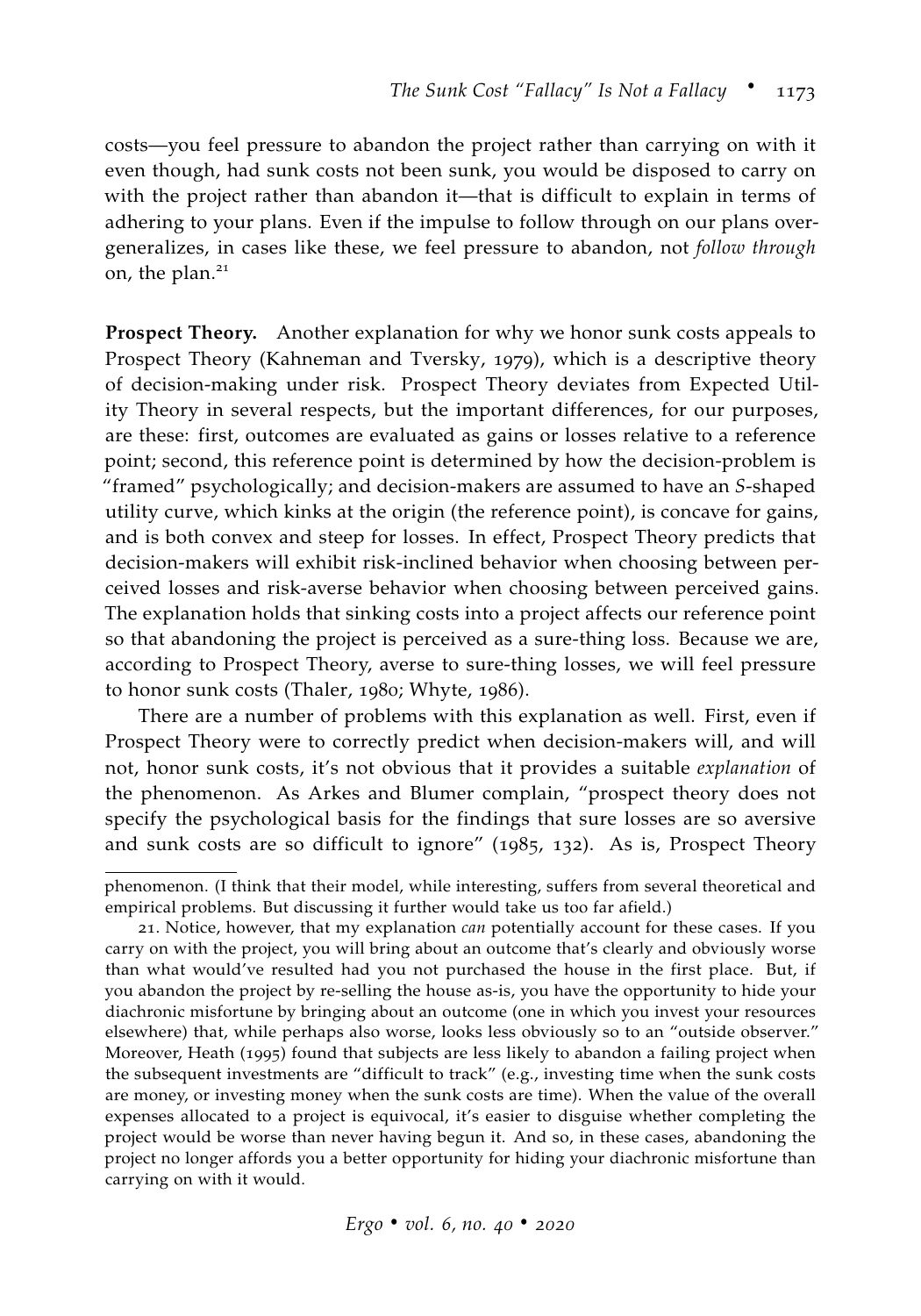costs—you feel pressure to abandon the project rather than carrying on with it even though, had sunk costs not been sunk, you would be disposed to carry on with the project rather than abandon it—that is difficult to explain in terms of adhering to your plans. Even if the impulse to follow through on our plans overgeneralizes, in cases like these, we feel pressure to abandon, not *follow through* on, the plan.<sup>21</sup>

**Prospect Theory.** Another explanation for why we honor sunk costs appeals to Prospect Theory [\(Kahneman and Tversky,](#page-35-5) [1979](#page-35-5)), which is a descriptive theory of decision-making under risk. Prospect Theory deviates from Expected Utility Theory in several respects, but the important differences, for our purposes, are these: first, outcomes are evaluated as gains or losses relative to a reference point; second, this reference point is determined by how the decision-problem is "framed" psychologically; and decision-makers are assumed to have an *S*-shaped utility curve, which kinks at the origin (the reference point), is concave for gains, and is both convex and steep for losses. In effect, Prospect Theory predicts that decision-makers will exhibit risk-inclined behavior when choosing between perceived losses and risk-averse behavior when choosing between perceived gains. The explanation holds that sinking costs into a project affects our reference point so that abandoning the project is perceived as a sure-thing loss. Because we are, according to Prospect Theory, averse to sure-thing losses, we will feel pressure to honor sunk costs [\(Thaler,](#page-37-3) [1980](#page-37-3); [Whyte,](#page-37-4) [1986](#page-37-4)).

There are a number of problems with this explanation as well. First, even if Prospect Theory were to correctly predict when decision-makers will, and will not, honor sunk costs, it's not obvious that it provides a suitable *explanation* of the phenomenon. As [Arkes and Blumer](#page-33-0) complain, "prospect theory does not specify the psychological basis for the findings that sure losses are so aversive and sunk costs are so difficult to ignore" ([1985](#page-33-0), 132). As is, Prospect Theory

phenomenon. (I think that their model, while interesting, suffers from several theoretical and empirical problems. But discussing it further would take us too far afield.)

<sup>21</sup>. Notice, however, that my explanation *can* potentially account for these cases. If you carry on with the project, you will bring about an outcome that's clearly and obviously worse than what would've resulted had you not purchased the house in the first place. But, if you abandon the project by re-selling the house as-is, you have the opportunity to hide your diachronic misfortune by bringing about an outcome (one in which you invest your resources elsewhere) that, while perhaps also worse, looks less obviously so to an "outside observer." Moreover, [Heath](#page-34-5) ([1995](#page-34-5)) found that subjects are less likely to abandon a failing project when the subsequent investments are "difficult to track" (e.g., investing time when the sunk costs are money, or investing money when the sunk costs are time). When the value of the overall expenses allocated to a project is equivocal, it's easier to disguise whether completing the project would be worse than never having begun it. And so, in these cases, abandoning the project no longer affords you a better opportunity for hiding your diachronic misfortune than carrying on with it would.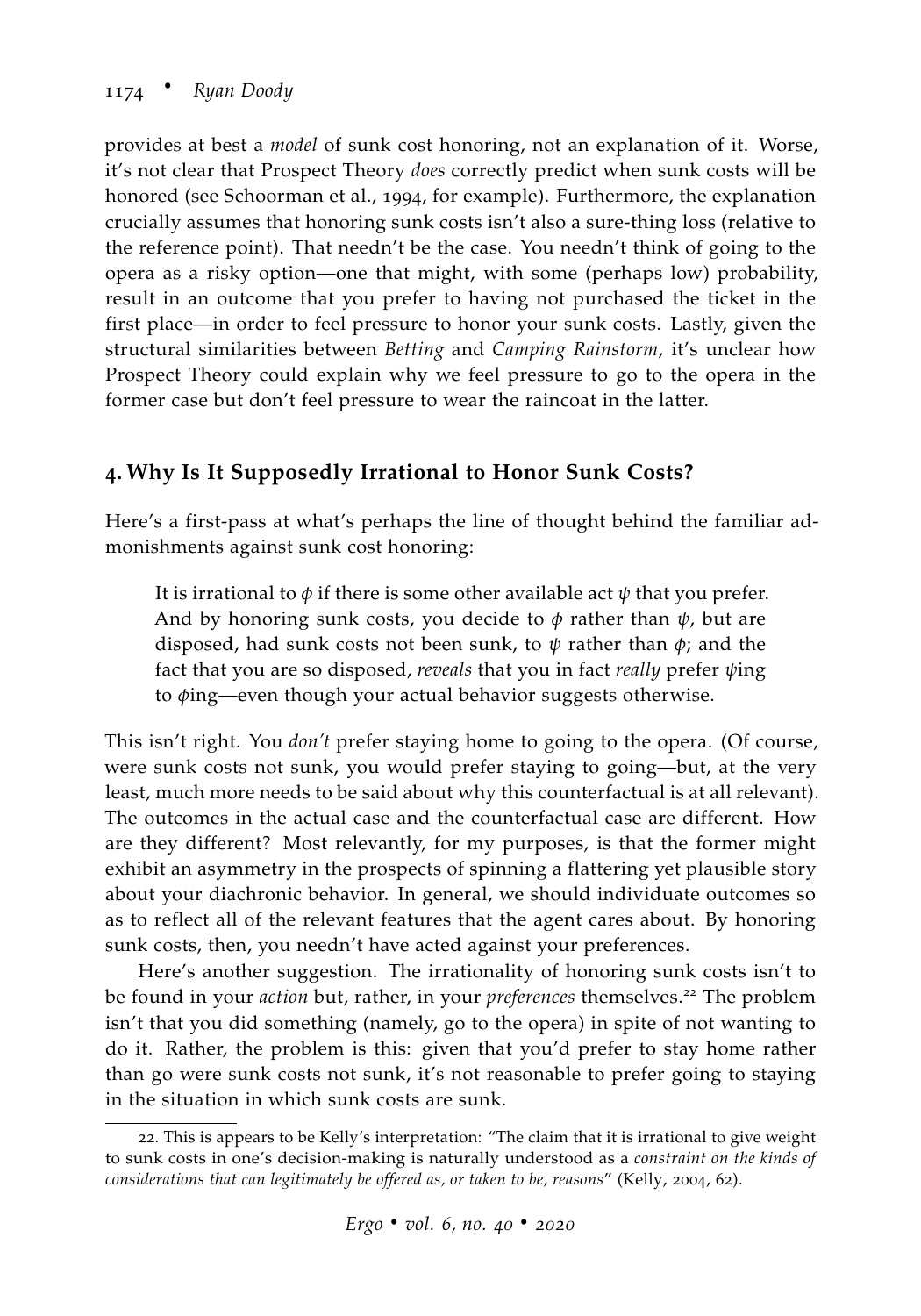provides at best a *model* of sunk cost honoring, not an explanation of it. Worse, it's not clear that Prospect Theory *does* correctly predict when sunk costs will be honored (see [Schoorman et al.,](#page-36-7) [1994](#page-36-7), for example). Furthermore, the explanation crucially assumes that honoring sunk costs isn't also a sure-thing loss (relative to the reference point). That needn't be the case. You needn't think of going to the opera as a risky option—one that might, with some (perhaps low) probability, result in an outcome that you prefer to having not purchased the ticket in the first place—in order to feel pressure to honor your sunk costs. Lastly, given the structural similarities between *Betting* and *Camping Rainstorm*, it's unclear how Prospect Theory could explain why we feel pressure to go to the opera in the former case but don't feel pressure to wear the raincoat in the latter.

# **4. Why Is It Supposedly Irrational to Honor Sunk Costs?**

Here's a first-pass at what's perhaps the line of thought behind the familiar admonishments against sunk cost honoring:

It is irrational to  $\phi$  if there is some other available act  $\psi$  that you prefer. And by honoring sunk costs, you decide to *φ* rather than *ψ*, but are disposed, had sunk costs not been sunk, to *ψ* rather than *φ*; and the fact that you are so disposed, *reveals* that you in fact *really* prefer *ψ*ing to *φ*ing—even though your actual behavior suggests otherwise.

This isn't right. You *don't* prefer staying home to going to the opera. (Of course, were sunk costs not sunk, you would prefer staying to going—but, at the very least, much more needs to be said about why this counterfactual is at all relevant). The outcomes in the actual case and the counterfactual case are different. How are they different? Most relevantly, for my purposes, is that the former might exhibit an asymmetry in the prospects of spinning a flattering yet plausible story about your diachronic behavior. In general, we should individuate outcomes so as to reflect all of the relevant features that the agent cares about. By honoring sunk costs, then, you needn't have acted against your preferences.

Here's another suggestion. The irrationality of honoring sunk costs isn't to be found in your *action* but, rather, in your *preferences* themselves.<sup>22</sup> The problem isn't that you did something (namely, go to the opera) in spite of not wanting to do it. Rather, the problem is this: given that you'd prefer to stay home rather than go were sunk costs not sunk, it's not reasonable to prefer going to staying in the situation in which sunk costs are sunk.

<sup>22</sup>. This is appears to be Kelly's interpretation: "The claim that it is irrational to give weight to sunk costs in one's decision-making is naturally understood as a *constraint on the kinds of considerations that can legitimately be offered as, or taken to be, reasons*" [\(Kelly,](#page-35-3) [2004](#page-35-3), 62).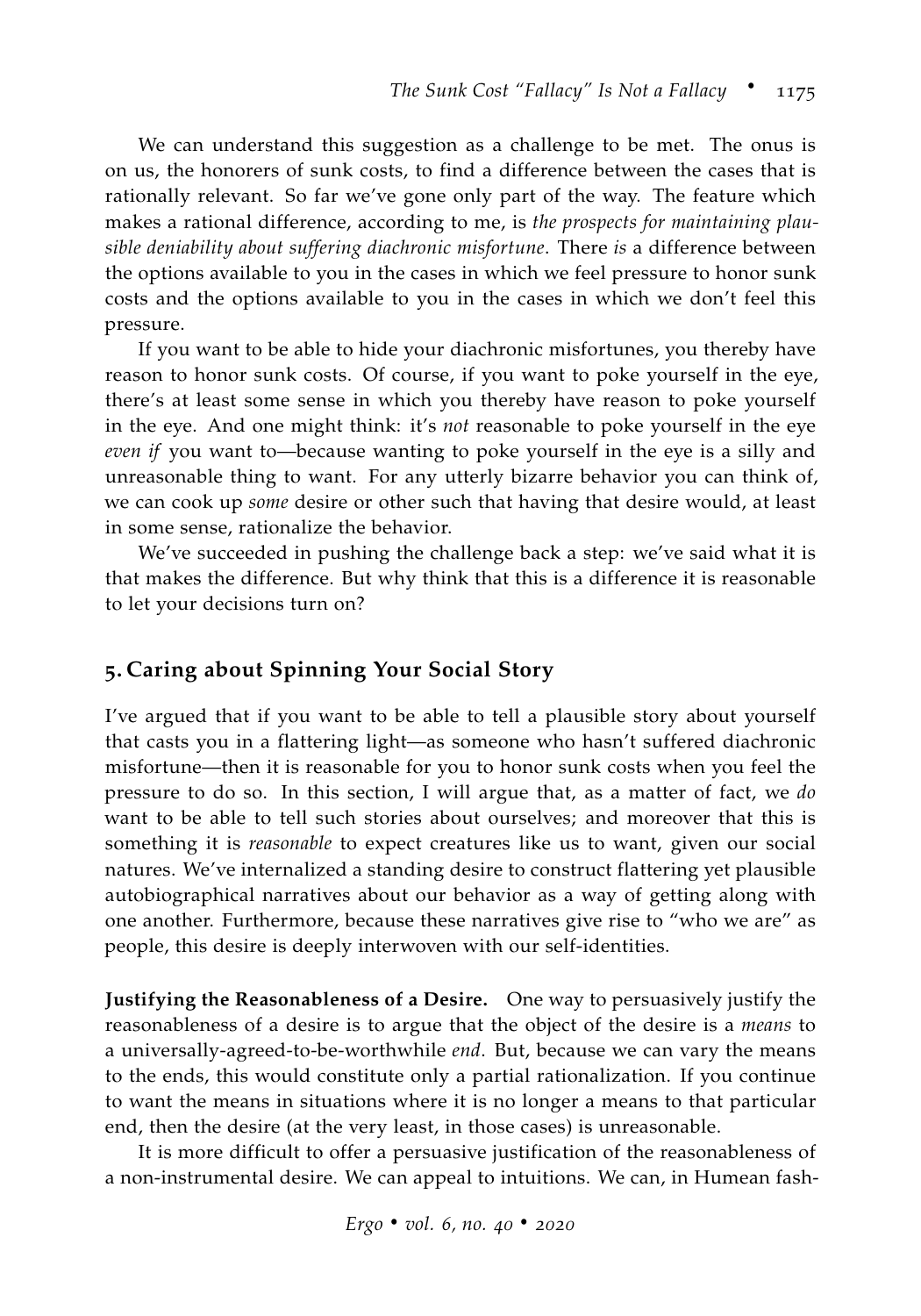We can understand this suggestion as a challenge to be met. The onus is on us, the honorers of sunk costs, to find a difference between the cases that is rationally relevant. So far we've gone only part of the way. The feature which makes a rational difference, according to me, is *the prospects for maintaining plausible deniability about suffering diachronic misfortune*. There *is* a difference between the options available to you in the cases in which we feel pressure to honor sunk costs and the options available to you in the cases in which we don't feel this pressure.

If you want to be able to hide your diachronic misfortunes, you thereby have reason to honor sunk costs. Of course, if you want to poke yourself in the eye, there's at least some sense in which you thereby have reason to poke yourself in the eye. And one might think: it's *not* reasonable to poke yourself in the eye *even if* you want to—because wanting to poke yourself in the eye is a silly and unreasonable thing to want. For any utterly bizarre behavior you can think of, we can cook up *some* desire or other such that having that desire would, at least in some sense, rationalize the behavior.

We've succeeded in pushing the challenge back a step: we've said what it is that makes the difference. But why think that this is a difference it is reasonable to let your decisions turn on?

## <span id="page-22-0"></span>**5. Caring about Spinning Your Social Story**

I've argued that if you want to be able to tell a plausible story about yourself that casts you in a flattering light—as someone who hasn't suffered diachronic misfortune—then it is reasonable for you to honor sunk costs when you feel the pressure to do so. In this section, I will argue that, as a matter of fact, we *do* want to be able to tell such stories about ourselves; and moreover that this is something it is *reasonable* to expect creatures like us to want, given our social natures. We've internalized a standing desire to construct flattering yet plausible autobiographical narratives about our behavior as a way of getting along with one another. Furthermore, because these narratives give rise to "who we are" as people, this desire is deeply interwoven with our self-identities.

**Justifying the Reasonableness of a Desire.** One way to persuasively justify the reasonableness of a desire is to argue that the object of the desire is a *means* to a universally-agreed-to-be-worthwhile *end*. But, because we can vary the means to the ends, this would constitute only a partial rationalization. If you continue to want the means in situations where it is no longer a means to that particular end, then the desire (at the very least, in those cases) is unreasonable.

It is more difficult to offer a persuasive justification of the reasonableness of a non-instrumental desire. We can appeal to intuitions. We can, in Humean fash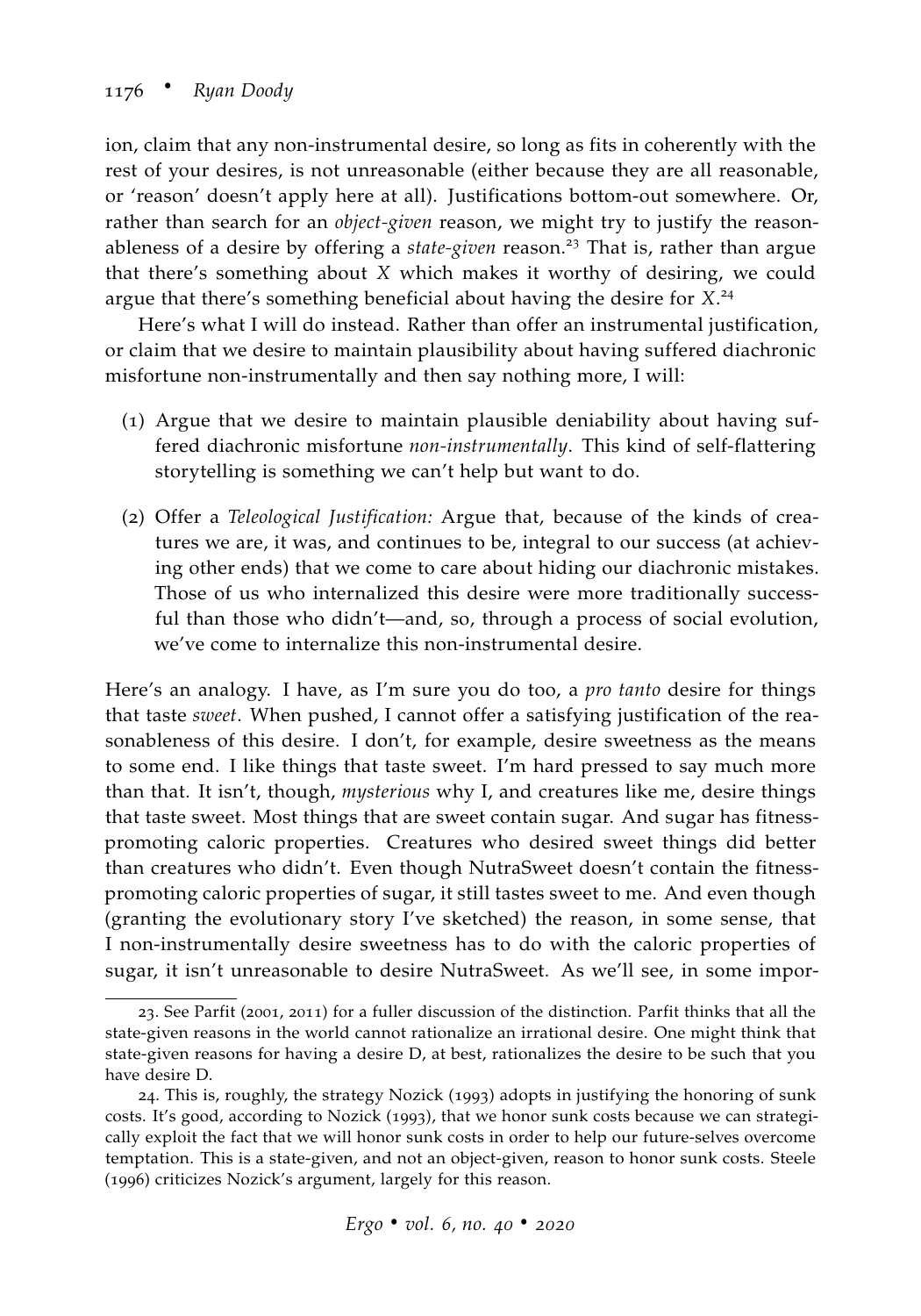ion, claim that any non-instrumental desire, so long as fits in coherently with the rest of your desires, is not unreasonable (either because they are all reasonable, or 'reason' doesn't apply here at all). Justifications bottom-out somewhere. Or, rather than search for an *object-given* reason, we might try to justify the reasonableness of a desire by offering a *state-given* reason.<sup>23</sup> That is, rather than argue that there's something about *X* which makes it worthy of desiring, we could argue that there's something beneficial about having the desire for *X*. 24

Here's what I will do instead. Rather than offer an instrumental justification, or claim that we desire to maintain plausibility about having suffered diachronic misfortune non-instrumentally and then say nothing more, I will:

- (1) Argue that we desire to maintain plausible deniability about having suffered diachronic misfortune *non-instrumentally*. This kind of self-flattering storytelling is something we can't help but want to do.
- (2) Offer a *Teleological Justification:* Argue that, because of the kinds of creatures we are, it was, and continues to be, integral to our success (at achieving other ends) that we come to care about hiding our diachronic mistakes. Those of us who internalized this desire were more traditionally successful than those who didn't—and, so, through a process of social evolution, we've come to internalize this non-instrumental desire.

Here's an analogy. I have, as I'm sure you do too, a *pro tanto* desire for things that taste *sweet*. When pushed, I cannot offer a satisfying justification of the reasonableness of this desire. I don't, for example, desire sweetness as the means to some end. I like things that taste sweet. I'm hard pressed to say much more than that. It isn't, though, *mysterious* why I, and creatures like me, desire things that taste sweet. Most things that are sweet contain sugar. And sugar has fitnesspromoting caloric properties. Creatures who desired sweet things did better than creatures who didn't. Even though NutraSweet doesn't contain the fitnesspromoting caloric properties of sugar, it still tastes sweet to me. And even though (granting the evolutionary story I've sketched) the reason, in some sense, that I non-instrumentally desire sweetness has to do with the caloric properties of sugar, it isn't unreasonable to desire NutraSweet. As we'll see, in some impor-

<sup>23</sup>. See [Parfit](#page-36-8) ([2001](#page-36-8), [2011](#page-36-9)) for a fuller discussion of the distinction. Parfit thinks that all the state-given reasons in the world cannot rationalize an irrational desire. One might think that state-given reasons for having a desire D, at best, rationalizes the desire to be such that you have desire D.

<sup>24</sup>. This is, roughly, the strategy [Nozick](#page-36-1) ([1993](#page-36-1)) adopts in justifying the honoring of sunk costs. It's good, according to [Nozick](#page-36-1) ([1993](#page-36-1)), that we honor sunk costs because we can strategically exploit the fact that we will honor sunk costs in order to help our future-selves overcome temptation. This is a state-given, and not an object-given, reason to honor sunk costs. [Steele](#page-37-2) ([1996](#page-37-2)) criticizes Nozick's argument, largely for this reason.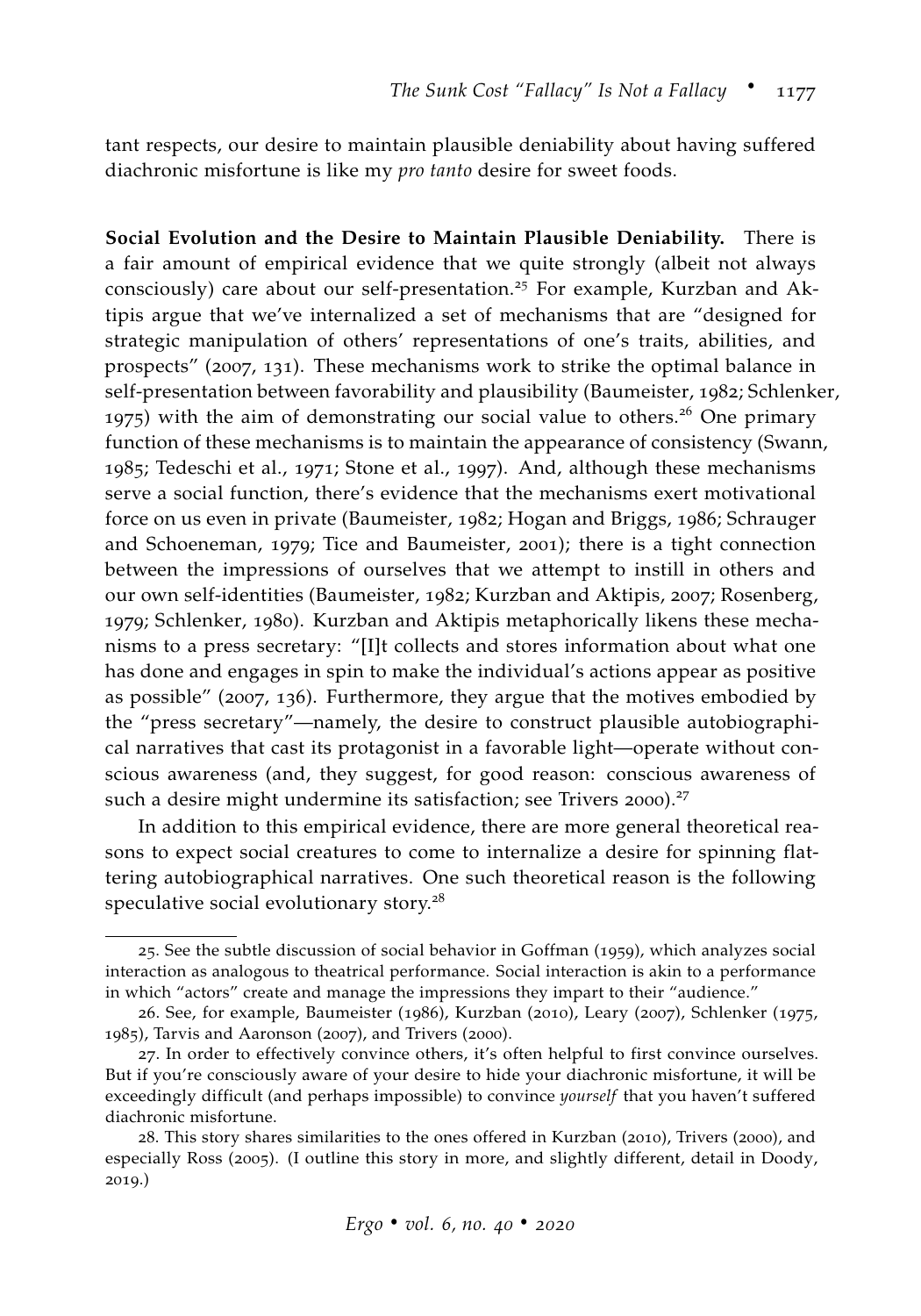tant respects, our desire to maintain plausible deniability about having suffered diachronic misfortune is like my *pro tanto* desire for sweet foods.

**Social Evolution and the Desire to Maintain Plausible Deniability.** There is a fair amount of empirical evidence that we quite strongly (albeit not always consciously) care about our self-presentation.<sup>25</sup> For example, [Kurzban and Ak](#page-35-6)[tipis](#page-35-6) argue that we've internalized a set of mechanisms that are "designed for strategic manipulation of others' representations of one's traits, abilities, and prospects" ([2007](#page-35-6), 131). These mechanisms work to strike the optimal balance in self-presentation between favorability and plausibility [\(Baumeister,](#page-33-8) [1982](#page-33-8); [Schlenker,](#page-36-10) [1975](#page-36-10)) with the aim of demonstrating our social value to others.<sup>26</sup> One primary function of these mechanisms is to maintain the appearance of consistency [\(Swann,](#page-37-5) [1985](#page-37-5); [Tedeschi et al.,](#page-37-6) [1971](#page-37-6); [Stone et al.,](#page-37-7) [1997](#page-37-7)). And, although these mechanisms serve a social function, there's evidence that the mechanisms exert motivational force on us even in private [\(Baumeister,](#page-33-8) [1982](#page-33-8); [Hogan and Briggs,](#page-35-7) [1986](#page-35-7); [Schrauger](#page-36-11) [and Schoeneman,](#page-36-11) [1979](#page-36-11); [Tice and Baumeister,](#page-37-8) [2001](#page-37-8)); there is a tight connection between the impressions of ourselves that we attempt to instill in others and our own self-identities [\(Baumeister,](#page-33-8) [1982](#page-33-8); [Kurzban and Aktipis,](#page-35-6) [2007](#page-35-6); [Rosenberg,](#page-36-12) [1979](#page-36-12); [Schlenker,](#page-36-13) [1980](#page-36-13)). [Kurzban and Aktipis](#page-35-6) metaphorically likens these mechanisms to a press secretary: "[I]t collects and stores information about what one has done and engages in spin to make the individual's actions appear as positive as possible" ([2007](#page-35-6), 136). Furthermore, they argue that the motives embodied by the "press secretary"—namely, the desire to construct plausible autobiographical narratives that cast its protagonist in a favorable light—operate without conscious awareness (and, they suggest, for good reason: conscious awareness of such a desire might undermine its satisfaction; see [Trivers](#page-37-9) [2000](#page-37-9)).<sup>27</sup>

In addition to this empirical evidence, there are more general theoretical reasons to expect social creatures to come to internalize a desire for spinning flattering autobiographical narratives. One such theoretical reason is the following speculative social evolutionary story.<sup>28</sup>

<sup>25</sup>. See the subtle discussion of social behavior in [Goffman](#page-34-6) ([1959](#page-34-6)), which analyzes social interaction as analogous to theatrical performance. Social interaction is akin to a performance in which "actors" create and manage the impressions they impart to their "audience."

<sup>26</sup>. See, for example, [Baumeister](#page-33-9) ([1986](#page-33-9)), [Kurzban](#page-35-8) ([2010](#page-35-8)), [Leary](#page-35-9) ([2007](#page-35-9)), [Schlenker](#page-36-10) ([1975](#page-36-10), [1985](#page-36-14)), [Tarvis and Aaronson](#page-37-10) ([2007](#page-37-10)), and [Trivers](#page-37-9) ([2000](#page-37-9)).

<sup>27</sup>. In order to effectively convince others, it's often helpful to first convince ourselves. But if you're consciously aware of your desire to hide your diachronic misfortune, it will be exceedingly difficult (and perhaps impossible) to convince *yourself* that you haven't suffered diachronic misfortune.

<sup>28</sup>. This story shares similarities to the ones offered in [Kurzban](#page-35-8) ([2010](#page-35-8)), [Trivers](#page-37-9) ([2000](#page-37-9)), and especially [Ross](#page-36-15) ([2005](#page-36-15)). (I outline this story in more, and slightly different, detail in [Doody,](#page-34-7) [2019](#page-34-7).)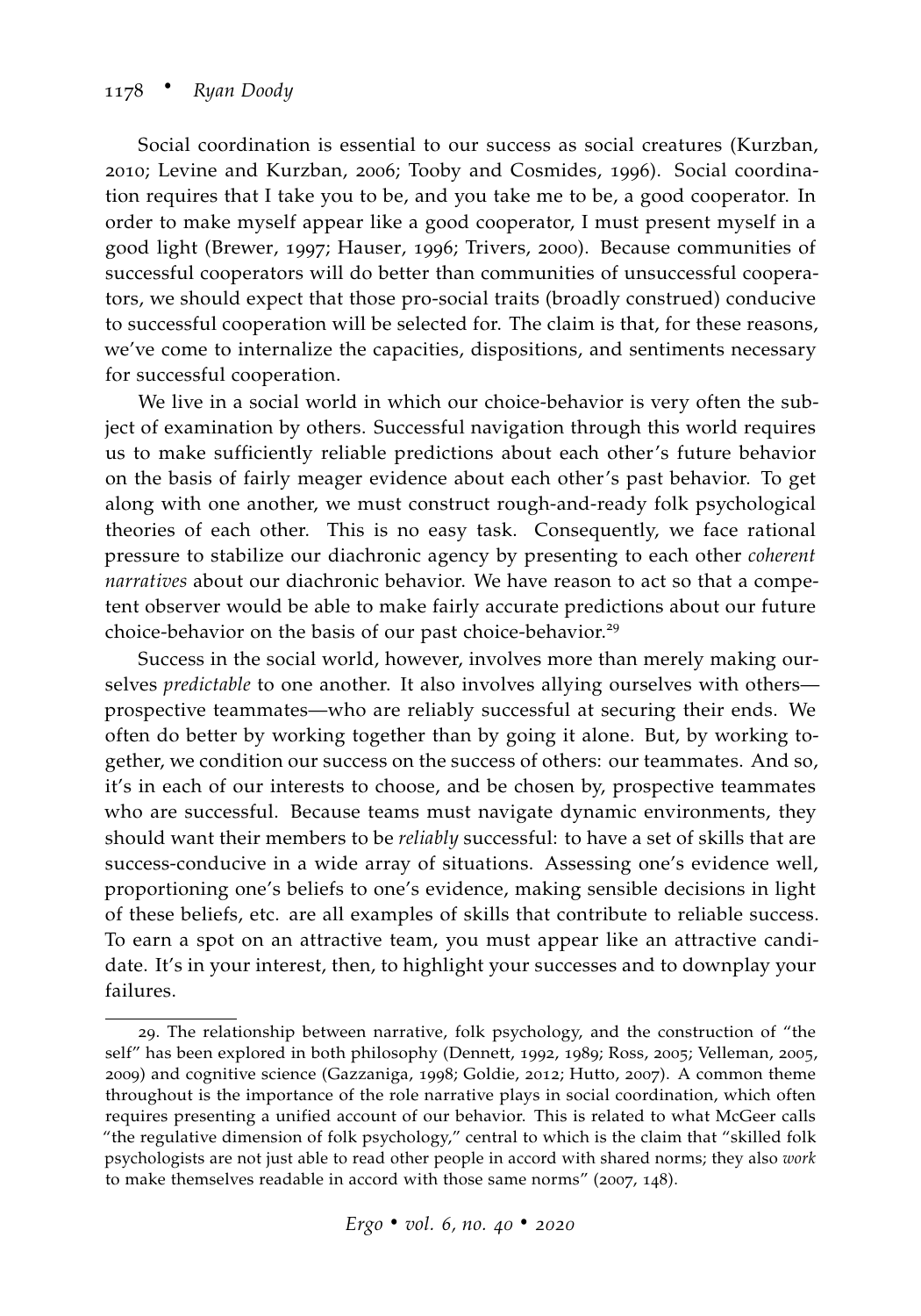Social coordination is essential to our success as social creatures [\(Kurzban,](#page-35-8) [2010](#page-35-8); [Levine and Kurzban,](#page-35-10) [2006](#page-35-10); [Tooby and Cosmides,](#page-37-11) [1996](#page-37-11)). Social coordination requires that I take you to be, and you take me to be, a good cooperator. In order to make myself appear like a good cooperator, I must present myself in a good light [\(Brewer,](#page-33-10) [1997](#page-33-10); [Hauser,](#page-34-8) [1996](#page-34-8); [Trivers,](#page-37-9) [2000](#page-37-9)). Because communities of successful cooperators will do better than communities of unsuccessful cooperators, we should expect that those pro-social traits (broadly construed) conducive to successful cooperation will be selected for. The claim is that, for these reasons, we've come to internalize the capacities, dispositions, and sentiments necessary for successful cooperation.

We live in a social world in which our choice-behavior is very often the subject of examination by others. Successful navigation through this world requires us to make sufficiently reliable predictions about each other's future behavior on the basis of fairly meager evidence about each other's past behavior. To get along with one another, we must construct rough-and-ready folk psychological theories of each other. This is no easy task. Consequently, we face rational pressure to stabilize our diachronic agency by presenting to each other *coherent narratives* about our diachronic behavior. We have reason to act so that a competent observer would be able to make fairly accurate predictions about our future choice-behavior on the basis of our past choice-behavior.<sup>29</sup>

Success in the social world, however, involves more than merely making ourselves *predictable* to one another. It also involves allying ourselves with others prospective teammates—who are reliably successful at securing their ends. We often do better by working together than by going it alone. But, by working together, we condition our success on the success of others: our teammates. And so, it's in each of our interests to choose, and be chosen by, prospective teammates who are successful. Because teams must navigate dynamic environments, they should want their members to be *reliably* successful: to have a set of skills that are success-conducive in a wide array of situations. Assessing one's evidence well, proportioning one's beliefs to one's evidence, making sensible decisions in light of these beliefs, etc. are all examples of skills that contribute to reliable success. To earn a spot on an attractive team, you must appear like an attractive candidate. It's in your interest, then, to highlight your successes and to downplay your failures.

<sup>29</sup>. The relationship between narrative, folk psychology, and the construction of "the self" has been explored in both philosophy [\(Dennett,](#page-34-9) [1992](#page-34-9), [1989](#page-34-10); [Ross,](#page-36-15) [2005](#page-36-15); [Velleman,](#page-37-12) [2005](#page-37-12), [2009](#page-37-13)) and cognitive science [\(Gazzaniga,](#page-34-11) [1998](#page-34-11); [Goldie,](#page-34-12) [2012](#page-34-12); [Hutto,](#page-35-11) [2007](#page-35-11)). A common theme throughout is the importance of the role narrative plays in social coordination, which often requires presenting a unified account of our behavior. This is related to what [McGeer](#page-36-16) calls "the regulative dimension of folk psychology," central to which is the claim that "skilled folk psychologists are not just able to read other people in accord with shared norms; they also *work* to make themselves readable in accord with those same norms" ([2007](#page-36-16), 148).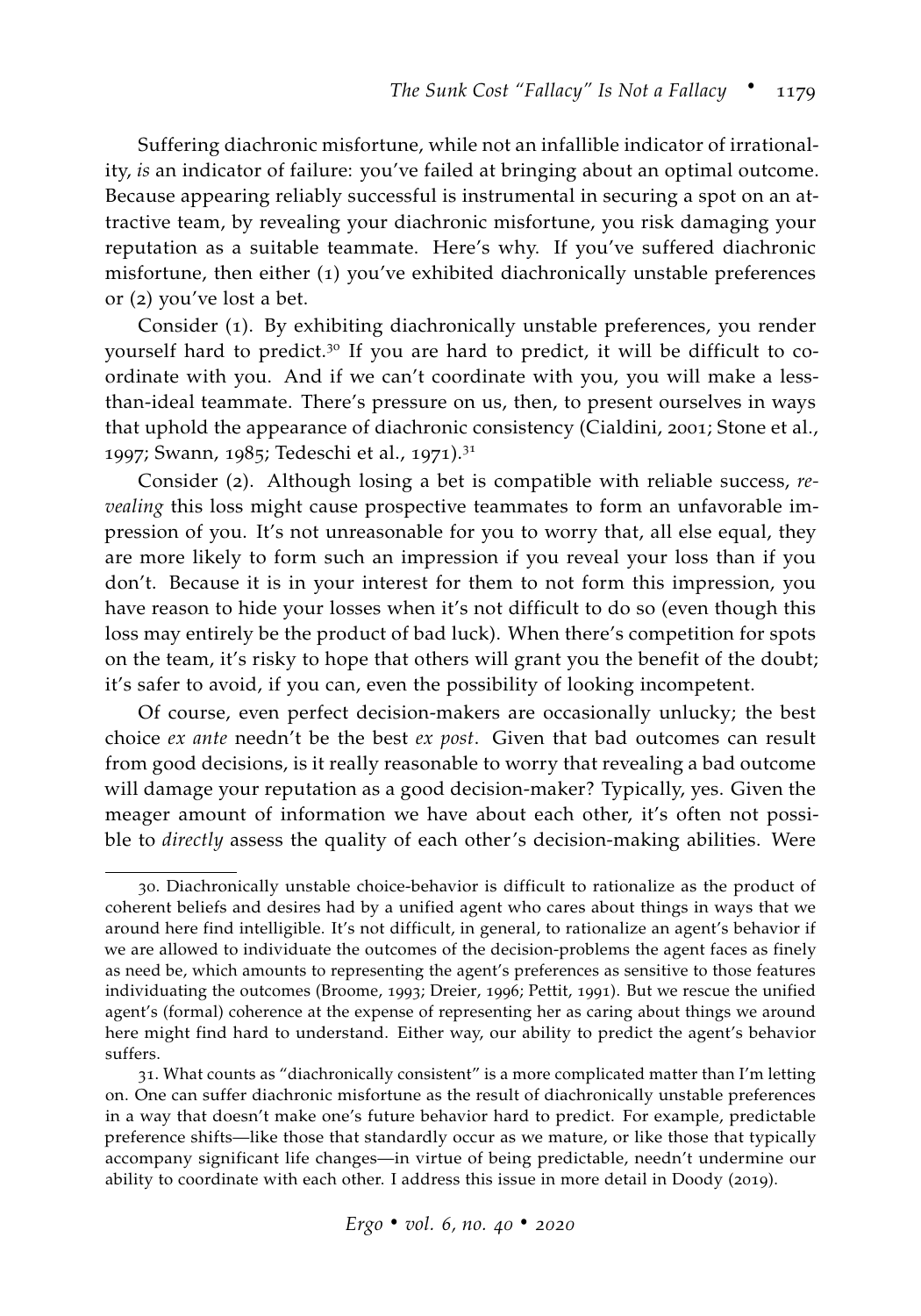Suffering diachronic misfortune, while not an infallible indicator of irrationality, *is* an indicator of failure: you've failed at bringing about an optimal outcome. Because appearing reliably successful is instrumental in securing a spot on an attractive team, by revealing your diachronic misfortune, you risk damaging your reputation as a suitable teammate. Here's why. If you've suffered diachronic misfortune, then either (1) you've exhibited diachronically unstable preferences or (2) you've lost a bet.

Consider (1). By exhibiting diachronically unstable preferences, you render yourself hard to predict.<sup>30</sup> If you are hard to predict, it will be difficult to coordinate with you. And if we can't coordinate with you, you will make a lessthan-ideal teammate. There's pressure on us, then, to present ourselves in ways that uphold the appearance of diachronic consistency [\(Cialdini,](#page-33-11) [2001](#page-33-11); [Stone et al.,](#page-37-7) [1997](#page-37-7); [Swann,](#page-37-5) [1985](#page-37-5); [Tedeschi et al.,](#page-37-6) [1971](#page-37-6)).<sup>31</sup>

Consider (2). Although losing a bet is compatible with reliable success, *revealing* this loss might cause prospective teammates to form an unfavorable impression of you. It's not unreasonable for you to worry that, all else equal, they are more likely to form such an impression if you reveal your loss than if you don't. Because it is in your interest for them to not form this impression, you have reason to hide your losses when it's not difficult to do so (even though this loss may entirely be the product of bad luck). When there's competition for spots on the team, it's risky to hope that others will grant you the benefit of the doubt; it's safer to avoid, if you can, even the possibility of looking incompetent.

Of course, even perfect decision-makers are occasionally unlucky; the best choice *ex ante* needn't be the best *ex post*. Given that bad outcomes can result from good decisions, is it really reasonable to worry that revealing a bad outcome will damage your reputation as a good decision-maker? Typically, yes. Given the meager amount of information we have about each other, it's often not possible to *directly* assess the quality of each other's decision-making abilities. Were

<sup>30</sup>. Diachronically unstable choice-behavior is difficult to rationalize as the product of coherent beliefs and desires had by a unified agent who cares about things in ways that we around here find intelligible. It's not difficult, in general, to rationalize an agent's behavior if we are allowed to individuate the outcomes of the decision-problems the agent faces as finely as need be, which amounts to representing the agent's preferences as sensitive to those features individuating the outcomes [\(Broome,](#page-33-12) [1993](#page-33-12); [Dreier,](#page-34-13) [1996](#page-34-13); [Pettit,](#page-36-17) [1991](#page-36-17)). But we rescue the unified agent's (formal) coherence at the expense of representing her as caring about things we around here might find hard to understand. Either way, our ability to predict the agent's behavior suffers.

<sup>31</sup>. What counts as "diachronically consistent" is a more complicated matter than I'm letting on. One can suffer diachronic misfortune as the result of diachronically unstable preferences in a way that doesn't make one's future behavior hard to predict. For example, predictable preference shifts—like those that standardly occur as we mature, or like those that typically accompany significant life changes—in virtue of being predictable, needn't undermine our ability to coordinate with each other. I address this issue in more detail in [Doody](#page-34-7) ([2019](#page-34-7)).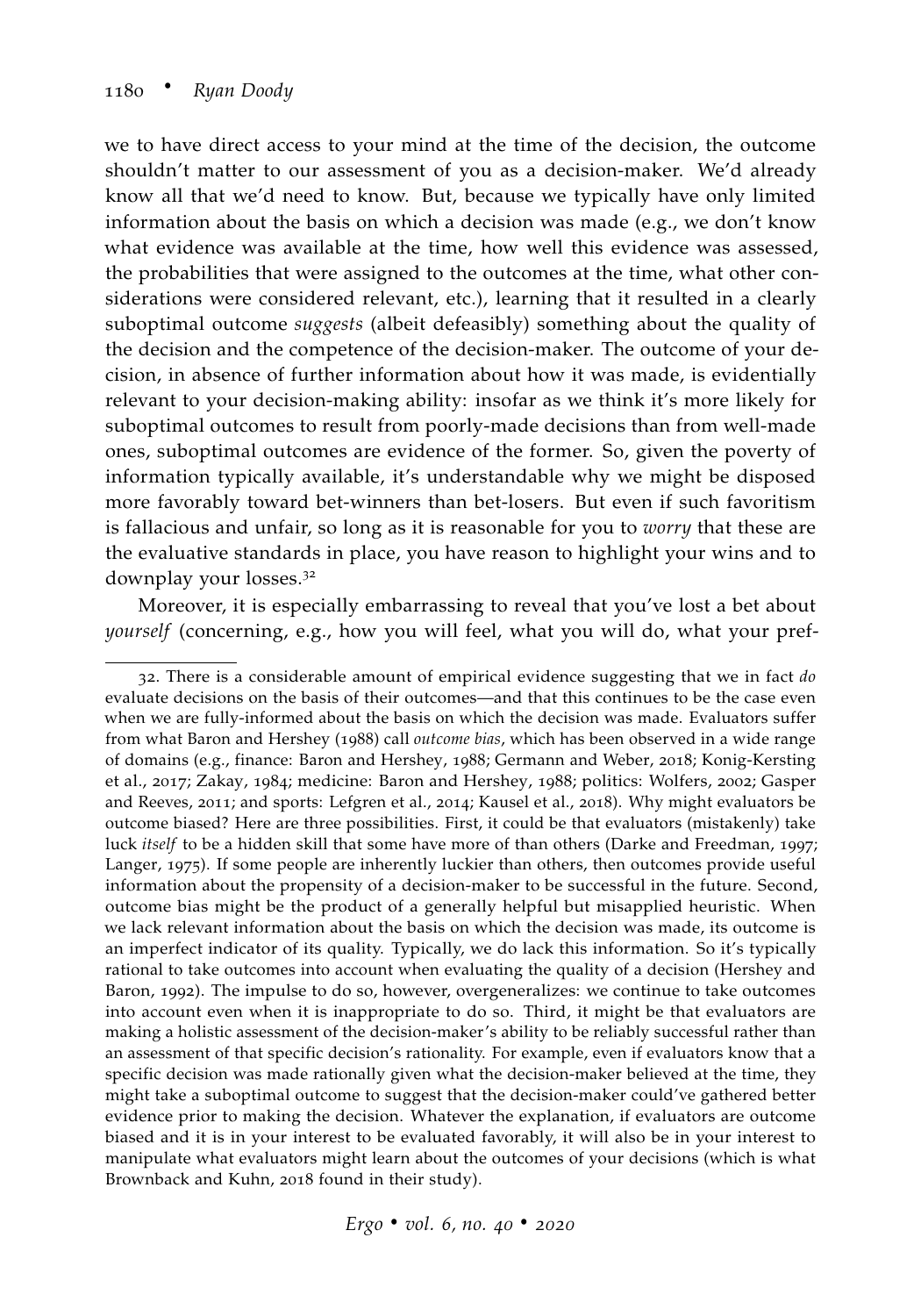we to have direct access to your mind at the time of the decision, the outcome shouldn't matter to our assessment of you as a decision-maker. We'd already know all that we'd need to know. But, because we typically have only limited information about the basis on which a decision was made (e.g., we don't know what evidence was available at the time, how well this evidence was assessed, the probabilities that were assigned to the outcomes at the time, what other considerations were considered relevant, etc.), learning that it resulted in a clearly suboptimal outcome *suggests* (albeit defeasibly) something about the quality of the decision and the competence of the decision-maker. The outcome of your decision, in absence of further information about how it was made, is evidentially relevant to your decision-making ability: insofar as we think it's more likely for suboptimal outcomes to result from poorly-made decisions than from well-made ones, suboptimal outcomes are evidence of the former. So, given the poverty of information typically available, it's understandable why we might be disposed more favorably toward bet-winners than bet-losers. But even if such favoritism is fallacious and unfair, so long as it is reasonable for you to *worry* that these are the evaluative standards in place, you have reason to highlight your wins and to downplay your losses.<sup>32</sup>

Moreover, it is especially embarrassing to reveal that you've lost a bet about *yourself* (concerning, e.g., how you will feel, what you will do, what your pref-

<sup>32</sup>. There is a considerable amount of empirical evidence suggesting that we in fact *do* evaluate decisions on the basis of their outcomes—and that this continues to be the case even when we are fully-informed about the basis on which the decision was made. Evaluators suffer from what [Baron and Hershey](#page-33-13) ([1988](#page-33-13)) call *outcome bias*, which has been observed in a wide range of domains (e.g., finance: [Baron and Hershey,](#page-33-13) [1988](#page-33-13); [Germann and Weber,](#page-34-14) [2018](#page-34-14); [Konig-Kersting](#page-35-12) [et al.,](#page-35-12) [2017](#page-35-12); [Zakay,](#page-37-14) [1984](#page-37-14); medicine: [Baron and Hershey,](#page-33-13) [1988](#page-33-13); politics: [Wolfers,](#page-37-15) [2002](#page-37-15); [Gasper](#page-34-15) [and Reeves,](#page-34-15) [2011](#page-34-15); and sports: [Lefgren et al.,](#page-35-13) [2014](#page-35-13); [Kausel et al.,](#page-35-14) [2018](#page-35-14)). Why might evaluators be outcome biased? Here are three possibilities. First, it could be that evaluators (mistakenly) take luck *itself* to be a hidden skill that some have more of than others [\(Darke and Freedman,](#page-34-16) [1997](#page-34-16); [Langer,](#page-35-15) [1975](#page-35-15)). If some people are inherently luckier than others, then outcomes provide useful information about the propensity of a decision-maker to be successful in the future. Second, outcome bias might be the product of a generally helpful but misapplied heuristic. When we lack relevant information about the basis on which the decision was made, its outcome is an imperfect indicator of its quality. Typically, we do lack this information. So it's typically rational to take outcomes into account when evaluating the quality of a decision [\(Hershey and](#page-34-17) [Baron,](#page-34-17) [1992](#page-34-17)). The impulse to do so, however, overgeneralizes: we continue to take outcomes into account even when it is inappropriate to do so. Third, it might be that evaluators are making a holistic assessment of the decision-maker's ability to be reliably successful rather than an assessment of that specific decision's rationality. For example, even if evaluators know that a specific decision was made rationally given what the decision-maker believed at the time, they might take a suboptimal outcome to suggest that the decision-maker could've gathered better evidence prior to making the decision. Whatever the explanation, if evaluators are outcome biased and it is in your interest to be evaluated favorably, it will also be in your interest to manipulate what evaluators might learn about the outcomes of your decisions (which is what [Brownback and Kuhn,](#page-33-14) [2018](#page-33-14) found in their study).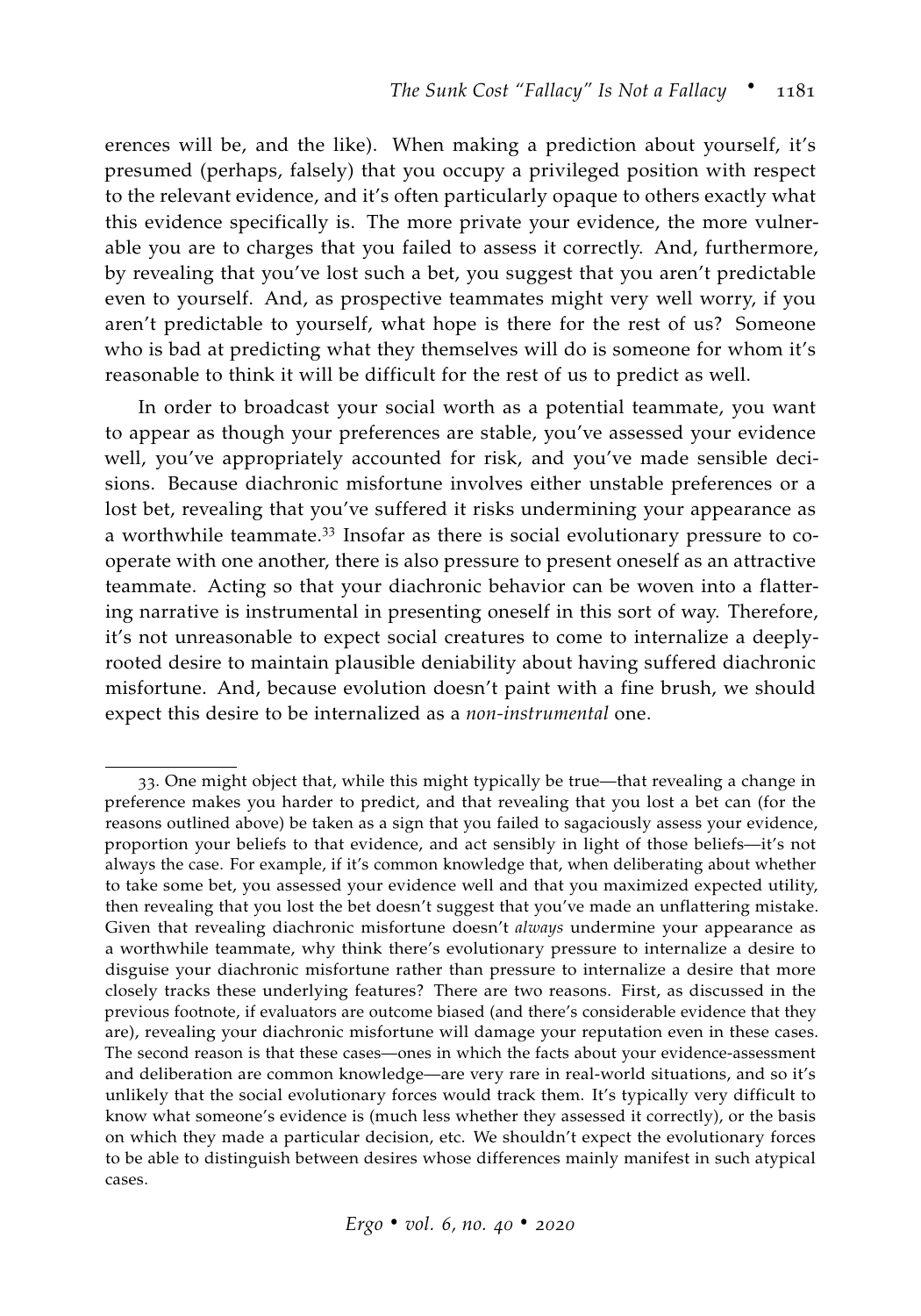erences will be, and the like). When making a prediction about yourself, it's presumed (perhaps, falsely) that you occupy a privileged position with respect to the relevant evidence, and it's often particularly opaque to others exactly what this evidence specifically is. The more private your evidence, the more vulnerable you are to charges that you failed to assess it correctly. And, furthermore, by revealing that you've lost such a bet, you suggest that you aren't predictable even to yourself. And, as prospective teammates might very well worry, if you aren't predictable to yourself, what hope is there for the rest of us? Someone who is bad at predicting what they themselves will do is someone for whom it's reasonable to think it will be difficult for the rest of us to predict as well.

In order to broadcast your social worth as a potential teammate, you want to appear as though your preferences are stable, you've assessed your evidence well, you've appropriately accounted for risk, and you've made sensible decisions. Because diachronic misfortune involves either unstable preferences or a lost bet, revealing that you've suffered it risks undermining your appearance as a worthwhile teammate.<sup>33</sup> Insofar as there is social evolutionary pressure to cooperate with one another, there is also pressure to present oneself as an attractive teammate. Acting so that your diachronic behavior can be woven into a flattering narrative is instrumental in presenting oneself in this sort of way. Therefore, it's not unreasonable to expect social creatures to come to internalize a deeplyrooted desire to maintain plausible deniability about having suffered diachronic misfortune. And, because evolution doesn't paint with a fine brush, we should expect this desire to be internalized as a *non-instrumental* one.

<sup>33</sup>. One might object that, while this might typically be true—that revealing a change in preference makes you harder to predict, and that revealing that you lost a bet can (for the reasons outlined above) be taken as a sign that you failed to sagaciously assess your evidence, proportion your beliefs to that evidence, and act sensibly in light of those beliefs—it's not always the case. For example, if it's common knowledge that, when deliberating about whether to take some bet, you assessed your evidence well and that you maximized expected utility, then revealing that you lost the bet doesn't suggest that you've made an unflattering mistake. Given that revealing diachronic misfortune doesn't *always* undermine your appearance as a worthwhile teammate, why think there's evolutionary pressure to internalize a desire to disguise your diachronic misfortune rather than pressure to internalize a desire that more closely tracks these underlying features? There are two reasons. First, as discussed in the previous footnote, if evaluators are outcome biased (and there's considerable evidence that they are), revealing your diachronic misfortune will damage your reputation even in these cases. The second reason is that these cases—ones in which the facts about your evidence-assessment and deliberation are common knowledge—are very rare in real-world situations, and so it's unlikely that the social evolutionary forces would track them. It's typically very difficult to know what someone's evidence is (much less whether they assessed it correctly), or the basis on which they made a particular decision, etc. We shouldn't expect the evolutionary forces to be able to distinguish between desires whose differences mainly manifest in such atypical cases.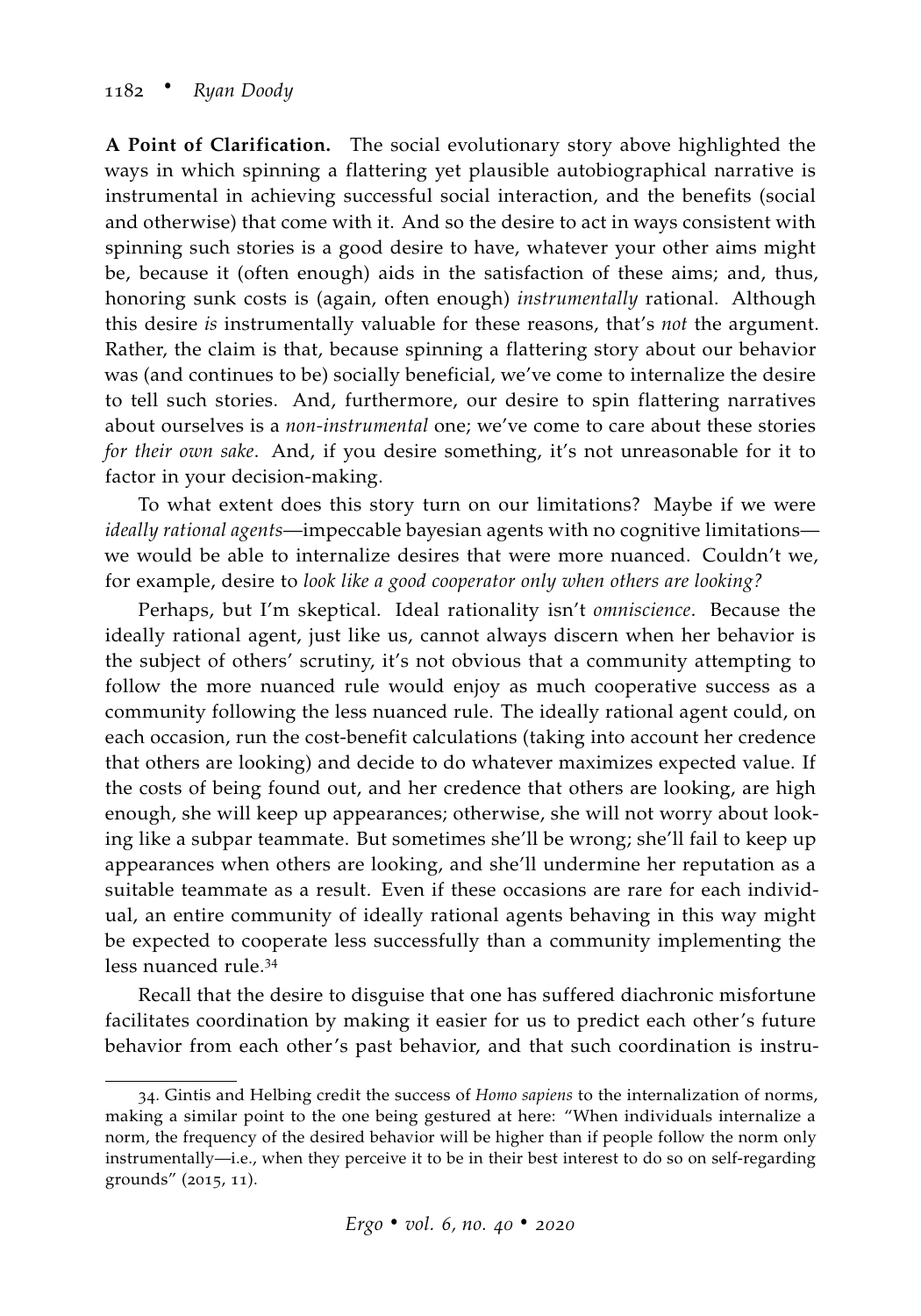**A Point of Clarification.** The social evolutionary story above highlighted the ways in which spinning a flattering yet plausible autobiographical narrative is instrumental in achieving successful social interaction, and the benefits (social and otherwise) that come with it. And so the desire to act in ways consistent with spinning such stories is a good desire to have, whatever your other aims might be, because it (often enough) aids in the satisfaction of these aims; and, thus, honoring sunk costs is (again, often enough) *instrumentally* rational. Although this desire *is* instrumentally valuable for these reasons, that's *not* the argument. Rather, the claim is that, because spinning a flattering story about our behavior was (and continues to be) socially beneficial, we've come to internalize the desire to tell such stories. And, furthermore, our desire to spin flattering narratives about ourselves is a *non-instrumental* one; we've come to care about these stories *for their own sake*. And, if you desire something, it's not unreasonable for it to factor in your decision-making.

To what extent does this story turn on our limitations? Maybe if we were *ideally rational agents*—impeccable bayesian agents with no cognitive limitations we would be able to internalize desires that were more nuanced. Couldn't we, for example, desire to *look like a good cooperator only when others are looking?*

Perhaps, but I'm skeptical. Ideal rationality isn't *omniscience*. Because the ideally rational agent, just like us, cannot always discern when her behavior is the subject of others' scrutiny, it's not obvious that a community attempting to follow the more nuanced rule would enjoy as much cooperative success as a community following the less nuanced rule. The ideally rational agent could, on each occasion, run the cost-benefit calculations (taking into account her credence that others are looking) and decide to do whatever maximizes expected value. If the costs of being found out, and her credence that others are looking, are high enough, she will keep up appearances; otherwise, she will not worry about looking like a subpar teammate. But sometimes she'll be wrong; she'll fail to keep up appearances when others are looking, and she'll undermine her reputation as a suitable teammate as a result. Even if these occasions are rare for each individual, an entire community of ideally rational agents behaving in this way might be expected to cooperate less successfully than a community implementing the less nuanced rule.<sup>34</sup>

Recall that the desire to disguise that one has suffered diachronic misfortune facilitates coordination by making it easier for us to predict each other's future behavior from each other's past behavior, and that such coordination is instru-

<sup>34</sup>. [Gintis and Helbing](#page-34-18) credit the success of *Homo sapiens* to the internalization of norms, making a similar point to the one being gestured at here: "When individuals internalize a norm, the frequency of the desired behavior will be higher than if people follow the norm only instrumentally—i.e., when they perceive it to be in their best interest to do so on self-regarding grounds" ([2015](#page-34-18), 11).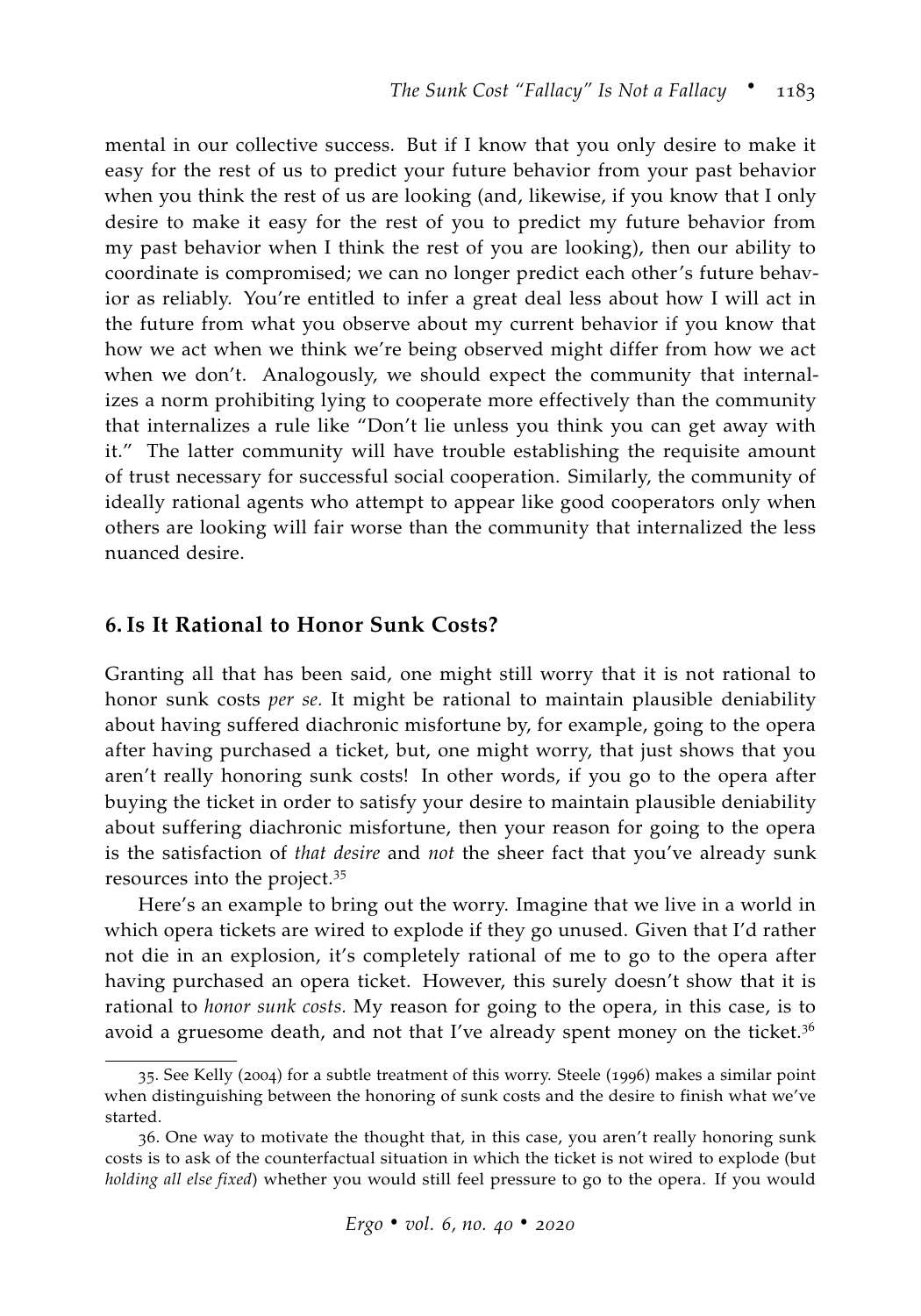mental in our collective success. But if I know that you only desire to make it easy for the rest of us to predict your future behavior from your past behavior when you think the rest of us are looking (and, likewise, if you know that I only desire to make it easy for the rest of you to predict my future behavior from my past behavior when I think the rest of you are looking), then our ability to coordinate is compromised; we can no longer predict each other's future behavior as reliably. You're entitled to infer a great deal less about how I will act in the future from what you observe about my current behavior if you know that how we act when we think we're being observed might differ from how we act when we don't. Analogously, we should expect the community that internalizes a norm prohibiting lying to cooperate more effectively than the community that internalizes a rule like "Don't lie unless you think you can get away with it." The latter community will have trouble establishing the requisite amount of trust necessary for successful social cooperation. Similarly, the community of ideally rational agents who attempt to appear like good cooperators only when others are looking will fair worse than the community that internalized the less nuanced desire.

## <span id="page-30-0"></span>**6. Is It Rational to Honor Sunk Costs?**

Granting all that has been said, one might still worry that it is not rational to honor sunk costs *per se.* It might be rational to maintain plausible deniability about having suffered diachronic misfortune by, for example, going to the opera after having purchased a ticket, but, one might worry, that just shows that you aren't really honoring sunk costs! In other words, if you go to the opera after buying the ticket in order to satisfy your desire to maintain plausible deniability about suffering diachronic misfortune, then your reason for going to the opera is the satisfaction of *that desire* and *not* the sheer fact that you've already sunk resources into the project.<sup>35</sup>

Here's an example to bring out the worry. Imagine that we live in a world in which opera tickets are wired to explode if they go unused. Given that I'd rather not die in an explosion, it's completely rational of me to go to the opera after having purchased an opera ticket. However, this surely doesn't show that it is rational to *honor sunk costs.* My reason for going to the opera, in this case, is to avoid a gruesome death, and not that I've already spent money on the ticket. $3<sup>6</sup>$ 

<sup>35</sup>. See [Kelly](#page-35-3) ([2004](#page-35-3)) for a subtle treatment of this worry. [Steele](#page-37-2) ([1996](#page-37-2)) makes a similar point when distinguishing between the honoring of sunk costs and the desire to finish what we've started.

<sup>36</sup>. One way to motivate the thought that, in this case, you aren't really honoring sunk costs is to ask of the counterfactual situation in which the ticket is not wired to explode (but *holding all else fixed*) whether you would still feel pressure to go to the opera. If you would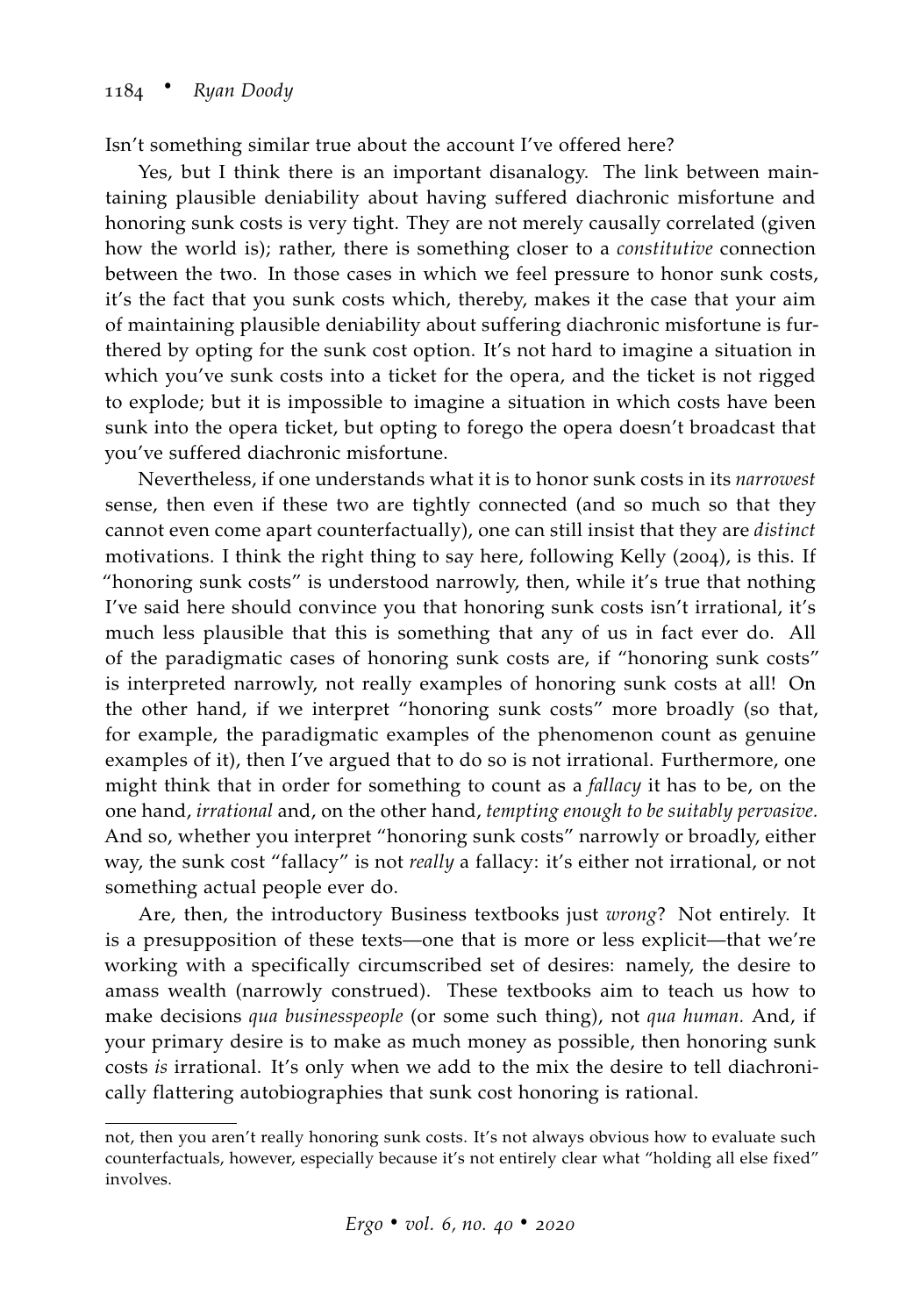Isn't something similar true about the account I've offered here?

Yes, but I think there is an important disanalogy. The link between maintaining plausible deniability about having suffered diachronic misfortune and honoring sunk costs is very tight. They are not merely causally correlated (given how the world is); rather, there is something closer to a *constitutive* connection between the two. In those cases in which we feel pressure to honor sunk costs, it's the fact that you sunk costs which, thereby, makes it the case that your aim of maintaining plausible deniability about suffering diachronic misfortune is furthered by opting for the sunk cost option. It's not hard to imagine a situation in which you've sunk costs into a ticket for the opera, and the ticket is not rigged to explode; but it is impossible to imagine a situation in which costs have been sunk into the opera ticket, but opting to forego the opera doesn't broadcast that you've suffered diachronic misfortune.

Nevertheless, if one understands what it is to honor sunk costs in its *narrowest* sense, then even if these two are tightly connected (and so much so that they cannot even come apart counterfactually), one can still insist that they are *distinct* motivations. I think the right thing to say here, following [Kelly](#page-35-3) ([2004](#page-35-3)), is this. If "honoring sunk costs" is understood narrowly, then, while it's true that nothing I've said here should convince you that honoring sunk costs isn't irrational, it's much less plausible that this is something that any of us in fact ever do. All of the paradigmatic cases of honoring sunk costs are, if "honoring sunk costs" is interpreted narrowly, not really examples of honoring sunk costs at all! On the other hand, if we interpret "honoring sunk costs" more broadly (so that, for example, the paradigmatic examples of the phenomenon count as genuine examples of it), then I've argued that to do so is not irrational. Furthermore, one might think that in order for something to count as a *fallacy* it has to be, on the one hand, *irrational* and, on the other hand, *tempting enough to be suitably pervasive.* And so, whether you interpret "honoring sunk costs" narrowly or broadly, either way, the sunk cost "fallacy" is not *really* a fallacy: it's either not irrational, or not something actual people ever do.

Are, then, the introductory Business textbooks just *wrong*? Not entirely. It is a presupposition of these texts—one that is more or less explicit—that we're working with a specifically circumscribed set of desires: namely, the desire to amass wealth (narrowly construed). These textbooks aim to teach us how to make decisions *qua businesspeople* (or some such thing), not *qua human.* And, if your primary desire is to make as much money as possible, then honoring sunk costs *is* irrational. It's only when we add to the mix the desire to tell diachronically flattering autobiographies that sunk cost honoring is rational.

not, then you aren't really honoring sunk costs. It's not always obvious how to evaluate such counterfactuals, however, especially because it's not entirely clear what "holding all else fixed" involves.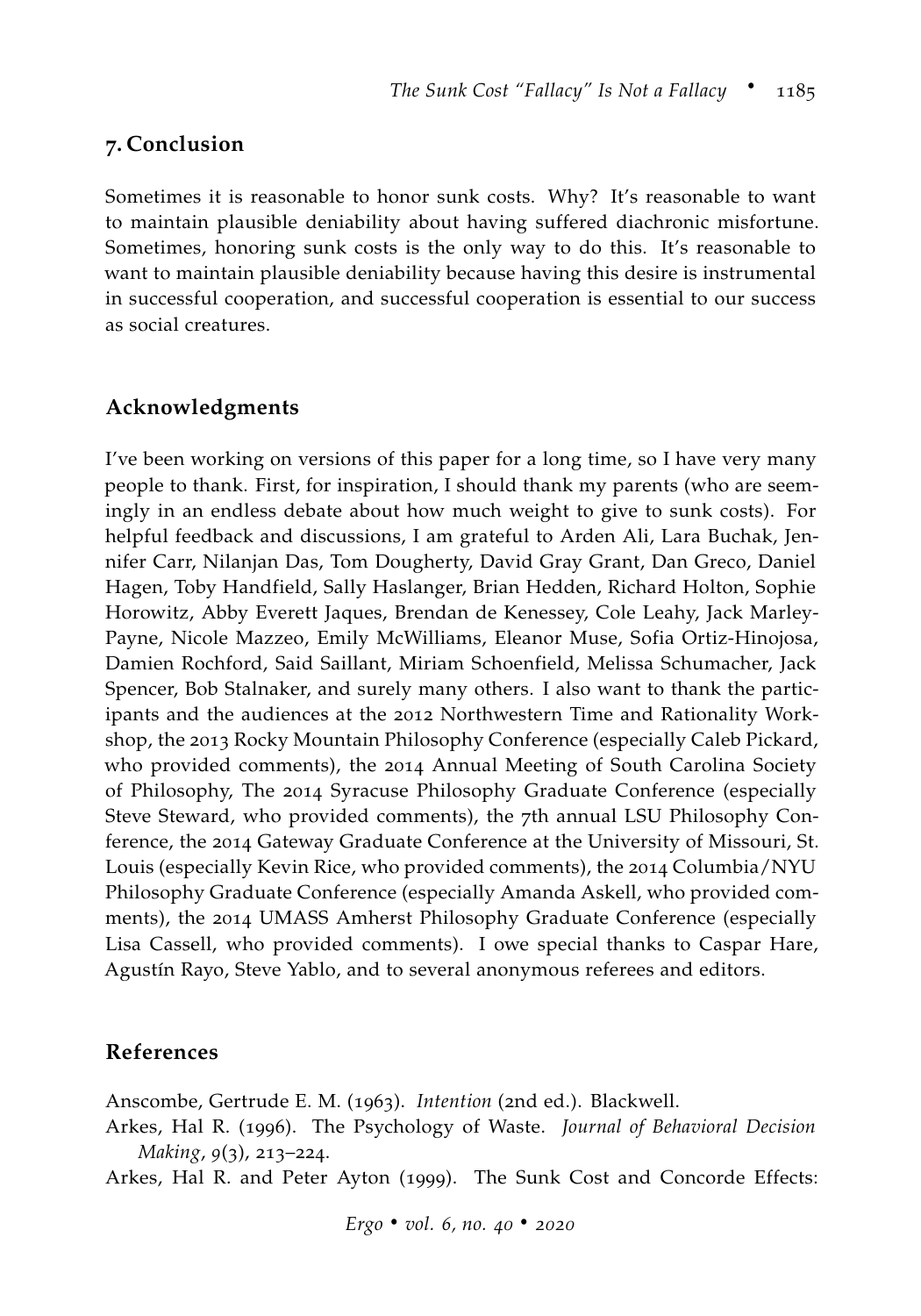## **7. Conclusion**

Sometimes it is reasonable to honor sunk costs. Why? It's reasonable to want to maintain plausible deniability about having suffered diachronic misfortune. Sometimes, honoring sunk costs is the only way to do this. It's reasonable to want to maintain plausible deniability because having this desire is instrumental in successful cooperation, and successful cooperation is essential to our success as social creatures.

## **Acknowledgments**

I've been working on versions of this paper for a long time, so I have very many people to thank. First, for inspiration, I should thank my parents (who are seemingly in an endless debate about how much weight to give to sunk costs). For helpful feedback and discussions, I am grateful to Arden Ali, Lara Buchak, Jennifer Carr, Nilanjan Das, Tom Dougherty, David Gray Grant, Dan Greco, Daniel Hagen, Toby Handfield, Sally Haslanger, Brian Hedden, Richard Holton, Sophie Horowitz, Abby Everett Jaques, Brendan de Kenessey, Cole Leahy, Jack Marley-Payne, Nicole Mazzeo, Emily McWilliams, Eleanor Muse, Sofia Ortiz-Hinojosa, Damien Rochford, Said Saillant, Miriam Schoenfield, Melissa Schumacher, Jack Spencer, Bob Stalnaker, and surely many others. I also want to thank the participants and the audiences at the 2012 Northwestern Time and Rationality Workshop, the 2013 Rocky Mountain Philosophy Conference (especially Caleb Pickard, who provided comments), the 2014 Annual Meeting of South Carolina Society of Philosophy, The 2014 Syracuse Philosophy Graduate Conference (especially Steve Steward, who provided comments), the 7th annual LSU Philosophy Conference, the 2014 Gateway Graduate Conference at the University of Missouri, St. Louis (especially Kevin Rice, who provided comments), the 2014 Columbia/NYU Philosophy Graduate Conference (especially Amanda Askell, who provided comments), the 2014 UMASS Amherst Philosophy Graduate Conference (especially Lisa Cassell, who provided comments). I owe special thanks to Caspar Hare, Agustín Rayo, Steve Yablo, and to several anonymous referees and editors.

## **References**

Anscombe, Gertrude E. M. (1963). *Intention* (2nd ed.). Blackwell.

<span id="page-32-1"></span>Arkes, Hal R. (1996). The Psychology of Waste. *Journal of Behavioral Decision Making*, *9*(3), 213–224.

<span id="page-32-0"></span>Arkes, Hal R. and Peter Ayton (1999). The Sunk Cost and Concorde Effects:

*Ergo* ⋅ *vol. <sup>6</sup>, no. <sup>40</sup>* ⋅ *2020*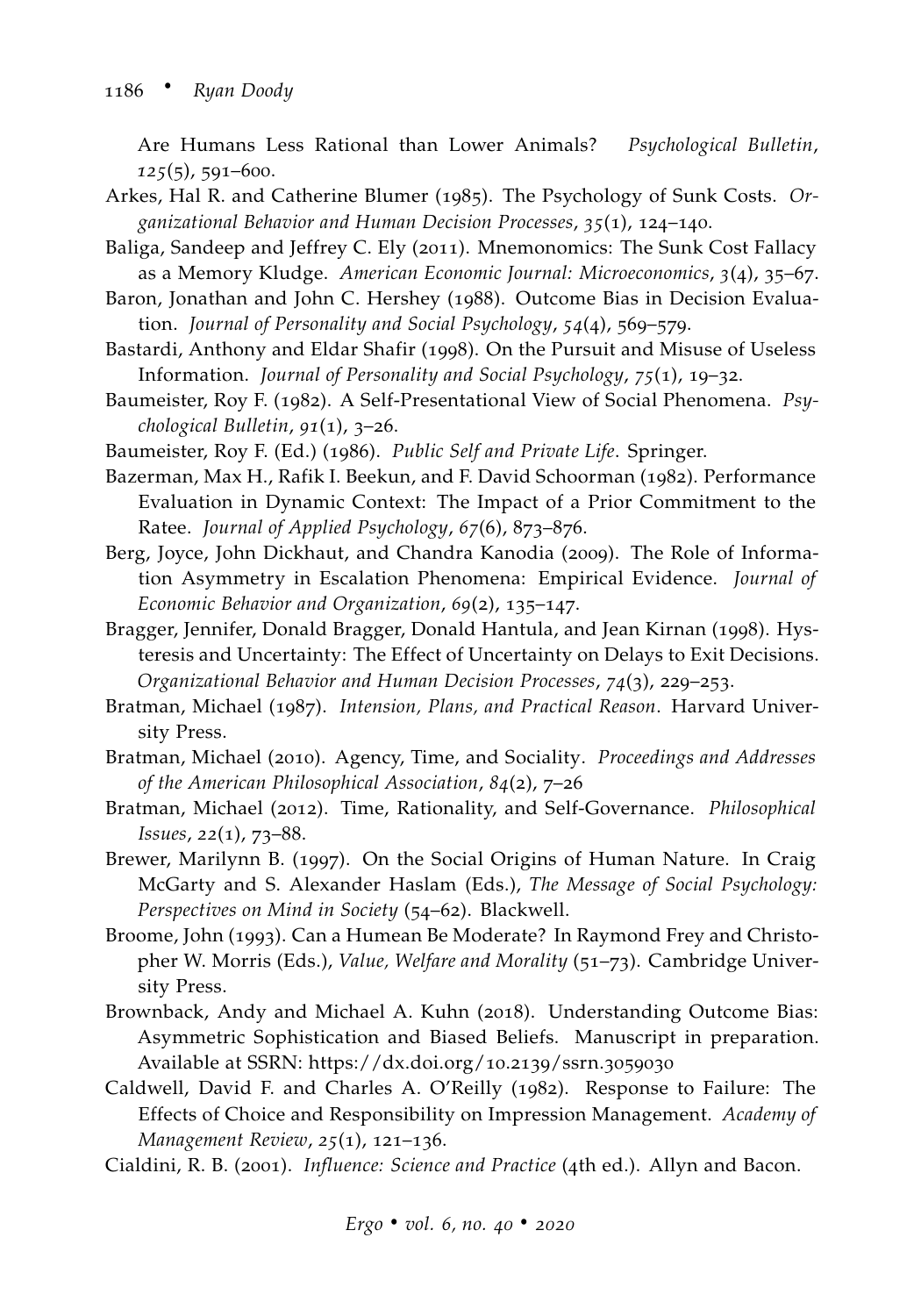Are Humans Less Rational than Lower Animals? *Psychological Bulletin*, *125*(5), 591–600.

- <span id="page-33-0"></span>Arkes, Hal R. and Catherine Blumer (1985). The Psychology of Sunk Costs. *Organizational Behavior and Human Decision Processes*, *35*(1), 124–140.
- <span id="page-33-7"></span>Baliga, Sandeep and Jeffrey C. Ely (2011). Mnemonomics: The Sunk Cost Fallacy as a Memory Kludge. *American Economic Journal: Microeconomics*, *3*(4), 35–67.
- <span id="page-33-13"></span>Baron, Jonathan and John C. Hershey (1988). Outcome Bias in Decision Evaluation. *Journal of Personality and Social Psychology*, *54*(4), 569–579.
- <span id="page-33-5"></span>Bastardi, Anthony and Eldar Shafir (1998). On the Pursuit and Misuse of Useless Information. *Journal of Personality and Social Psychology*, *75*(1), 19–32.
- <span id="page-33-8"></span>Baumeister, Roy F. (1982). A Self-Presentational View of Social Phenomena. *Psychological Bulletin*, *91*(1), 3–26.
- <span id="page-33-9"></span>Baumeister, Roy F. (Ed.) (1986). *Public Self and Private Life*. Springer.
- <span id="page-33-3"></span>Bazerman, Max H., Rafik I. Beekun, and F. David Schoorman (1982). Performance Evaluation in Dynamic Context: The Impact of a Prior Commitment to the Ratee. *Journal of Applied Psychology*, *67*(6), 873–876.
- <span id="page-33-1"></span>Berg, Joyce, John Dickhaut, and Chandra Kanodia (2009). The Role of Information Asymmetry in Escalation Phenomena: Empirical Evidence. *Journal of Economic Behavior and Organization*, *69*(2), 135–147.
- <span id="page-33-2"></span>Bragger, Jennifer, Donald Bragger, Donald Hantula, and Jean Kirnan (1998). Hysteresis and Uncertainty: The Effect of Uncertainty on Delays to Exit Decisions. *Organizational Behavior and Human Decision Processes*, *74*(3), 229–253.
- <span id="page-33-6"></span>Bratman, Michael (1987). *Intension, Plans, and Practical Reason*. Harvard University Press.
- Bratman, Michael (2010). Agency, Time, and Sociality. *Proceedings and Addresses of the American Philosophical Association*, *84*(2), 7–26
- Bratman, Michael (2012). Time, Rationality, and Self-Governance. *Philosophical Issues*, *22*(1), 73–88.
- <span id="page-33-10"></span>Brewer, Marilynn B. (1997). On the Social Origins of Human Nature. In Craig McGarty and S. Alexander Haslam (Eds.), *The Message of Social Psychology: Perspectives on Mind in Society* (54–62). Blackwell.
- <span id="page-33-12"></span>Broome, John (1993). Can a Humean Be Moderate? In Raymond Frey and Christopher W. Morris (Eds.), *Value, Welfare and Morality* (51–73). Cambridge University Press.
- <span id="page-33-14"></span>Brownback, Andy and Michael A. Kuhn (2018). Understanding Outcome Bias: Asymmetric Sophistication and Biased Beliefs. Manuscript in preparation. Available at SSRN: [https://dx.doi.org/](https://dx.doi.org/10.2139/ssrn.3059030)10.2139/ssrn.3059030
- <span id="page-33-4"></span>Caldwell, David F. and Charles A. O'Reilly (1982). Response to Failure: The Effects of Choice and Responsibility on Impression Management. *Academy of Management Review*, *25*(1), 121–136.

<span id="page-33-11"></span>Cialdini, R. B. (2001). *Influence: Science and Practice* (4th ed.). Allyn and Bacon.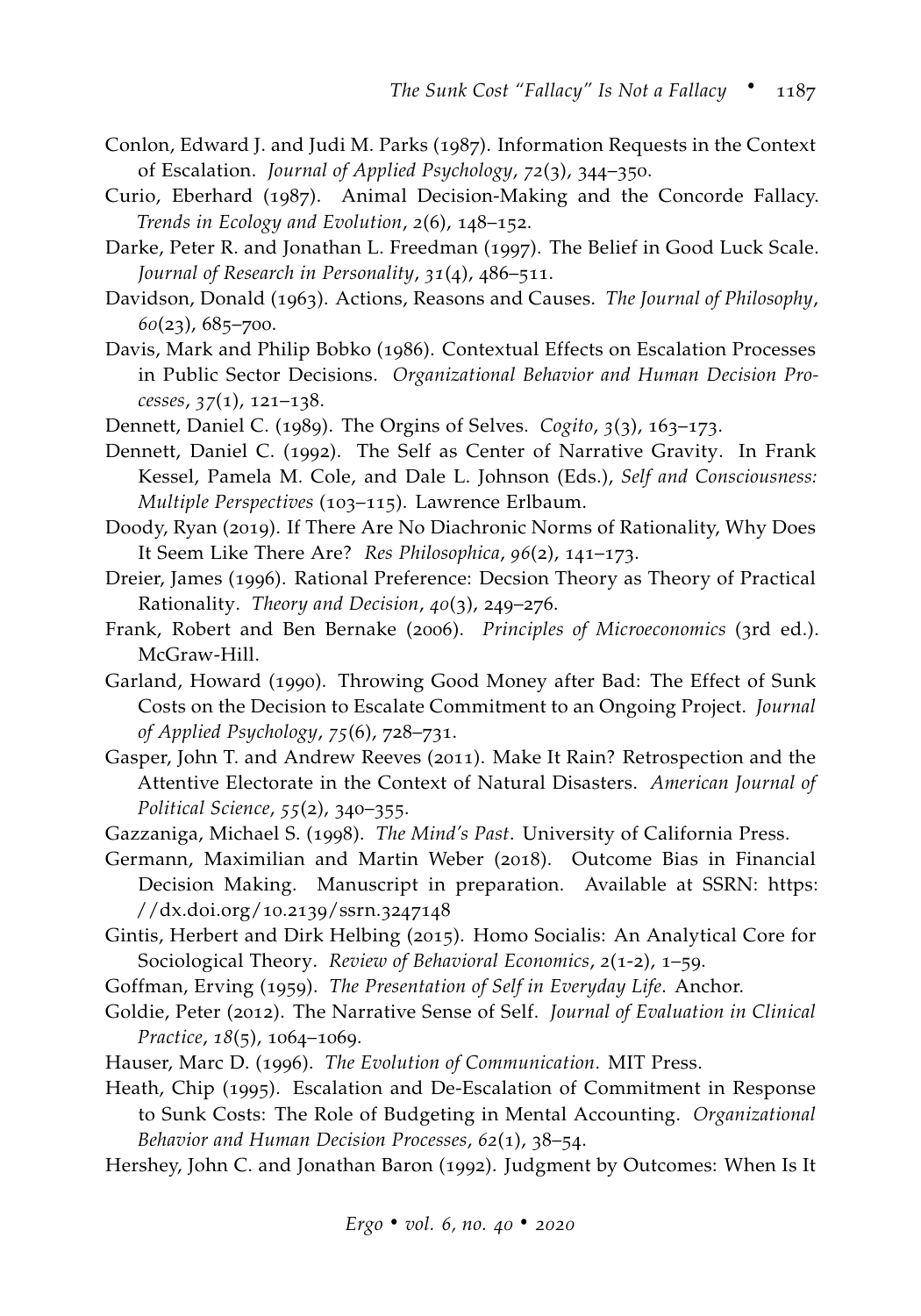- <span id="page-34-3"></span>Conlon, Edward J. and Judi M. Parks (1987). Information Requests in the Context of Escalation. *Journal of Applied Psychology*, *72*(3), 344–350.
- <span id="page-34-4"></span>Curio, Eberhard (1987). Animal Decision-Making and the Concorde Fallacy. *Trends in Ecology and Evolution*, *2*(6), 148–152.
- <span id="page-34-16"></span>Darke, Peter R. and Jonathan L. Freedman (1997). The Belief in Good Luck Scale. *Journal of Research in Personality*, *31*(4), 486–511.
- Davidson, Donald (1963). Actions, Reasons and Causes. *The Journal of Philosophy*, *60*(23), 685–700.
- <span id="page-34-2"></span>Davis, Mark and Philip Bobko (1986). Contextual Effects on Escalation Processes in Public Sector Decisions. *Organizational Behavior and Human Decision Processes*, *37*(1), 121–138.
- <span id="page-34-10"></span><span id="page-34-9"></span>Dennett, Daniel C. (1989). The Orgins of Selves. *Cogito*, *3*(3), 163–173.
- Dennett, Daniel C. (1992). The Self as Center of Narrative Gravity. In Frank Kessel, Pamela M. Cole, and Dale L. Johnson (Eds.), *Self and Consciousness: Multiple Perspectives* (103–115). Lawrence Erlbaum.
- <span id="page-34-7"></span>Doody, Ryan (2019). If There Are No Diachronic Norms of Rationality, Why Does It Seem Like There Are? *Res Philosophica*, *96*(2), 141–173.
- <span id="page-34-13"></span>Dreier, James (1996). Rational Preference: Decsion Theory as Theory of Practical Rationality. *Theory and Decision*, *40*(3), 249–276.
- <span id="page-34-0"></span>Frank, Robert and Ben Bernake (2006). *Principles of Microeconomics* (3rd ed.). McGraw-Hill.
- <span id="page-34-1"></span>Garland, Howard (1990). Throwing Good Money after Bad: The Effect of Sunk Costs on the Decision to Escalate Commitment to an Ongoing Project. *Journal of Applied Psychology*, *75*(6), 728–731.
- <span id="page-34-15"></span>Gasper, John T. and Andrew Reeves (2011). Make It Rain? Retrospection and the Attentive Electorate in the Context of Natural Disasters. *American Journal of Political Science*, *55*(2), 340–355.
- <span id="page-34-11"></span>Gazzaniga, Michael S. (1998). *The Mind's Past*. University of California Press.
- <span id="page-34-14"></span>Germann, Maximilian and Martin Weber (2018). Outcome Bias in Financial Decision Making. Manuscript in preparation. Available at SSRN: [https:](https://dx.doi.org/10.2139/ssrn.3247148) [//dx.doi.org/](https://dx.doi.org/10.2139/ssrn.3247148)10.2139/ssrn.3247148
- <span id="page-34-18"></span>Gintis, Herbert and Dirk Helbing (2015). Homo Socialis: An Analytical Core for Sociological Theory. *Review of Behavioral Economics*, *2*(1-2), 1–59.
- <span id="page-34-6"></span>Goffman, Erving (1959). *The Presentation of Self in Everyday Life*. Anchor.
- <span id="page-34-12"></span>Goldie, Peter (2012). The Narrative Sense of Self. *Journal of Evaluation in Clinical Practice*, *18*(5), 1064–1069.
- <span id="page-34-8"></span>Hauser, Marc D. (1996). *The Evolution of Communication*. MIT Press.
- <span id="page-34-5"></span>Heath, Chip (1995). Escalation and De-Escalation of Commitment in Response to Sunk Costs: The Role of Budgeting in Mental Accounting. *Organizational Behavior and Human Decision Processes*, *62*(1), 38–54.
- <span id="page-34-17"></span>Hershey, John C. and Jonathan Baron (1992). Judgment by Outcomes: When Is It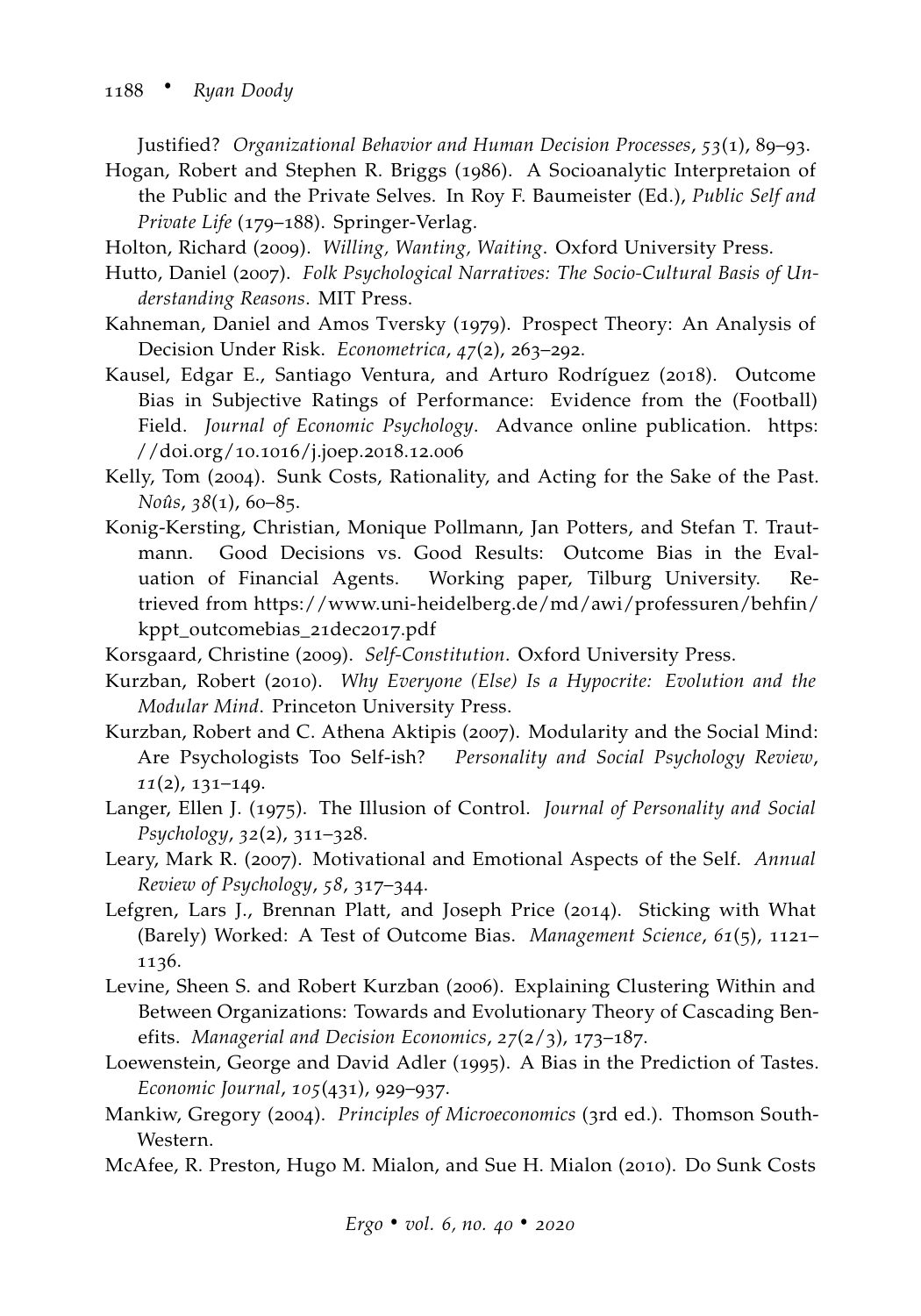Justified? *Organizational Behavior and Human Decision Processes*, *53*(1), 89–93.

<span id="page-35-7"></span>Hogan, Robert and Stephen R. Briggs (1986). A Socioanalytic Interpretaion of the Public and the Private Selves. In Roy F. Baumeister (Ed.), *Public Self and Private Life* (179–188). Springer-Verlag.

Holton, Richard (2009). *Willing, Wanting, Waiting*. Oxford University Press.

- <span id="page-35-11"></span>Hutto, Daniel (2007). *Folk Psychological Narratives: The Socio-Cultural Basis of Understanding Reasons*. MIT Press.
- <span id="page-35-5"></span>Kahneman, Daniel and Amos Tversky (1979). Prospect Theory: An Analysis of Decision Under Risk. *Econometrica*, *47*(2), 263–292.
- <span id="page-35-14"></span>Kausel, Edgar E., Santiago Ventura, and Arturo Rodríguez (2018). Outcome Bias in Subjective Ratings of Performance: Evidence from the (Football) Field. *Journal of Economic Psychology*. Advance online publication. [https:](https://doi.org/10.1016/j.joep.2018.12.006) [//doi.org/](https://doi.org/10.1016/j.joep.2018.12.006)10.1016/j.joep.2018.12.006
- <span id="page-35-3"></span>Kelly, Tom (2004). Sunk Costs, Rationality, and Acting for the Sake of the Past. *Noûs*, *38*(1), 60–85.
- <span id="page-35-12"></span>Konig-Kersting, Christian, Monique Pollmann, Jan Potters, and Stefan T. Trautmann. Good Decisions vs. Good Results: Outcome Bias in the Evaluation of Financial Agents. Working paper, Tilburg University. Retrieved from [https://www.uni-heidelberg.de/md/awi/professuren/behfin/](https://www.uni-heidelberg.de/md/awi/professuren/behfin/kppt_outcomebias_21dec2017.pdf) [kppt\\_outcomebias\\_](https://www.uni-heidelberg.de/md/awi/professuren/behfin/kppt_outcomebias_21dec2017.pdf)21dec2017.pdf
- <span id="page-35-8"></span><span id="page-35-1"></span>Korsgaard, Christine (2009). *Self-Constitution*. Oxford University Press.
- Kurzban, Robert (2010). *Why Everyone (Else) Is a Hypocrite: Evolution and the Modular Mind*. Princeton University Press.
- <span id="page-35-6"></span>Kurzban, Robert and C. Athena Aktipis (2007). Modularity and the Social Mind: Are Psychologists Too Self-ish? *Personality and Social Psychology Review*, *11*(2), 131–149.
- <span id="page-35-15"></span>Langer, Ellen J. (1975). The Illusion of Control. *Journal of Personality and Social Psychology*, *32*(2), 311–328.
- <span id="page-35-9"></span>Leary, Mark R. (2007). Motivational and Emotional Aspects of the Self. *Annual Review of Psychology*, *58*, 317–344.
- <span id="page-35-13"></span>Lefgren, Lars J., Brennan Platt, and Joseph Price (2014). Sticking with What (Barely) Worked: A Test of Outcome Bias. *Management Science*, *61*(5), 1121– 1136.
- <span id="page-35-10"></span>Levine, Sheen S. and Robert Kurzban (2006). Explaining Clustering Within and Between Organizations: Towards and Evolutionary Theory of Cascading Benefits. *Managerial and Decision Economics*, *27*(2/3), 173–187.
- <span id="page-35-4"></span>Loewenstein, George and David Adler (1995). A Bias in the Prediction of Tastes. *Economic Journal*, *105*(431), 929–937.
- <span id="page-35-0"></span>Mankiw, Gregory (2004). *Principles of Microeconomics* (3rd ed.). Thomson South-Western.
- <span id="page-35-2"></span>McAfee, R. Preston, Hugo M. Mialon, and Sue H. Mialon (2010). Do Sunk Costs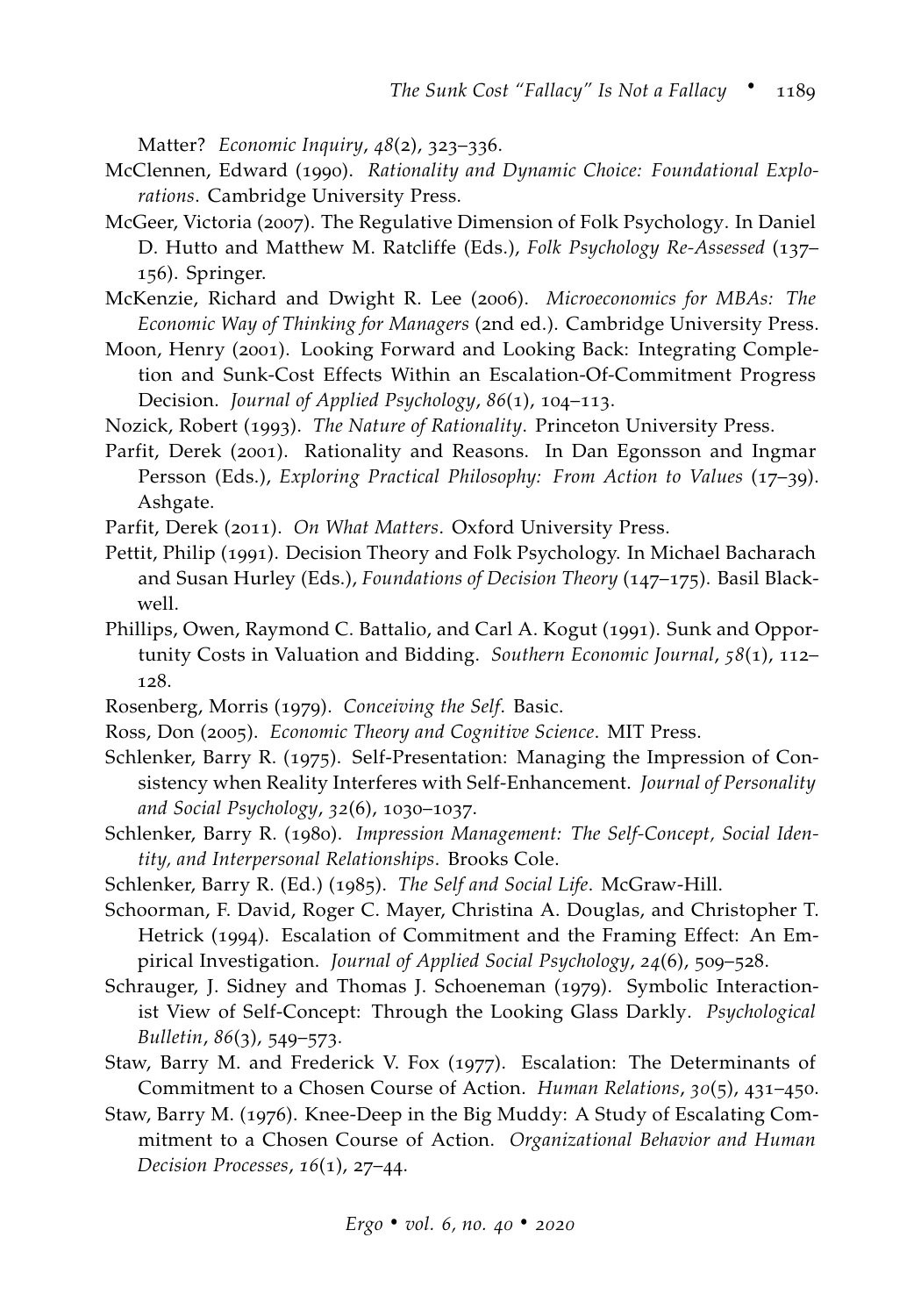Matter? *Economic Inquiry*, *48*(2), 323–336.

- <span id="page-36-3"></span>McClennen, Edward (1990). *Rationality and Dynamic Choice: Foundational Explorations*. Cambridge University Press.
- <span id="page-36-16"></span>McGeer, Victoria (2007). The Regulative Dimension of Folk Psychology. In Daniel D. Hutto and Matthew M. Ratcliffe (Eds.), *Folk Psychology Re-Assessed* (137– 156). Springer.
- <span id="page-36-0"></span>McKenzie, Richard and Dwight R. Lee (2006). *Microeconomics for MBAs: The Economic Way of Thinking for Managers* (2nd ed.). Cambridge University Press.
- <span id="page-36-2"></span>Moon, Henry (2001). Looking Forward and Looking Back: Integrating Completion and Sunk-Cost Effects Within an Escalation-Of-Commitment Progress Decision. *Journal of Applied Psychology*, *86*(1), 104–113.
- <span id="page-36-1"></span>Nozick, Robert (1993). *The Nature of Rationality*. Princeton University Press.
- <span id="page-36-8"></span>Parfit, Derek (2001). Rationality and Reasons. In Dan Egonsson and Ingmar Persson (Eds.), *Exploring Practical Philosophy: From Action to Values* (17–39). Ashgate.
- <span id="page-36-9"></span>Parfit, Derek (2011). *On What Matters*. Oxford University Press.
- <span id="page-36-17"></span>Pettit, Philip (1991). Decision Theory and Folk Psychology. In Michael Bacharach and Susan Hurley (Eds.), *Foundations of Decision Theory* (147–175). Basil Blackwell.
- <span id="page-36-4"></span>Phillips, Owen, Raymond C. Battalio, and Carl A. Kogut (1991). Sunk and Opportunity Costs in Valuation and Bidding. *Southern Economic Journal*, *58*(1), 112– 128.
- <span id="page-36-12"></span>Rosenberg, Morris (1979). *Conceiving the Self*. Basic.
- <span id="page-36-15"></span>Ross, Don (2005). *Economic Theory and Cognitive Science*. MIT Press.
- <span id="page-36-10"></span>Schlenker, Barry R. (1975). Self-Presentation: Managing the Impression of Consistency when Reality Interferes with Self-Enhancement. *Journal of Personality and Social Psychology*, *32*(6), 1030–1037.
- <span id="page-36-13"></span>Schlenker, Barry R. (1980). *Impression Management: The Self-Concept, Social Identity, and Interpersonal Relationships*. Brooks Cole.
- <span id="page-36-14"></span>Schlenker, Barry R. (Ed.) (1985). *The Self and Social Life*. McGraw-Hill.
- <span id="page-36-7"></span>Schoorman, F. David, Roger C. Mayer, Christina A. Douglas, and Christopher T. Hetrick (1994). Escalation of Commitment and the Framing Effect: An Empirical Investigation. *Journal of Applied Social Psychology*, *24*(6), 509–528.
- <span id="page-36-11"></span>Schrauger, J. Sidney and Thomas J. Schoeneman (1979). Symbolic Interactionist View of Self-Concept: Through the Looking Glass Darkly. *Psychological Bulletin*, *86*(3), 549–573.
- <span id="page-36-6"></span>Staw, Barry M. and Frederick V. Fox (1977). Escalation: The Determinants of Commitment to a Chosen Course of Action. *Human Relations*, *30*(5), 431–450.
- <span id="page-36-5"></span>Staw, Barry M. (1976). Knee-Deep in the Big Muddy: A Study of Escalating Commitment to a Chosen Course of Action. *Organizational Behavior and Human Decision Processes*, *16*(1), 27–44.